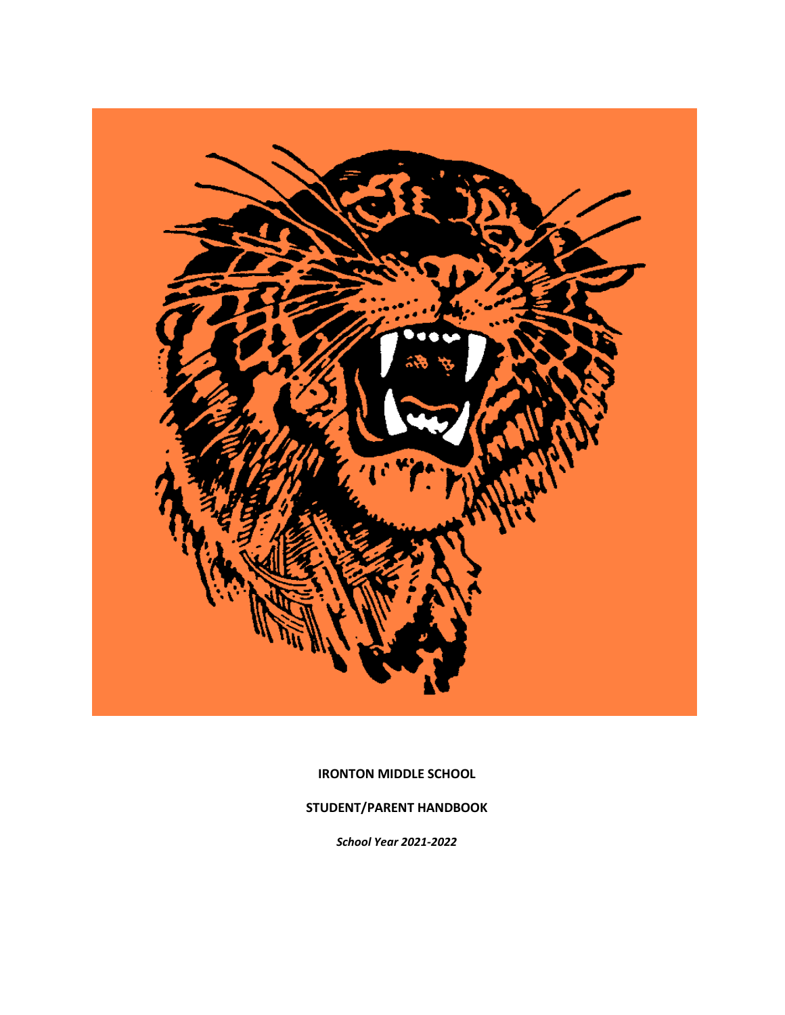

**IRONTON MIDDLE SCHOOL**

**STUDENT/PARENT HANDBOOK**

*School Year 2021-2022*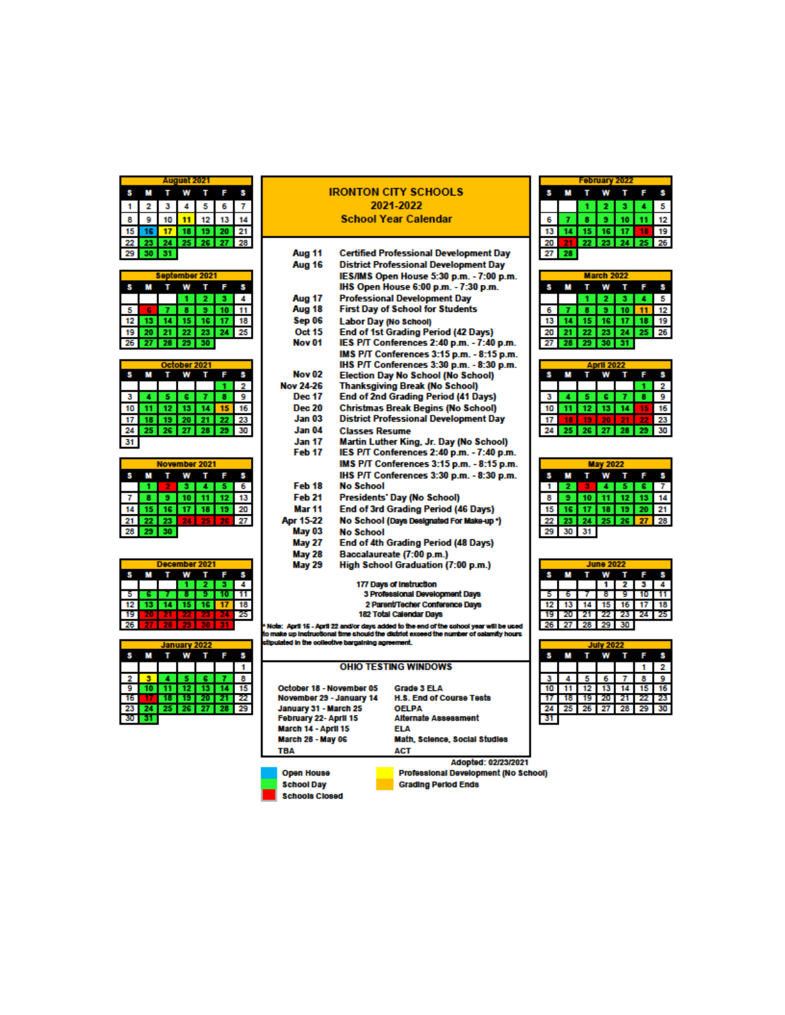| August 2021 |    |  |             |    |    |  |  |  |  |  |  |
|-------------|----|--|-------------|----|----|--|--|--|--|--|--|
|             |    |  |             |    |    |  |  |  |  |  |  |
|             | з  |  | 5           | 6  |    |  |  |  |  |  |  |
|             | 10 |  | 12          | 13 |    |  |  |  |  |  |  |
|             |    |  | 19          | 20 | 21 |  |  |  |  |  |  |
|             |    |  | 25 26 27 28 |    |    |  |  |  |  |  |  |
|             | 31 |  |             |    |    |  |  |  |  |  |  |

|    | September 2021 |  |    |                           |                |         |  |  |  |  |  |
|----|----------------|--|----|---------------------------|----------------|---------|--|--|--|--|--|
|    |                |  |    |                           |                |         |  |  |  |  |  |
|    |                |  |    | $\mathbf{2}^{\mathbf{5}}$ |                |         |  |  |  |  |  |
|    |                |  | 8. | 9)                        |                | $10$ 11 |  |  |  |  |  |
|    |                |  |    |                           | 14 15 16 17 18 |         |  |  |  |  |  |
|    | $19$ $20$      |  |    |                           | 21 22 23 24 25 |         |  |  |  |  |  |
| 26 | 27 28 29 30    |  |    |                           |                |         |  |  |  |  |  |

| October 2021 |  |     |    |     |     |    |  |  |  |  |
|--------------|--|-----|----|-----|-----|----|--|--|--|--|
|              |  |     |    |     |     |    |  |  |  |  |
|              |  |     |    |     |     |    |  |  |  |  |
|              |  |     | е  |     |     | 9  |  |  |  |  |
|              |  | 12. | 13 | 14  |     |    |  |  |  |  |
|              |  | ۰   | 20 |     |     | 23 |  |  |  |  |
|              |  | 26  | 27 | -28 | -29 |    |  |  |  |  |
|              |  |     |    |     |     |    |  |  |  |  |

|    | November 2021 |     |          |    |    |    |  |  |  |  |  |
|----|---------------|-----|----------|----|----|----|--|--|--|--|--|
|    |               |     |          |    |    |    |  |  |  |  |  |
|    |               |     |          |    |    | ь  |  |  |  |  |  |
|    |               |     | 10       |    | 12 | 13 |  |  |  |  |  |
|    |               |     | 16 17 18 |    | 19 | 20 |  |  |  |  |  |
| 21 | -22           | -23 | 24.      | 25 | 26 | 27 |  |  |  |  |  |
| 28 | 29            | 30  |          |    |    |    |  |  |  |  |  |
|    |               |     |          |    |    |    |  |  |  |  |  |

| December 2021 |  |  |  |  |  |  |  |  |  |  |
|---------------|--|--|--|--|--|--|--|--|--|--|
|               |  |  |  |  |  |  |  |  |  |  |
|               |  |  |  |  |  |  |  |  |  |  |
|               |  |  |  |  |  |  |  |  |  |  |
|               |  |  |  |  |  |  |  |  |  |  |
|               |  |  |  |  |  |  |  |  |  |  |
|               |  |  |  |  |  |  |  |  |  |  |

|    |  | January 2022 |                |       |
|----|--|--------------|----------------|-------|
|    |  |              |                |       |
|    |  |              |                |       |
|    |  |              | e              | 8     |
|    |  |              | 12 13          | 15    |
|    |  |              | <b>20</b>      | 21 22 |
| 23 |  |              | 25 26 27 28 29 |       |
|    |  |              |                |       |
|    |  |              |                |       |

#### **IRONTON CITY SCHOOLS** 2021-2022 **School Year Calendar**

| Aug 11            | <b>Certified Professional Development Day</b> |
|-------------------|-----------------------------------------------|
| Aug 16            | <b>District Professional Development Day</b>  |
|                   | IES/IMS Open House 5:30 p.m. - 7:00 p.m.      |
|                   | IHS Open House 6:00 p.m. - 7:30 p.m.          |
| <b>Aug 17</b>     | <b>Professional Development Day</b>           |
| Aug 18            | <b>First Day of School for Students</b>       |
| Sep 06            | Labor Day (No School)                         |
| Oct 15            | <b>End of 1st Grading Period (42 Days)</b>    |
| Nov <sub>01</sub> | IES P/T Conferences 2:40 p.m. - 7:40 p.m.     |
|                   | IMS P/T Conferences 3:15 p.m. - 8:15 p.m.     |
|                   | IHS P/T Conferences 3:30 p.m. - 8:30 p.m.     |
| Nov <sub>02</sub> | <b>Election Day No School (No School)</b>     |
| <b>Nov 24-26</b>  | <b>Thanksgiving Break (No School)</b>         |
| <b>Dec 17</b>     | <b>End of 2nd Grading Period (41 Days)</b>    |
| <b>Dec 20</b>     | <b>Christmas Break Begins (No School)</b>     |
| <b>Jan 03</b>     | <b>District Professional Development Day</b>  |
| Jan 04            | <b>Classes Resume</b>                         |
| <b>Jan 17</b>     | Martin Luther King, Jr. Day (No School)       |
| Feb <sub>17</sub> | IES P/T Conferences 2:40 p.m. - 7:40 p.m.     |
|                   | IMS P/T Conferences 3:15 p.m. - 8:15 p.m.     |
|                   | IHS P/T Conferences 3:30 p.m. - 8:30 p.m.     |
| Feb 18            | No School                                     |
| Feb 21            | Presidents' Day (No School)                   |
| Mar <sub>11</sub> | End of 3rd Grading Period (46 Days)           |
| Apr 15-22         | No School (Days Designated For Make-up *)     |
| <b>May 03</b>     | <b>No School</b>                              |
| <b>May 27</b>     | End of 4th Grading Period (48 Days)           |
| <b>May 28</b>     | Baccalaureate (7:00 p.m.)                     |
| <b>May 29</b>     | High School Graduation (7:00 p.m.)            |
|                   | 177 Days of Instruction                       |
|                   | 3 Professional Development Days               |
|                   | 2 Parent/Techer Conference Davs               |

2 Parent/Techer Conter<br>182 Total Calendar Days

.<br>In othe: April 16 - April 22 and/or days added to the end of the sohool year will be used.<br>Io make up instructional time should the district exceed the number of calamity hours

d in the collective bargaining agreement.

|                          | <b>OHIO TESTING WINDOWS</b> |
|--------------------------|-----------------------------|
| October 18 - November 05 | <b>Grade 3 ELA</b>          |
| November 29 - January 14 | <b>H.S. End of Cou</b>      |
| January 31 - March 25    | <b>OELPA</b>                |
| February 22- April 15    | <b>Alternate Asses</b>      |
| March 14 - April 15      | ELA                         |
| March 28 - May 06        | Math, Science,              |
| <b>TBA</b>               | ACT                         |

Grade 3 ELA H.S. End of Course Tests **OELPA** Alternate Assessment **FILA**<br>ELA<br>Math, Science, Social Studies **ACT** 

Adopted: 02/23/2021 Professional Development (No School) Grading Period Ends

**Open House School Day Schools Closed** 



|    | larch 2022 |  |             |                |  |    |  |  |  |  |  |
|----|------------|--|-------------|----------------|--|----|--|--|--|--|--|
|    |            |  |             |                |  |    |  |  |  |  |  |
|    |            |  | I 2.        | I3.            |  | 5  |  |  |  |  |  |
|    |            |  | $9 \mid 10$ |                |  | 12 |  |  |  |  |  |
|    |            |  |             | 15 16 17 18    |  | 19 |  |  |  |  |  |
| 20 |            |  |             | 22 23 24 25 26 |  |    |  |  |  |  |  |
|    | $-28$      |  |             | 29 30 31       |  |    |  |  |  |  |  |
|    |            |  |             |                |  |    |  |  |  |  |  |

| <b>April 2022</b> |  |    |     |     |    |   |  |  |  |  |
|-------------------|--|----|-----|-----|----|---|--|--|--|--|
|                   |  |    |     |     |    |   |  |  |  |  |
|                   |  |    |     |     |    |   |  |  |  |  |
|                   |  |    | s   |     |    | д |  |  |  |  |
| 10                |  | 12 |     |     | 5  |   |  |  |  |  |
|                   |  |    | 20  |     |    |   |  |  |  |  |
|                   |  | 26 | -27 | -28 | 29 |   |  |  |  |  |

| <b>May 2022</b> |                      |   |  |      |  |  |  |  |  |  |
|-----------------|----------------------|---|--|------|--|--|--|--|--|--|
| м               |                      | w |  | Guy. |  |  |  |  |  |  |
|                 | 1 2 3 4 5 6 7        |   |  |      |  |  |  |  |  |  |
|                 | 8 9 10 11 12 13 14   |   |  |      |  |  |  |  |  |  |
|                 | 15 16 17 18 19 20 21 |   |  |      |  |  |  |  |  |  |
|                 | 22 23 24 25 26 27 28 |   |  |      |  |  |  |  |  |  |
|                 | 29 30 31             |   |  |      |  |  |  |  |  |  |

| <b>June 2022</b> |  |  |       |                        |  |  |  |  |  |
|------------------|--|--|-------|------------------------|--|--|--|--|--|
|                  |  |  |       |                        |  |  |  |  |  |
|                  |  |  |       | 123                    |  |  |  |  |  |
|                  |  |  | I 8 I |                        |  |  |  |  |  |
|                  |  |  |       | 12  13  14  15  16  17 |  |  |  |  |  |
|                  |  |  |       | 19 20 21 22 23 24 25   |  |  |  |  |  |
|                  |  |  |       | 26 27 28 29 30         |  |  |  |  |  |

| <b>July 2022</b> |                 |  |     |          |             |                 |  |
|------------------|-----------------|--|-----|----------|-------------|-----------------|--|
|                  |                 |  |     |          |             |                 |  |
|                  |                 |  |     |          |             |                 |  |
|                  |                 |  | 6 I |          |             |                 |  |
| 10               |                 |  |     | 12 13 14 | 15          | 16              |  |
|                  | 18 <sub>1</sub> |  |     | 19 20 21 | 22 1        | -23             |  |
| 24               | 25              |  |     |          | 26 27 28 29 | 30 <sup>1</sup> |  |
|                  |                 |  |     |          |             |                 |  |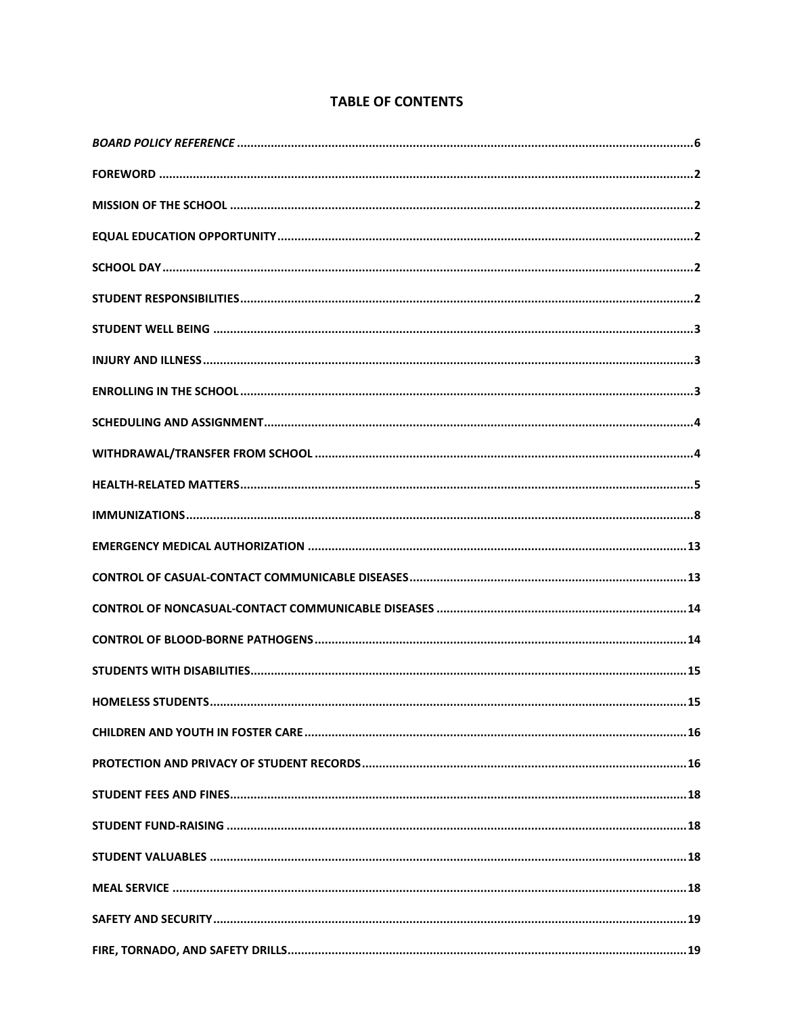# **TABLE OF CONTENTS**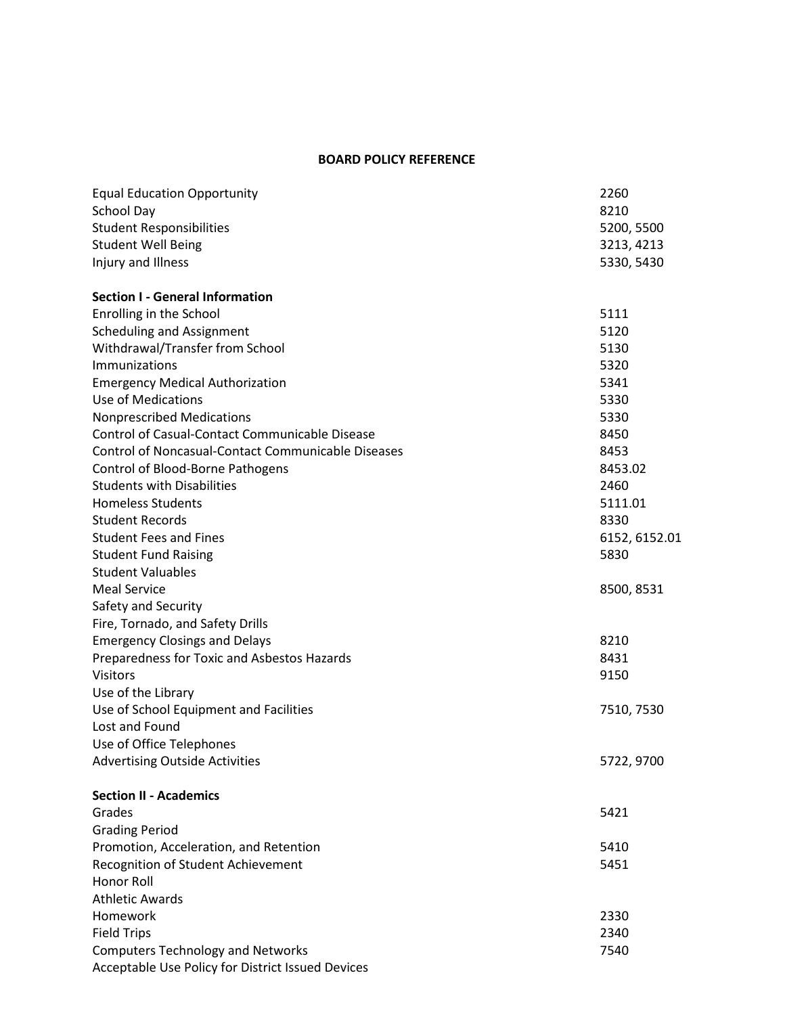### **BOARD POLICY REFERENCE**

<span id="page-5-0"></span>

| <b>Equal Education Opportunity</b>                        | 2260          |
|-----------------------------------------------------------|---------------|
| School Day                                                | 8210          |
| <b>Student Responsibilities</b>                           | 5200, 5500    |
| <b>Student Well Being</b>                                 | 3213, 4213    |
| Injury and Illness                                        | 5330, 5430    |
| <b>Section I - General Information</b>                    |               |
| Enrolling in the School                                   | 5111          |
| <b>Scheduling and Assignment</b>                          | 5120          |
| Withdrawal/Transfer from School                           | 5130          |
| <b>Immunizations</b>                                      | 5320          |
| <b>Emergency Medical Authorization</b>                    | 5341          |
| Use of Medications                                        | 5330          |
| <b>Nonprescribed Medications</b>                          | 5330          |
| Control of Casual-Contact Communicable Disease            | 8450          |
| <b>Control of Noncasual-Contact Communicable Diseases</b> | 8453          |
| Control of Blood-Borne Pathogens                          | 8453.02       |
| <b>Students with Disabilities</b>                         | 2460          |
| <b>Homeless Students</b>                                  | 5111.01       |
| <b>Student Records</b>                                    | 8330          |
| <b>Student Fees and Fines</b>                             | 6152, 6152.01 |
| <b>Student Fund Raising</b>                               | 5830          |
| <b>Student Valuables</b>                                  |               |
| <b>Meal Service</b>                                       | 8500, 8531    |
| Safety and Security                                       |               |
| Fire, Tornado, and Safety Drills                          |               |
| <b>Emergency Closings and Delays</b>                      | 8210          |
| Preparedness for Toxic and Asbestos Hazards               | 8431          |
| <b>Visitors</b>                                           | 9150          |
| Use of the Library                                        |               |
| Use of School Equipment and Facilities                    | 7510, 7530    |
| Lost and Found                                            |               |
| Use of Office Telephones                                  |               |
| <b>Advertising Outside Activities</b>                     | 5722, 9700    |
| <b>Section II - Academics</b>                             |               |
| Grades                                                    | 5421          |
| <b>Grading Period</b>                                     |               |
| Promotion, Acceleration, and Retention                    | 5410          |
| Recognition of Student Achievement                        | 5451          |
| Honor Roll                                                |               |
| <b>Athletic Awards</b>                                    |               |
| Homework                                                  | 2330          |
| <b>Field Trips</b>                                        | 2340          |
| <b>Computers Technology and Networks</b>                  | 7540          |
| Acceptable Use Policy for District Issued Devices         |               |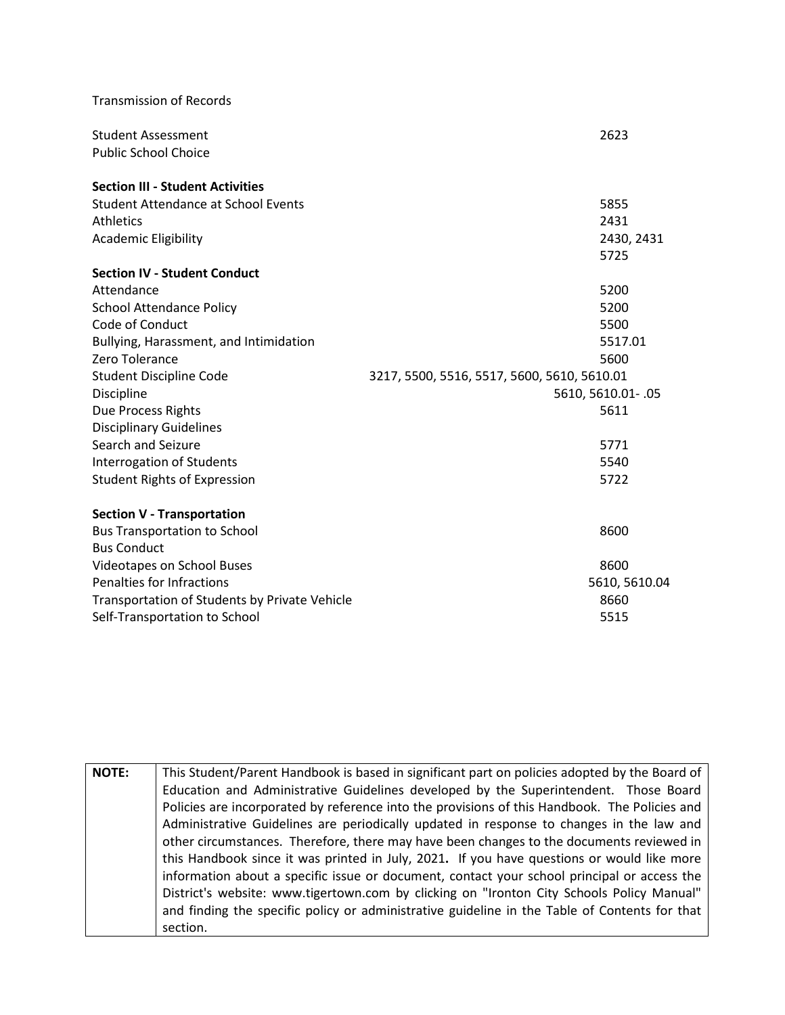| <b>Transmission of Records</b>                |                                             |
|-----------------------------------------------|---------------------------------------------|
| <b>Student Assessment</b>                     | 2623                                        |
| <b>Public School Choice</b>                   |                                             |
| <b>Section III - Student Activities</b>       |                                             |
| <b>Student Attendance at School Events</b>    | 5855                                        |
| <b>Athletics</b>                              | 2431                                        |
| <b>Academic Eligibility</b>                   | 2430, 2431                                  |
|                                               | 5725                                        |
| <b>Section IV - Student Conduct</b>           |                                             |
| Attendance                                    | 5200                                        |
| <b>School Attendance Policy</b>               | 5200                                        |
| Code of Conduct                               | 5500                                        |
| Bullying, Harassment, and Intimidation        | 5517.01                                     |
| Zero Tolerance                                | 5600                                        |
| <b>Student Discipline Code</b>                | 3217, 5500, 5516, 5517, 5600, 5610, 5610.01 |
| Discipline                                    | 5610, 5610.01 - .05                         |
| Due Process Rights                            | 5611                                        |
| <b>Disciplinary Guidelines</b>                |                                             |
| Search and Seizure                            | 5771                                        |
| Interrogation of Students                     | 5540                                        |
| <b>Student Rights of Expression</b>           | 5722                                        |
| <b>Section V - Transportation</b>             |                                             |
| <b>Bus Transportation to School</b>           | 8600                                        |
| <b>Bus Conduct</b>                            |                                             |
| <b>Videotapes on School Buses</b>             | 8600                                        |
| Penalties for Infractions                     | 5610, 5610.04                               |
| Transportation of Students by Private Vehicle | 8660                                        |
| Self-Transportation to School                 | 5515                                        |

| <b>NOTE:</b> | This Student/Parent Handbook is based in significant part on policies adopted by the Board of |
|--------------|-----------------------------------------------------------------------------------------------|
|              | Education and Administrative Guidelines developed by the Superintendent. Those Board          |
|              | Policies are incorporated by reference into the provisions of this Handbook. The Policies and |
|              | Administrative Guidelines are periodically updated in response to changes in the law and      |
|              | other circumstances. Therefore, there may have been changes to the documents reviewed in      |
|              | this Handbook since it was printed in July, 2021. If you have questions or would like more    |
|              | information about a specific issue or document, contact your school principal or access the   |
|              | District's website: www.tigertown.com by clicking on "Ironton City Schools Policy Manual"     |
|              | and finding the specific policy or administrative guideline in the Table of Contents for that |
|              | section.                                                                                      |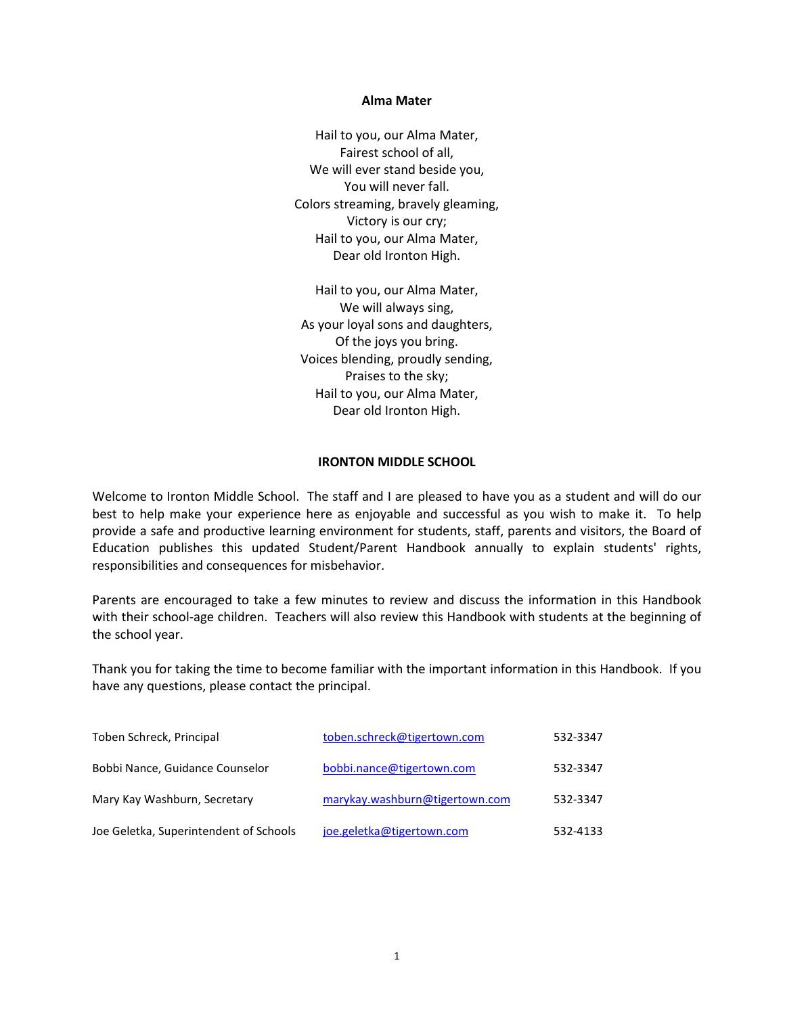#### **Alma Mater**

Hail to you, our Alma Mater, Fairest school of all, We will ever stand beside you, You will never fall. Colors streaming, bravely gleaming, Victory is our cry; Hail to you, our Alma Mater, Dear old Ironton High.

Hail to you, our Alma Mater, We will always sing, As your loyal sons and daughters, Of the joys you bring. Voices blending, proudly sending, Praises to the sky; Hail to you, our Alma Mater, Dear old Ironton High.

#### **IRONTON MIDDLE SCHOOL**

Welcome to Ironton Middle School. The staff and I are pleased to have you as a student and will do our best to help make your experience here as enjoyable and successful as you wish to make it. To help provide a safe and productive learning environment for students, staff, parents and visitors, the Board of Education publishes this updated Student/Parent Handbook annually to explain students' rights, responsibilities and consequences for misbehavior.

Parents are encouraged to take a few minutes to review and discuss the information in this Handbook with their school-age children. Teachers will also review this Handbook with students at the beginning of the school year.

Thank you for taking the time to become familiar with the important information in this Handbook. If you have any questions, please contact the principal.

| Toben Schreck, Principal               | toben.schreck@tigertown.com    | 532-3347 |
|----------------------------------------|--------------------------------|----------|
| Bobbi Nance, Guidance Counselor        | bobbi.nance@tigertown.com      | 532-3347 |
| Mary Kay Washburn, Secretary           | marykay.washburn@tigertown.com | 532-3347 |
| Joe Geletka, Superintendent of Schools | joe.geletka@tigertown.com      | 532-4133 |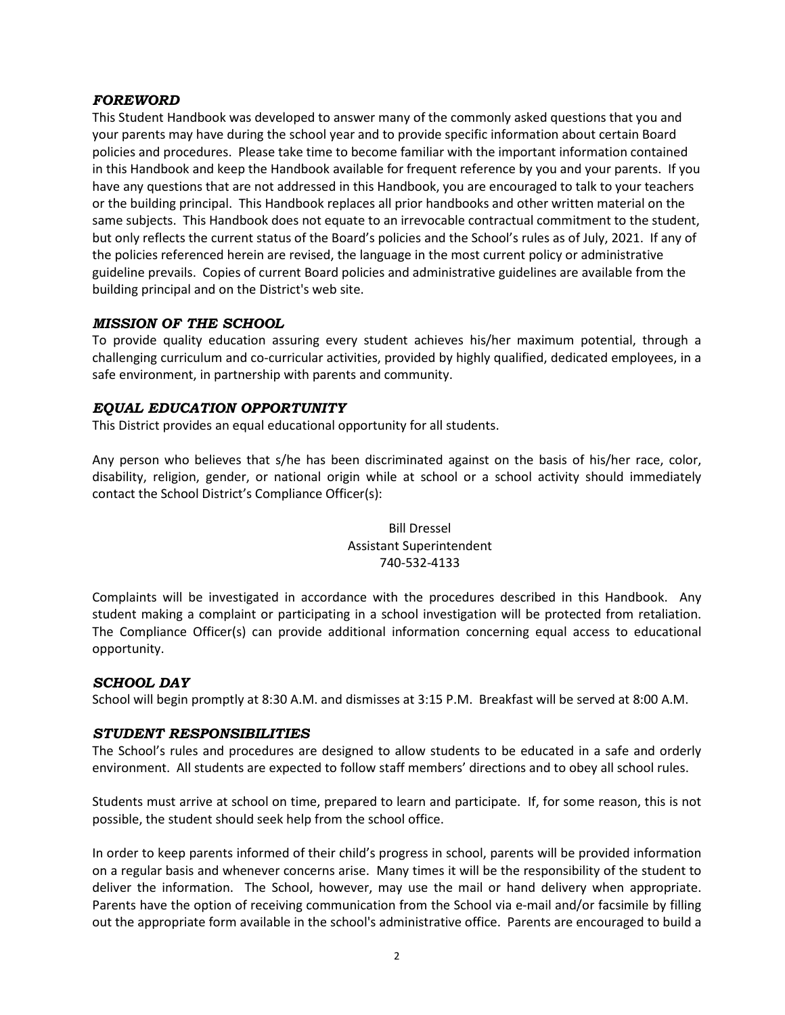### <span id="page-8-0"></span>*FOREWORD*

This Student Handbook was developed to answer many of the commonly asked questions that you and your parents may have during the school year and to provide specific information about certain Board policies and procedures. Please take time to become familiar with the important information contained in this Handbook and keep the Handbook available for frequent reference by you and your parents. If you have any questions that are not addressed in this Handbook, you are encouraged to talk to your teachers or the building principal. This Handbook replaces all prior handbooks and other written material on the same subjects. This Handbook does not equate to an irrevocable contractual commitment to the student, but only reflects the current status of the Board's policies and the School's rules as of July, 2021. If any of the policies referenced herein are revised, the language in the most current policy or administrative guideline prevails. Copies of current Board policies and administrative guidelines are available from the building principal and on the District's web site.

# <span id="page-8-1"></span>*MISSION OF THE SCHOOL*

To provide quality education assuring every student achieves his/her maximum potential, through a challenging curriculum and co-curricular activities, provided by highly qualified, dedicated employees, in a safe environment, in partnership with parents and community.

# <span id="page-8-2"></span>*EQUAL EDUCATION OPPORTUNITY*

This District provides an equal educational opportunity for all students.

Any person who believes that s/he has been discriminated against on the basis of his/her race, color, disability, religion, gender, or national origin while at school or a school activity should immediately contact the School District's Compliance Officer(s):

# Bill Dressel Assistant Superintendent 740-532-4133

Complaints will be investigated in accordance with the procedures described in this Handbook. Any student making a complaint or participating in a school investigation will be protected from retaliation. The Compliance Officer(s) can provide additional information concerning equal access to educational opportunity.

### <span id="page-8-3"></span>*SCHOOL DAY*

School will begin promptly at 8:30 A.M. and dismisses at 3:15 P.M. Breakfast will be served at 8:00 A.M.

### <span id="page-8-4"></span>*STUDENT RESPONSIBILITIES*

The School's rules and procedures are designed to allow students to be educated in a safe and orderly environment. All students are expected to follow staff members' directions and to obey all school rules.

Students must arrive at school on time, prepared to learn and participate. If, for some reason, this is not possible, the student should seek help from the school office.

In order to keep parents informed of their child's progress in school, parents will be provided information on a regular basis and whenever concerns arise. Many times it will be the responsibility of the student to deliver the information. The School, however, may use the mail or hand delivery when appropriate. Parents have the option of receiving communication from the School via e-mail and/or facsimile by filling out the appropriate form available in the school's administrative office. Parents are encouraged to build a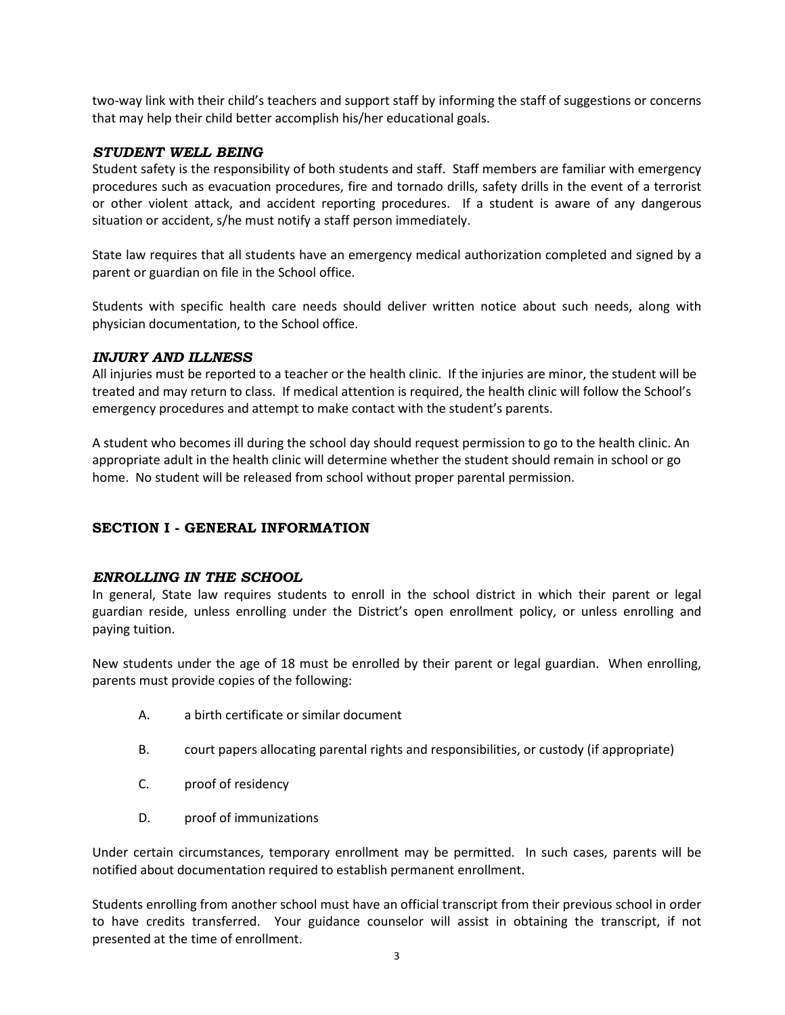two-way link with their child's teachers and support staff by informing the staff of suggestions or concerns that may help their child better accomplish his/her educational goals.

### <span id="page-9-0"></span>*STUDENT WELL BEING*

Student safety is the responsibility of both students and staff. Staff members are familiar with emergency procedures such as evacuation procedures, fire and tornado drills, safety drills in the event of a terrorist or other violent attack, and accident reporting procedures. If a student is aware of any dangerous situation or accident, s/he must notify a staff person immediately.

State law requires that all students have an emergency medical authorization completed and signed by a parent or guardian on file in the School office.

Students with specific health care needs should deliver written notice about such needs, along with physician documentation, to the School office.

### <span id="page-9-1"></span>*INJURY AND ILLNESS*

All injuries must be reported to a teacher or the health clinic. If the injuries are minor, the student will be treated and may return to class. If medical attention is required, the health clinic will follow the School's emergency procedures and attempt to make contact with the student's parents.

A student who becomes ill during the school day should request permission to go to the health clinic. An appropriate adult in the health clinic will determine whether the student should remain in school or go home. No student will be released from school without proper parental permission.

# **SECTION I - GENERAL INFORMATION**

### <span id="page-9-2"></span>*ENROLLING IN THE SCHOOL*

In general, State law requires students to enroll in the school district in which their parent or legal guardian reside, unless enrolling under the District's open enrollment policy, or unless enrolling and paying tuition.

New students under the age of 18 must be enrolled by their parent or legal guardian. When enrolling, parents must provide copies of the following:

- A. a birth certificate or similar document
- B. court papers allocating parental rights and responsibilities, or custody (if appropriate)
- C. proof of residency
- D. proof of immunizations

Under certain circumstances, temporary enrollment may be permitted. In such cases, parents will be notified about documentation required to establish permanent enrollment.

Students enrolling from another school must have an official transcript from their previous school in order to have credits transferred. Your guidance counselor will assist in obtaining the transcript, if not presented at the time of enrollment.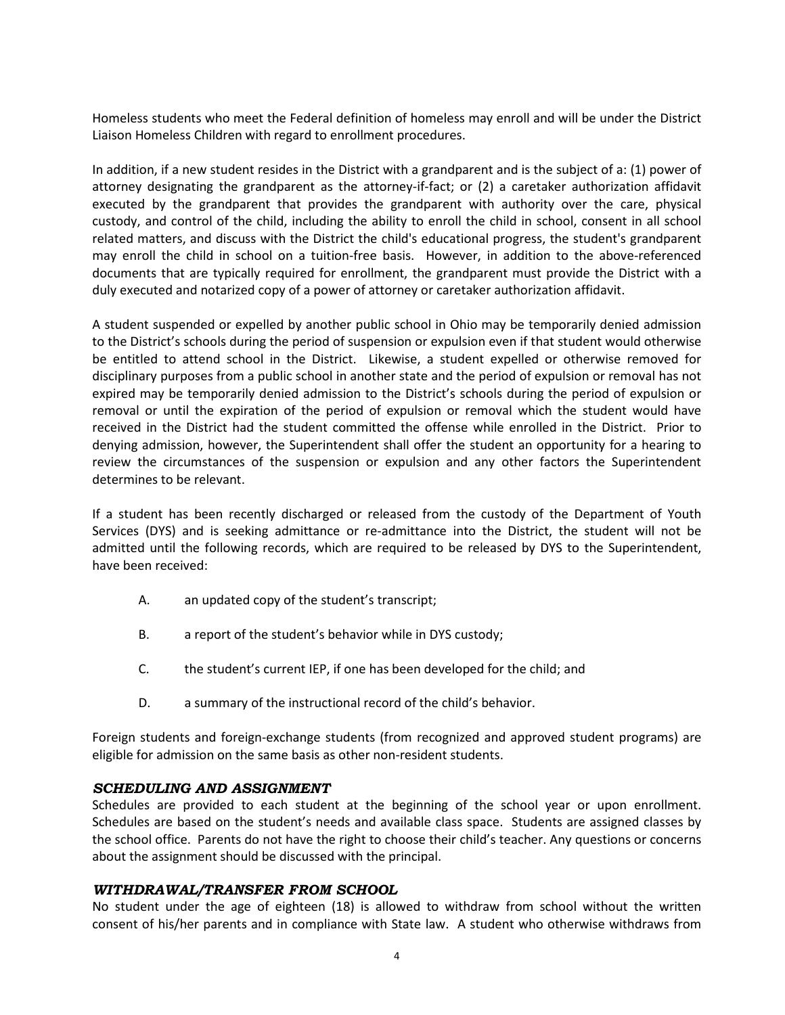Homeless students who meet the Federal definition of homeless may enroll and will be under the District Liaison Homeless Children with regard to enrollment procedures.

In addition, if a new student resides in the District with a grandparent and is the subject of a: (1) power of attorney designating the grandparent as the attorney-if-fact; or (2) a caretaker authorization affidavit executed by the grandparent that provides the grandparent with authority over the care, physical custody, and control of the child, including the ability to enroll the child in school, consent in all school related matters, and discuss with the District the child's educational progress, the student's grandparent may enroll the child in school on a tuition-free basis. However, in addition to the above-referenced documents that are typically required for enrollment, the grandparent must provide the District with a duly executed and notarized copy of a power of attorney or caretaker authorization affidavit.

A student suspended or expelled by another public school in Ohio may be temporarily denied admission to the District's schools during the period of suspension or expulsion even if that student would otherwise be entitled to attend school in the District. Likewise, a student expelled or otherwise removed for disciplinary purposes from a public school in another state and the period of expulsion or removal has not expired may be temporarily denied admission to the District's schools during the period of expulsion or removal or until the expiration of the period of expulsion or removal which the student would have received in the District had the student committed the offense while enrolled in the District. Prior to denying admission, however, the Superintendent shall offer the student an opportunity for a hearing to review the circumstances of the suspension or expulsion and any other factors the Superintendent determines to be relevant.

If a student has been recently discharged or released from the custody of the Department of Youth Services (DYS) and is seeking admittance or re-admittance into the District, the student will not be admitted until the following records, which are required to be released by DYS to the Superintendent, have been received:

- A. an updated copy of the student's transcript;
- B. a report of the student's behavior while in DYS custody;
- C. the student's current IEP, if one has been developed for the child; and
- D. a summary of the instructional record of the child's behavior.

Foreign students and foreign-exchange students (from recognized and approved student programs) are eligible for admission on the same basis as other non-resident students.

### <span id="page-10-0"></span>*SCHEDULING AND ASSIGNMENT*

Schedules are provided to each student at the beginning of the school year or upon enrollment. Schedules are based on the student's needs and available class space. Students are assigned classes by the school office. Parents do not have the right to choose their child's teacher. Any questions or concerns about the assignment should be discussed with the principal.

### <span id="page-10-1"></span>*WITHDRAWAL/TRANSFER FROM SCHOOL*

No student under the age of eighteen (18) is allowed to withdraw from school without the written consent of his/her parents and in compliance with State law. A student who otherwise withdraws from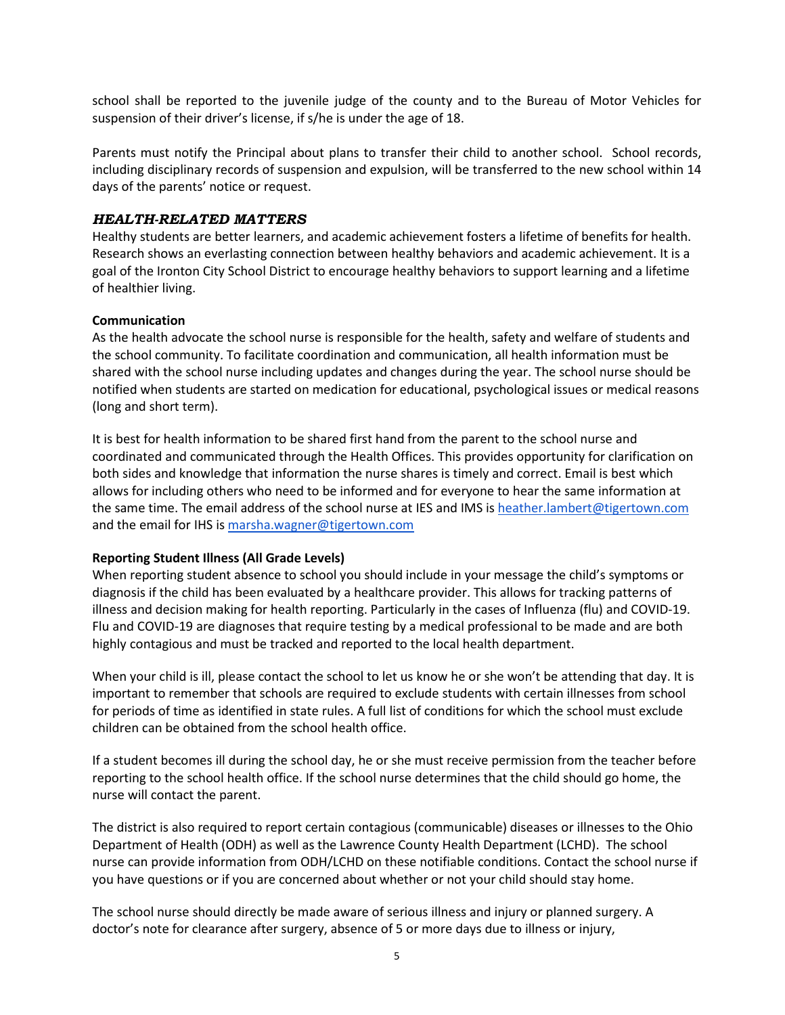school shall be reported to the juvenile judge of the county and to the Bureau of Motor Vehicles for suspension of their driver's license, if s/he is under the age of 18.

Parents must notify the Principal about plans to transfer their child to another school. School records, including disciplinary records of suspension and expulsion, will be transferred to the new school within 14 days of the parents' notice or request.

## <span id="page-11-0"></span>*HEALTH-RELATED MATTERS*

Healthy students are better learners, and academic achievement fosters a lifetime of benefits for health. Research shows an everlasting connection between healthy behaviors and academic achievement. It is a goal of the Ironton City School District to encourage healthy behaviors to support learning and a lifetime of healthier living.

#### **Communication**

As the health advocate the school nurse is responsible for the health, safety and welfare of students and the school community. To facilitate coordination and communication, all health information must be shared with the school nurse including updates and changes during the year. The school nurse should be notified when students are started on medication for educational, psychological issues or medical reasons (long and short term).

It is best for health information to be shared first hand from the parent to the school nurse and coordinated and communicated through the Health Offices. This provides opportunity for clarification on both sides and knowledge that information the nurse shares is timely and correct. Email is best which allows for including others who need to be informed and for everyone to hear the same information at the same time. The email address of the school nurse at IES and IMS i[s heather.lambert@tigertown.com](mailto:heather.lambert@tigertown.com) and the email for IHS is [marsha.wagner@tigertown.com](mailto:marsha.wagner@tigertown.com)

### **Reporting Student Illness (All Grade Levels)**

When reporting student absence to school you should include in your message the child's symptoms or diagnosis if the child has been evaluated by a healthcare provider. This allows for tracking patterns of illness and decision making for health reporting. Particularly in the cases of Influenza (flu) and COVID-19. Flu and COVID-19 are diagnoses that require testing by a medical professional to be made and are both highly contagious and must be tracked and reported to the local health department.

When your child is ill, please contact the school to let us know he or she won't be attending that day. It is important to remember that schools are required to exclude students with certain illnesses from school for periods of time as identified in state rules. A full list of conditions for which the school must exclude children can be obtained from the school health office.

If a student becomes ill during the school day, he or she must receive permission from the teacher before reporting to the school health office. If the school nurse determines that the child should go home, the nurse will contact the parent.

The district is also required to report certain contagious (communicable) diseases or illnesses to the Ohio Department of Health (ODH) as well as the Lawrence County Health Department (LCHD). The school nurse can provide information from ODH/LCHD on these notifiable conditions. Contact the school nurse if you have questions or if you are concerned about whether or not your child should stay home.

The school nurse should directly be made aware of serious illness and injury or planned surgery. A doctor's note for clearance after surgery, absence of 5 or more days due to illness or injury,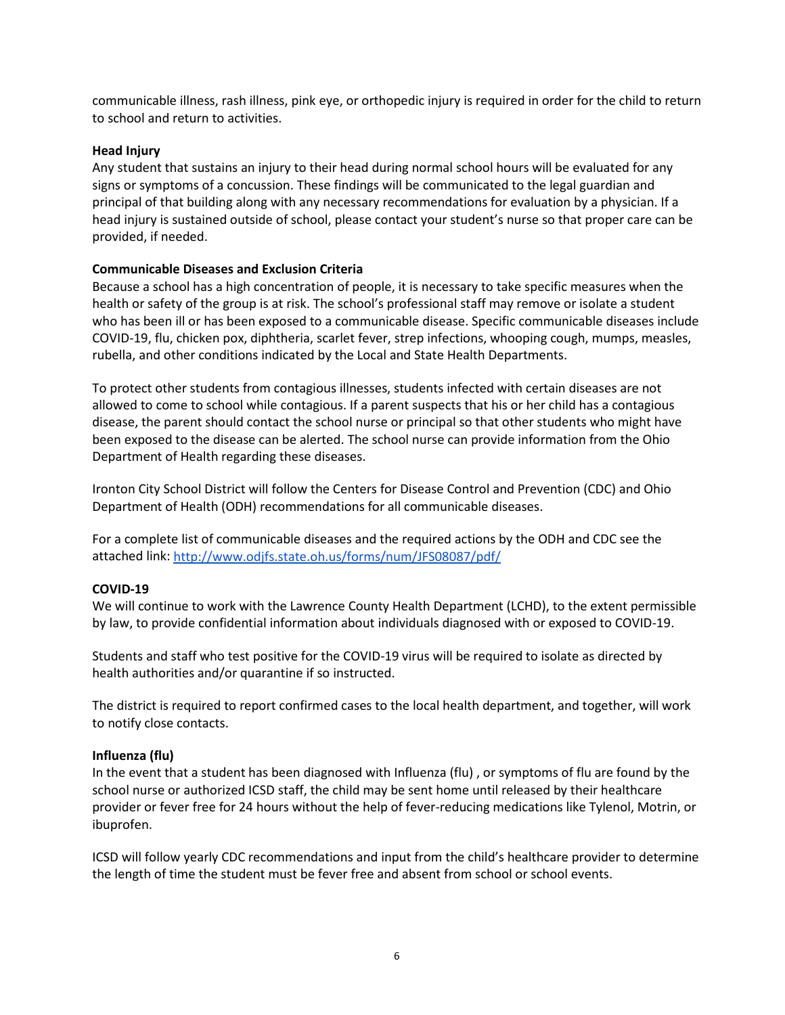communicable illness, rash illness, pink eye, or orthopedic injury is required in order for the child to return to school and return to activities.

### **Head Injury**

Any student that sustains an injury to their head during normal school hours will be evaluated for any signs or symptoms of a concussion. These findings will be communicated to the legal guardian and principal of that building along with any necessary recommendations for evaluation by a physician. If a head injury is sustained outside of school, please contact your student's nurse so that proper care can be provided, if needed.

### **Communicable Diseases and Exclusion Criteria**

Because a school has a high concentration of people, it is necessary to take specific measures when the health or safety of the group is at risk. The school's professional staff may remove or isolate a student who has been ill or has been exposed to a communicable disease. Specific communicable diseases include COVID-19, flu, chicken pox, diphtheria, scarlet fever, strep infections, whooping cough, mumps, measles, rubella, and other conditions indicated by the Local and State Health Departments.

To protect other students from contagious illnesses, students infected with certain diseases are not allowed to come to school while contagious. If a parent suspects that his or her child has a contagious disease, the parent should contact the school nurse or principal so that other students who might have been exposed to the disease can be alerted. The school nurse can provide information from the Ohio Department of Health regarding these diseases.

Ironton City School District will follow the Centers for Disease Control and Prevention (CDC) and Ohio Department of Health (ODH) recommendations for all communicable diseases.

For a complete list of communicable diseases and the required actions by the ODH and CDC see the attached link:<http://www.odjfs.state.oh.us/forms/num/JFS08087/pdf/>

### **COVID-19**

We will continue to work with the Lawrence County Health Department (LCHD), to the extent permissible by law, to provide confidential information about individuals diagnosed with or exposed to COVID-19.

Students and staff who test positive for the COVID-19 virus will be required to isolate as directed by health authorities and/or quarantine if so instructed.

The district is required to report confirmed cases to the local health department, and together, will work to notify close contacts.

### **Influenza (flu)**

In the event that a student has been diagnosed with Influenza (flu) , or symptoms of flu are found by the school nurse or authorized ICSD staff, the child may be sent home until released by their healthcare provider or fever free for 24 hours without the help of fever-reducing medications like Tylenol, Motrin, or ibuprofen.

ICSD will follow yearly CDC recommendations and input from the child's healthcare provider to determine the length of time the student must be fever free and absent from school or school events.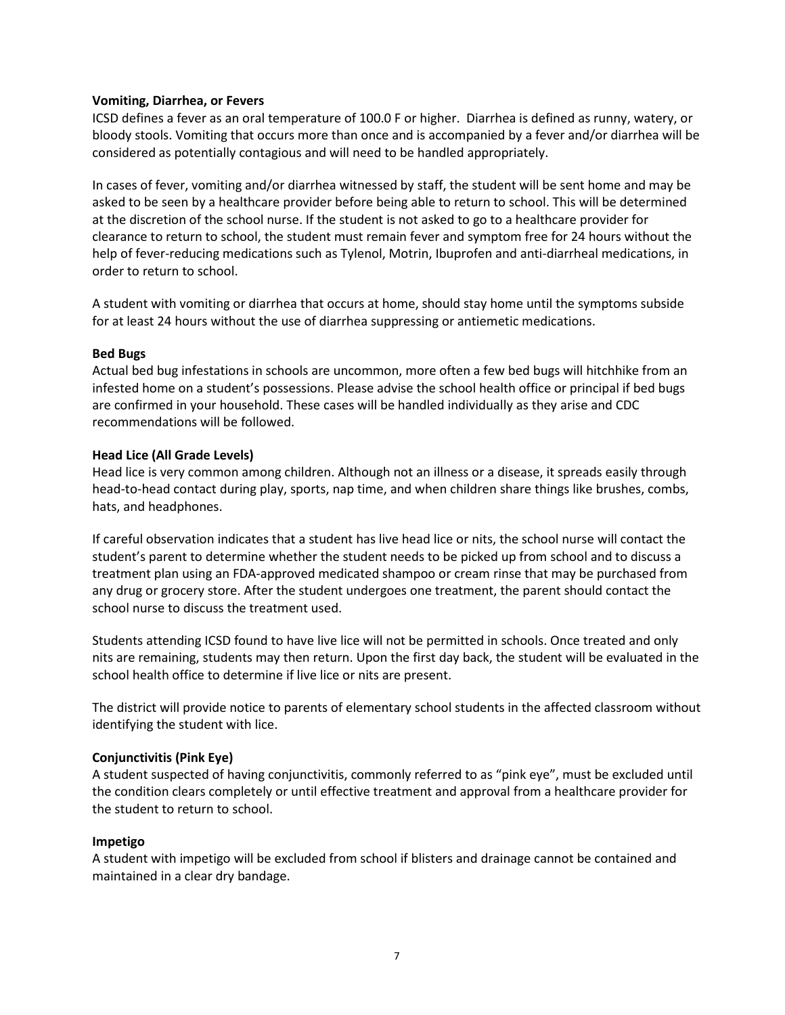#### **Vomiting, Diarrhea, or Fevers**

ICSD defines a fever as an oral temperature of 100.0 F or higher. Diarrhea is defined as runny, watery, or bloody stools. Vomiting that occurs more than once and is accompanied by a fever and/or diarrhea will be considered as potentially contagious and will need to be handled appropriately.

In cases of fever, vomiting and/or diarrhea witnessed by staff, the student will be sent home and may be asked to be seen by a healthcare provider before being able to return to school. This will be determined at the discretion of the school nurse. If the student is not asked to go to a healthcare provider for clearance to return to school, the student must remain fever and symptom free for 24 hours without the help of fever-reducing medications such as Tylenol, Motrin, Ibuprofen and anti-diarrheal medications, in order to return to school.

A student with vomiting or diarrhea that occurs at home, should stay home until the symptoms subside for at least 24 hours without the use of diarrhea suppressing or antiemetic medications.

#### **Bed Bugs**

Actual bed bug infestations in schools are uncommon, more often a few bed bugs will hitchhike from an infested home on a student's possessions. Please advise the school health office or principal if bed bugs are confirmed in your household. These cases will be handled individually as they arise and CDC recommendations will be followed.

#### **Head Lice (All Grade Levels)**

Head lice is very common among children. Although not an illness or a disease, it spreads easily through head-to-head contact during play, sports, nap time, and when children share things like brushes, combs, hats, and headphones.

If careful observation indicates that a student has live head lice or nits, the school nurse will contact the student's parent to determine whether the student needs to be picked up from school and to discuss a treatment plan using an FDA-approved medicated shampoo or cream rinse that may be purchased from any drug or grocery store. After the student undergoes one treatment, the parent should contact the school nurse to discuss the treatment used.

Students attending ICSD found to have live lice will not be permitted in schools. Once treated and only nits are remaining, students may then return. Upon the first day back, the student will be evaluated in the school health office to determine if live lice or nits are present.

The district will provide notice to parents of elementary school students in the affected classroom without identifying the student with lice.

### **Conjunctivitis (Pink Eye)**

A student suspected of having conjunctivitis, commonly referred to as "pink eye", must be excluded until the condition clears completely or until effective treatment and approval from a healthcare provider for the student to return to school.

#### **Impetigo**

A student with impetigo will be excluded from school if blisters and drainage cannot be contained and maintained in a clear dry bandage.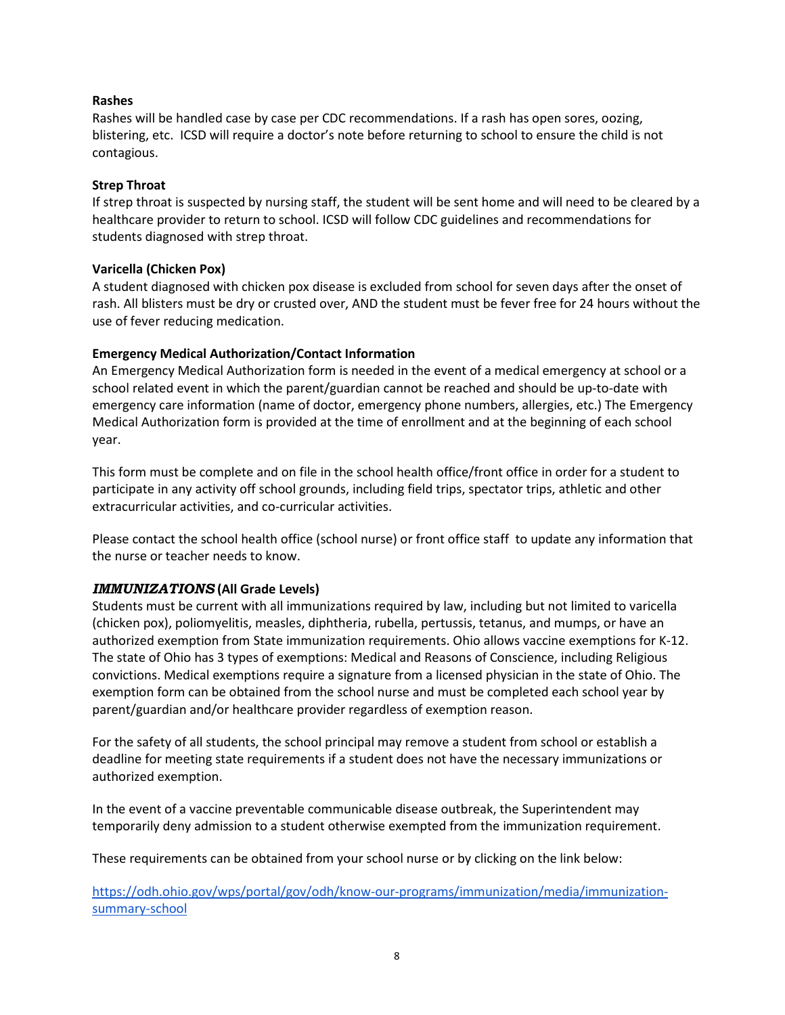### **Rashes**

Rashes will be handled case by case per CDC recommendations. If a rash has open sores, oozing, blistering, etc. ICSD will require a doctor's note before returning to school to ensure the child is not contagious.

## **Strep Throat**

If strep throat is suspected by nursing staff, the student will be sent home and will need to be cleared by a healthcare provider to return to school. ICSD will follow CDC guidelines and recommendations for students diagnosed with strep throat.

# **Varicella (Chicken Pox)**

A student diagnosed with chicken pox disease is excluded from school for seven days after the onset of rash. All blisters must be dry or crusted over, AND the student must be fever free for 24 hours without the use of fever reducing medication.

# **Emergency Medical Authorization/Contact Information**

An Emergency Medical Authorization form is needed in the event of a medical emergency at school or a school related event in which the parent/guardian cannot be reached and should be up-to-date with emergency care information (name of doctor, emergency phone numbers, allergies, etc.) The Emergency Medical Authorization form is provided at the time of enrollment and at the beginning of each school year.

This form must be complete and on file in the school health office/front office in order for a student to participate in any activity off school grounds, including field trips, spectator trips, athletic and other extracurricular activities, and co-curricular activities.

Please contact the school health office (school nurse) or front office staff to update any information that the nurse or teacher needs to know.

# <span id="page-14-0"></span>*IMMUNIZATIONS* **(All Grade Levels)**

Students must be current with all immunizations required by law, including but not limited to varicella (chicken pox), poliomyelitis, measles, diphtheria, rubella, pertussis, tetanus, and mumps, or have an authorized exemption from State immunization requirements. Ohio allows vaccine exemptions for K-12. The state of Ohio has 3 types of exemptions: Medical and Reasons of Conscience, including Religious convictions. Medical exemptions require a signature from a licensed physician in the state of Ohio. The exemption form can be obtained from the school nurse and must be completed each school year by parent/guardian and/or healthcare provider regardless of exemption reason.

For the safety of all students, the school principal may remove a student from school or establish a deadline for meeting state requirements if a student does not have the necessary immunizations or authorized exemption.

In the event of a vaccine preventable communicable disease outbreak, the Superintendent may temporarily deny admission to a student otherwise exempted from the immunization requirement.

These requirements can be obtained from your school nurse or by clicking on the link below:

[https://odh.ohio.gov/wps/portal/gov/odh/know-our-programs/immunization/media/immunization](https://odh.ohio.gov/wps/portal/gov/odh/know-our-programs/immunization/media/immunization-summary-school)[summary-school](https://odh.ohio.gov/wps/portal/gov/odh/know-our-programs/immunization/media/immunization-summary-school)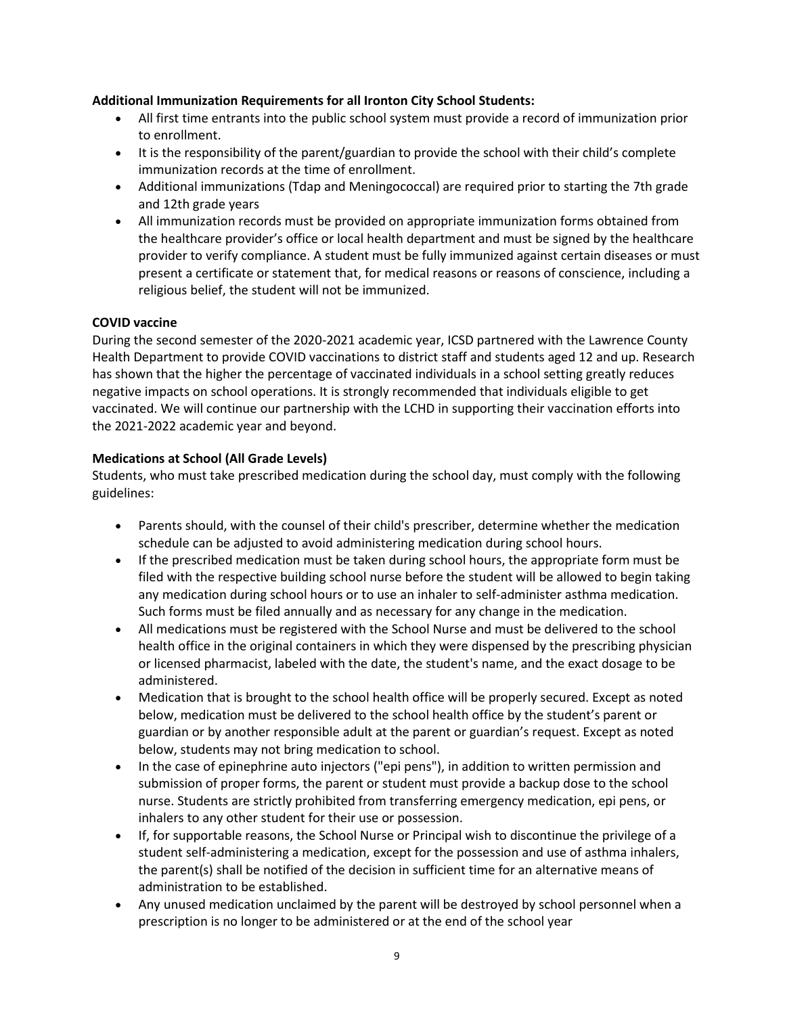## **Additional Immunization Requirements for all Ironton City School Students:**

- All first time entrants into the public school system must provide a record of immunization prior to enrollment.
- It is the responsibility of the parent/guardian to provide the school with their child's complete immunization records at the time of enrollment.
- Additional immunizations (Tdap and Meningococcal) are required prior to starting the 7th grade and 12th grade years
- All immunization records must be provided on appropriate immunization forms obtained from the healthcare provider's office or local health department and must be signed by the healthcare provider to verify compliance. A student must be fully immunized against certain diseases or must present a certificate or statement that, for medical reasons or reasons of conscience, including a religious belief, the student will not be immunized.

# **COVID vaccine**

During the second semester of the 2020-2021 academic year, ICSD partnered with the Lawrence County Health Department to provide COVID vaccinations to district staff and students aged 12 and up. Research has shown that the higher the percentage of vaccinated individuals in a school setting greatly reduces negative impacts on school operations. It is strongly recommended that individuals eligible to get vaccinated. We will continue our partnership with the LCHD in supporting their vaccination efforts into the 2021-2022 academic year and beyond.

# **Medications at School (All Grade Levels)**

Students, who must take prescribed medication during the school day, must comply with the following guidelines:

- Parents should, with the counsel of their child's prescriber, determine whether the medication schedule can be adjusted to avoid administering medication during school hours.
- If the prescribed medication must be taken during school hours, the appropriate form must be filed with the respective building school nurse before the student will be allowed to begin taking any medication during school hours or to use an inhaler to self-administer asthma medication. Such forms must be filed annually and as necessary for any change in the medication.
- All medications must be registered with the School Nurse and must be delivered to the school health office in the original containers in which they were dispensed by the prescribing physician or licensed pharmacist, labeled with the date, the student's name, and the exact dosage to be administered.
- Medication that is brought to the school health office will be properly secured. Except as noted below, medication must be delivered to the school health office by the student's parent or guardian or by another responsible adult at the parent or guardian's request. Except as noted below, students may not bring medication to school.
- In the case of epinephrine auto injectors ("epi pens"), in addition to written permission and submission of proper forms, the parent or student must provide a backup dose to the school nurse. Students are strictly prohibited from transferring emergency medication, epi pens, or inhalers to any other student for their use or possession.
- If, for supportable reasons, the School Nurse or Principal wish to discontinue the privilege of a student self-administering a medication, except for the possession and use of asthma inhalers, the parent(s) shall be notified of the decision in sufficient time for an alternative means of administration to be established.
- Any unused medication unclaimed by the parent will be destroyed by school personnel when a prescription is no longer to be administered or at the end of the school year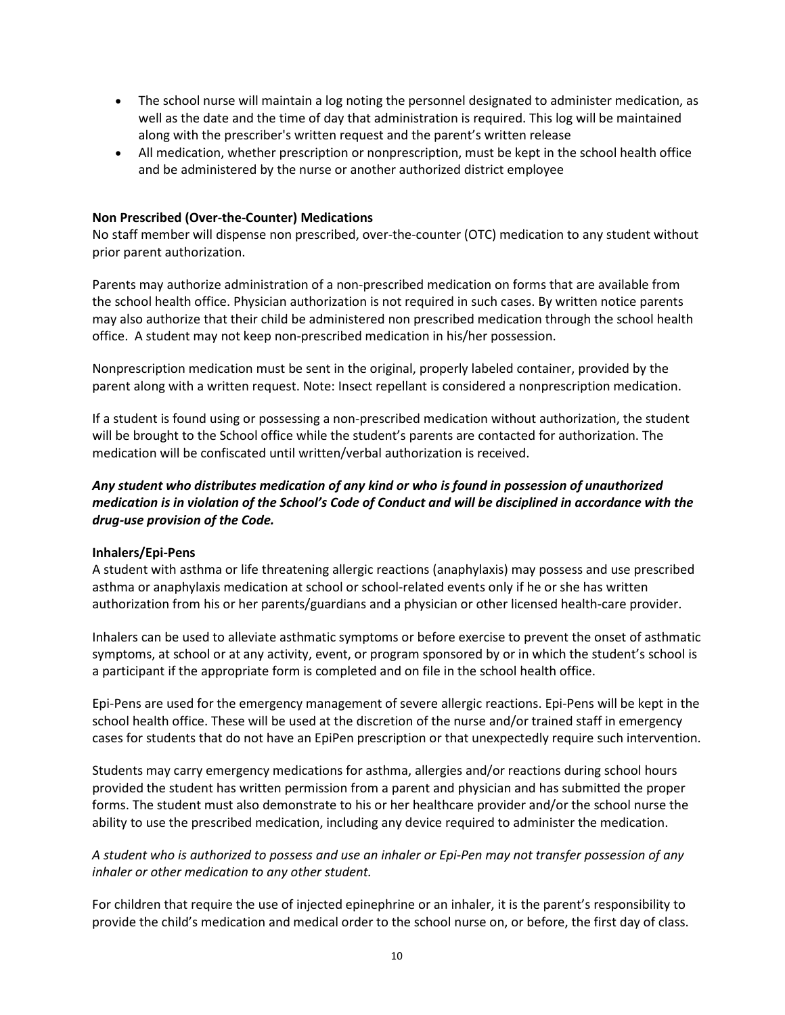- The school nurse will maintain a log noting the personnel designated to administer medication, as well as the date and the time of day that administration is required. This log will be maintained along with the prescriber's written request and the parent's written release
- All medication, whether prescription or nonprescription, must be kept in the school health office and be administered by the nurse or another authorized district employee

#### **Non Prescribed (Over-the-Counter) Medications**

No staff member will dispense non prescribed, over-the-counter (OTC) medication to any student without prior parent authorization.

Parents may authorize administration of a non-prescribed medication on forms that are available from the school health office. Physician authorization is not required in such cases. By written notice parents may also authorize that their child be administered non prescribed medication through the school health office. A student may not keep non-prescribed medication in his/her possession.

Nonprescription medication must be sent in the original, properly labeled container, provided by the parent along with a written request. Note: Insect repellant is considered a nonprescription medication.

If a student is found using or possessing a non-prescribed medication without authorization, the student will be brought to the School office while the student's parents are contacted for authorization. The medication will be confiscated until written/verbal authorization is received.

# *Any student who distributes medication of any kind or who is found in possession of unauthorized medication is in violation of the School's Code of Conduct and will be disciplined in accordance with the drug-use provision of the Code.*

#### **Inhalers/Epi-Pens**

A student with asthma or life threatening allergic reactions (anaphylaxis) may possess and use prescribed asthma or anaphylaxis medication at school or school-related events only if he or she has written authorization from his or her parents/guardians and a physician or other licensed health-care provider.

Inhalers can be used to alleviate asthmatic symptoms or before exercise to prevent the onset of asthmatic symptoms, at school or at any activity, event, or program sponsored by or in which the student's school is a participant if the appropriate form is completed and on file in the school health office.

Epi-Pens are used for the emergency management of severe allergic reactions. Epi-Pens will be kept in the school health office. These will be used at the discretion of the nurse and/or trained staff in emergency cases for students that do not have an EpiPen prescription or that unexpectedly require such intervention.

Students may carry emergency medications for asthma, allergies and/or reactions during school hours provided the student has written permission from a parent and physician and has submitted the proper forms. The student must also demonstrate to his or her healthcare provider and/or the school nurse the ability to use the prescribed medication, including any device required to administer the medication.

# *A student who is authorized to possess and use an inhaler or Epi-Pen may not transfer possession of any inhaler or other medication to any other student.*

For children that require the use of injected epinephrine or an inhaler, it is the parent's responsibility to provide the child's medication and medical order to the school nurse on, or before, the first day of class.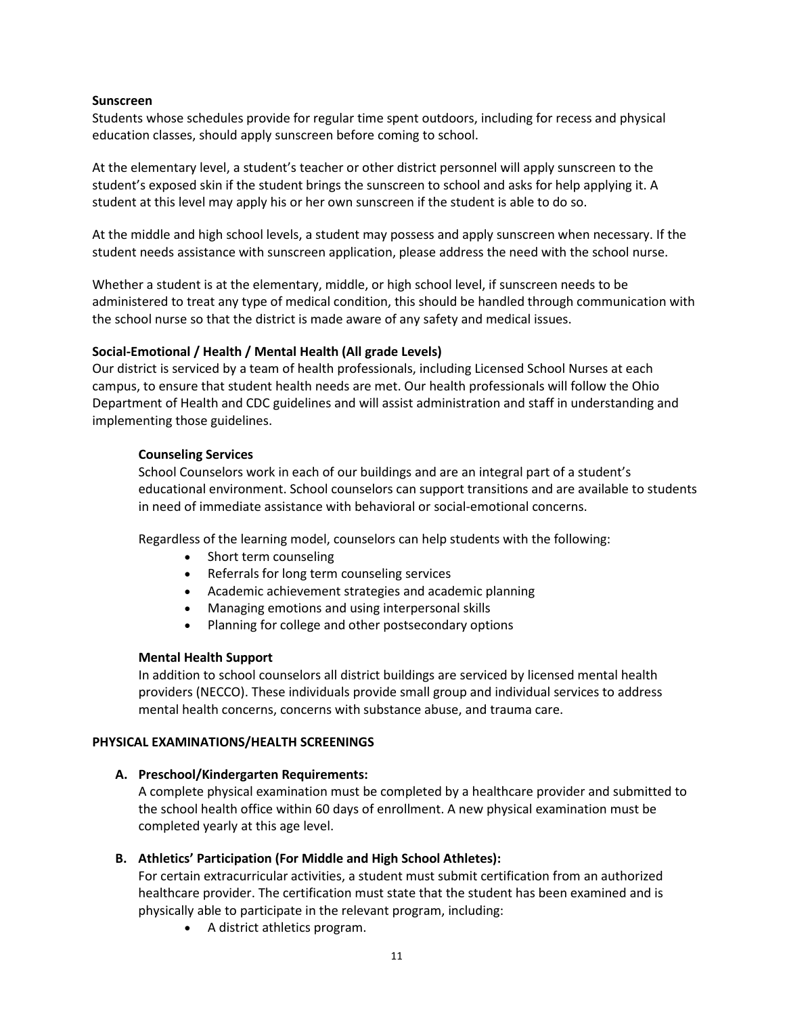#### **Sunscreen**

Students whose schedules provide for regular time spent outdoors, including for recess and physical education classes, should apply sunscreen before coming to school.

At the elementary level, a student's teacher or other district personnel will apply sunscreen to the student's exposed skin if the student brings the sunscreen to school and asks for help applying it. A student at this level may apply his or her own sunscreen if the student is able to do so.

At the middle and high school levels, a student may possess and apply sunscreen when necessary. If the student needs assistance with sunscreen application, please address the need with the school nurse.

Whether a student is at the elementary, middle, or high school level, if sunscreen needs to be administered to treat any type of medical condition, this should be handled through communication with the school nurse so that the district is made aware of any safety and medical issues.

### **Social-Emotional / Health / Mental Health (All grade Levels)**

Our district is serviced by a team of health professionals, including Licensed School Nurses at each campus, to ensure that student health needs are met. Our health professionals will follow the Ohio Department of Health and CDC guidelines and will assist administration and staff in understanding and implementing those guidelines.

### **Counseling Services**

School Counselors work in each of our buildings and are an integral part of a student's educational environment. School counselors can support transitions and are available to students in need of immediate assistance with behavioral or social-emotional concerns.

Regardless of the learning model, counselors can help students with the following:

- Short term counseling
- Referrals for long term counseling services
- Academic achievement strategies and academic planning
- Managing emotions and using interpersonal skills
- Planning for college and other postsecondary options

### **Mental Health Support**

In addition to school counselors all district buildings are serviced by licensed mental health providers (NECCO). These individuals provide small group and individual services to address mental health concerns, concerns with substance abuse, and trauma care.

### **PHYSICAL EXAMINATIONS/HEALTH SCREENINGS**

### **A. Preschool/Kindergarten Requirements:**

A complete physical examination must be completed by a healthcare provider and submitted to the school health office within 60 days of enrollment. A new physical examination must be completed yearly at this age level.

### **B. Athletics' Participation (For Middle and High School Athletes):**

For certain extracurricular activities, a student must submit certification from an authorized healthcare provider. The certification must state that the student has been examined and is physically able to participate in the relevant program, including:

• A district athletics program.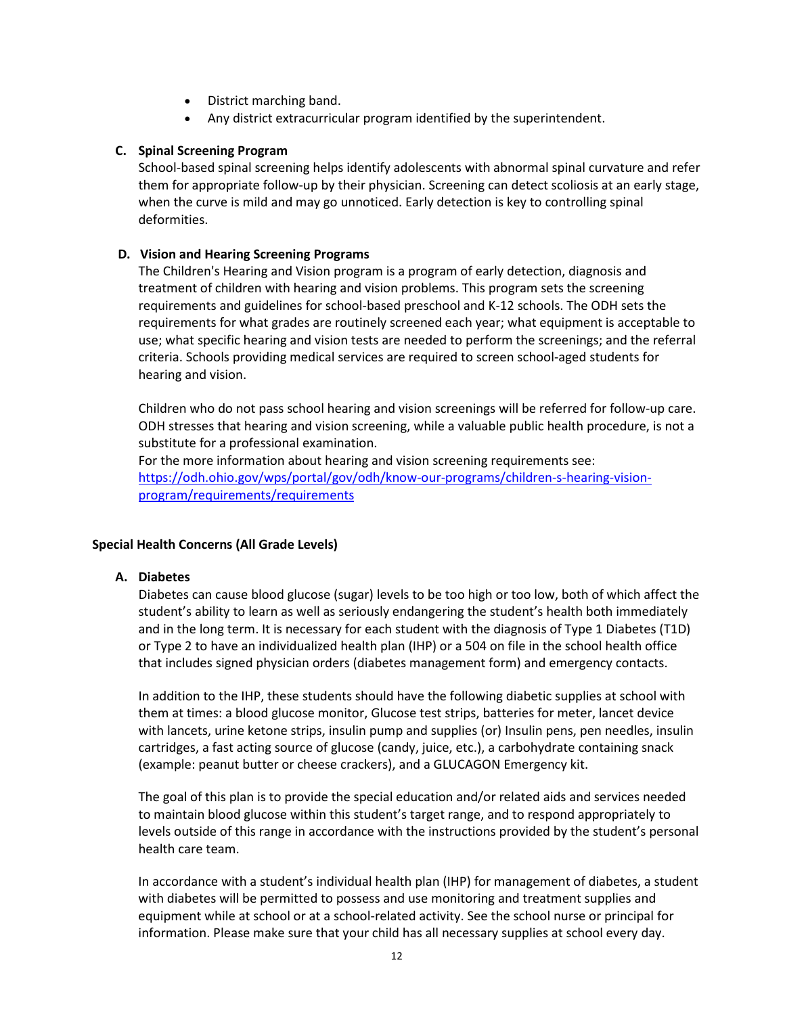- District marching band.
- Any district extracurricular program identified by the superintendent.

# **C. Spinal Screening Program**

School-based spinal screening helps identify adolescents with abnormal spinal curvature and refer them for appropriate follow-up by their physician. Screening can detect scoliosis at an early stage, when the curve is mild and may go unnoticed. Early detection is key to controlling spinal deformities.

# **D. Vision and Hearing Screening Programs**

The Children's Hearing and Vision program is a program of early detection, diagnosis and treatment of children with hearing and vision problems. This program sets the screening requirements and guidelines for school-based preschool and K-12 schools. The ODH sets the requirements for what grades are routinely screened each year; what equipment is acceptable to use; what specific hearing and vision tests are needed to perform the screenings; and the referral criteria. Schools providing medical services are required to screen school-aged students for hearing and vision.

Children who do not pass school hearing and vision screenings will be referred for follow-up care. ODH stresses that hearing and vision screening, while a valuable public health procedure, is not a substitute for a professional examination.

For the more information about hearing and vision screening requirements see: [https://odh.ohio.gov/wps/portal/gov/odh/know-our-programs/children-s-hearing-vision](https://odh.ohio.gov/wps/portal/gov/odh/know-our-programs/children-s-hearing-vision-program/requirements/requirements)[program/requirements/requirements](https://odh.ohio.gov/wps/portal/gov/odh/know-our-programs/children-s-hearing-vision-program/requirements/requirements)

### **Special Health Concerns (All Grade Levels)**

### **A. Diabetes**

Diabetes can cause blood glucose (sugar) levels to be too high or too low, both of which affect the student's ability to learn as well as seriously endangering the student's health both immediately and in the long term. It is necessary for each student with the diagnosis of Type 1 Diabetes (T1D) or Type 2 to have an individualized health plan (IHP) or a 504 on file in the school health office that includes signed physician orders (diabetes management form) and emergency contacts.

In addition to the IHP, these students should have the following diabetic supplies at school with them at times: a blood glucose monitor, Glucose test strips, batteries for meter, lancet device with lancets, urine ketone strips, insulin pump and supplies (or) Insulin pens, pen needles, insulin cartridges, a fast acting source of glucose (candy, juice, etc.), a carbohydrate containing snack (example: peanut butter or cheese crackers), and a GLUCAGON Emergency kit.

The goal of this plan is to provide the special education and/or related aids and services needed to maintain blood glucose within this student's target range, and to respond appropriately to levels outside of this range in accordance with the instructions provided by the student's personal health care team.

In accordance with a student's individual health plan (IHP) for management of diabetes, a student with diabetes will be permitted to possess and use monitoring and treatment supplies and equipment while at school or at a school-related activity. See the school nurse or principal for information. Please make sure that your child has all necessary supplies at school every day.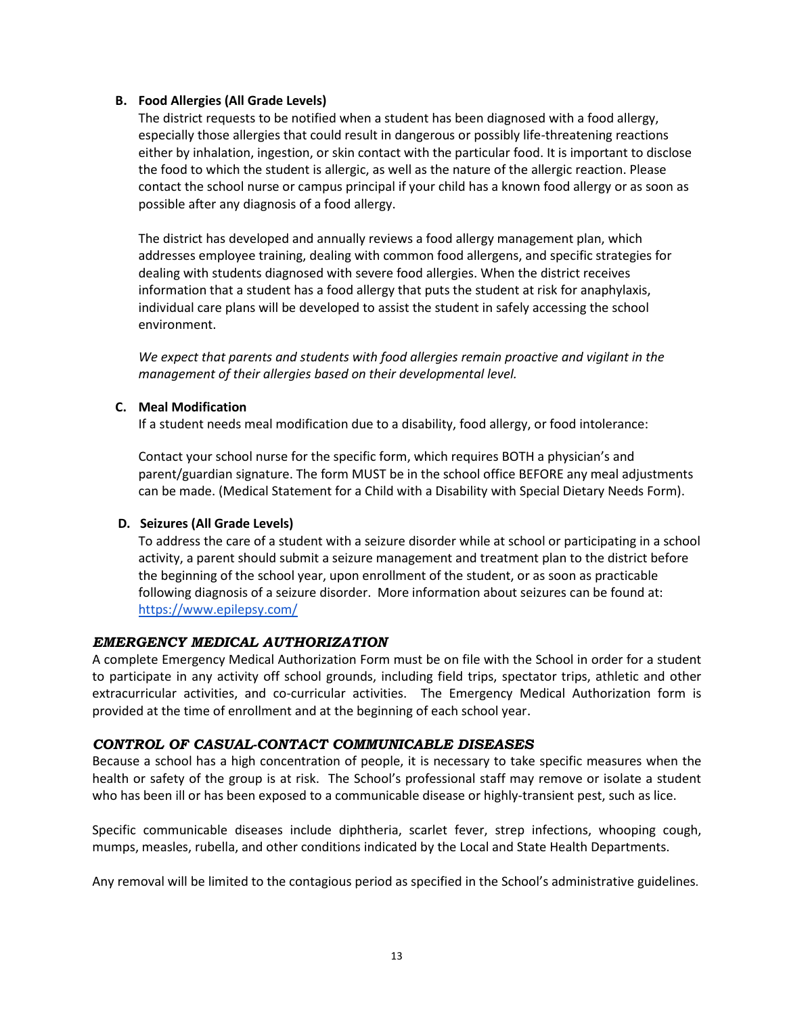### **B. Food Allergies (All Grade Levels)**

The district requests to be notified when a student has been diagnosed with a food allergy, especially those allergies that could result in dangerous or possibly life-threatening reactions either by inhalation, ingestion, or skin contact with the particular food. It is important to disclose the food to which the student is allergic, as well as the nature of the allergic reaction. Please contact the school nurse or campus principal if your child has a known food allergy or as soon as possible after any diagnosis of a food allergy.

The district has developed and annually reviews a food allergy management plan, which addresses employee training, dealing with common food allergens, and specific strategies for dealing with students diagnosed with severe food allergies. When the district receives information that a student has a food allergy that puts the student at risk for anaphylaxis, individual care plans will be developed to assist the student in safely accessing the school environment.

*We expect that parents and students with food allergies remain proactive and vigilant in the management of their allergies based on their developmental level.*

### **C. Meal Modification**

If a student needs meal modification due to a disability, food allergy, or food intolerance:

Contact your school nurse for the specific form, which requires BOTH a physician's and parent/guardian signature. The form MUST be in the school office BEFORE any meal adjustments can be made. (Medical Statement for a Child with a Disability with Special Dietary Needs Form).

### **D. Seizures (All Grade Levels)**

To address the care of a student with a seizure disorder while at school or participating in a school activity, a parent should submit a seizure management and treatment plan to the district before the beginning of the school year, upon enrollment of the student, or as soon as practicable following diagnosis of a seizure disorder. More information about seizures can be found at: <https://www.epilepsy.com/>

# <span id="page-19-0"></span>*EMERGENCY MEDICAL AUTHORIZATION*

A complete Emergency Medical Authorization Form must be on file with the School in order for a student to participate in any activity off school grounds, including field trips, spectator trips, athletic and other extracurricular activities, and co-curricular activities. The Emergency Medical Authorization form is provided at the time of enrollment and at the beginning of each school year.

### <span id="page-19-1"></span>*CONTROL OF CASUAL-CONTACT COMMUNICABLE DISEASES*

Because a school has a high concentration of people, it is necessary to take specific measures when the health or safety of the group is at risk. The School's professional staff may remove or isolate a student who has been ill or has been exposed to a communicable disease or highly-transient pest, such as lice.

Specific communicable diseases include diphtheria, scarlet fever, strep infections, whooping cough, mumps, measles, rubella, and other conditions indicated by the Local and State Health Departments.

Any removal will be limited to the contagious period as specified in the School's administrative guidelines.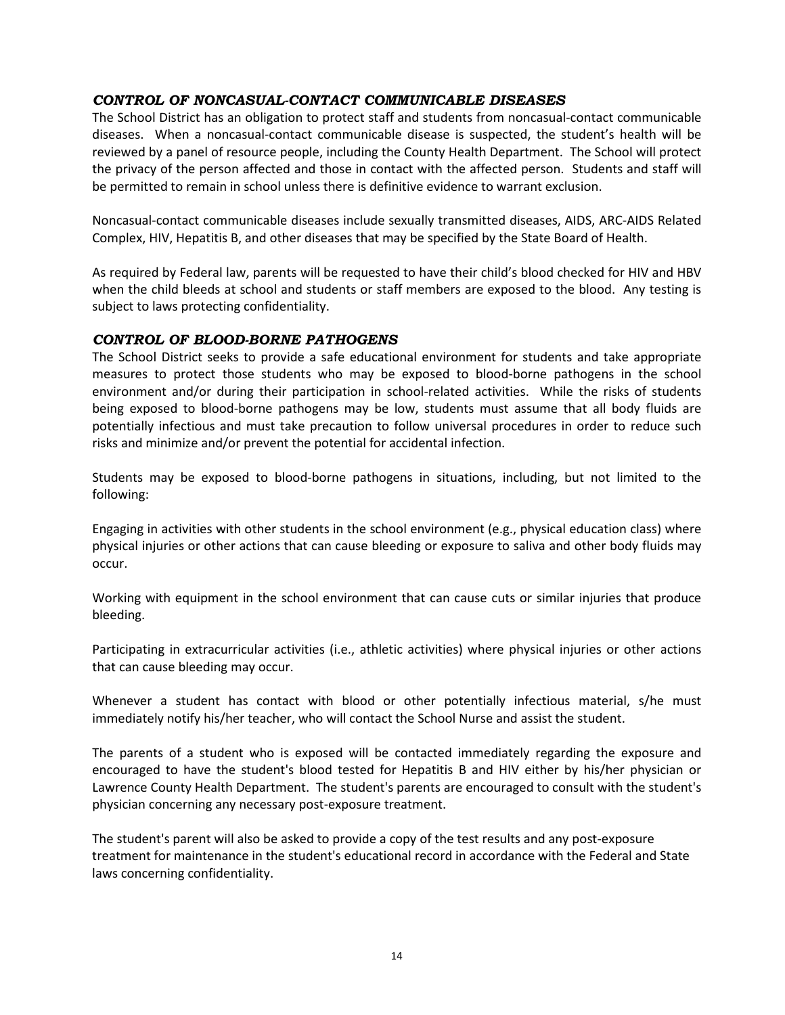# <span id="page-20-0"></span>*CONTROL OF NONCASUAL-CONTACT COMMUNICABLE DISEASES*

The School District has an obligation to protect staff and students from noncasual-contact communicable diseases. When a noncasual-contact communicable disease is suspected, the student's health will be reviewed by a panel of resource people, including the County Health Department. The School will protect the privacy of the person affected and those in contact with the affected person. Students and staff will be permitted to remain in school unless there is definitive evidence to warrant exclusion.

Noncasual-contact communicable diseases include sexually transmitted diseases, AIDS, ARC-AIDS Related Complex, HIV, Hepatitis B, and other diseases that may be specified by the State Board of Health.

As required by Federal law, parents will be requested to have their child's blood checked for HIV and HBV when the child bleeds at school and students or staff members are exposed to the blood. Any testing is subject to laws protecting confidentiality.

### <span id="page-20-1"></span>*CONTROL OF BLOOD-BORNE PATHOGENS*

The School District seeks to provide a safe educational environment for students and take appropriate measures to protect those students who may be exposed to blood-borne pathogens in the school environment and/or during their participation in school-related activities. While the risks of students being exposed to blood-borne pathogens may be low, students must assume that all body fluids are potentially infectious and must take precaution to follow universal procedures in order to reduce such risks and minimize and/or prevent the potential for accidental infection.

Students may be exposed to blood-borne pathogens in situations, including, but not limited to the following:

Engaging in activities with other students in the school environment (e.g., physical education class) where physical injuries or other actions that can cause bleeding or exposure to saliva and other body fluids may occur.

Working with equipment in the school environment that can cause cuts or similar injuries that produce bleeding.

Participating in extracurricular activities (i.e., athletic activities) where physical injuries or other actions that can cause bleeding may occur.

Whenever a student has contact with blood or other potentially infectious material, s/he must immediately notify his/her teacher, who will contact the School Nurse and assist the student.

The parents of a student who is exposed will be contacted immediately regarding the exposure and encouraged to have the student's blood tested for Hepatitis B and HIV either by his/her physician or Lawrence County Health Department. The student's parents are encouraged to consult with the student's physician concerning any necessary post-exposure treatment.

The student's parent will also be asked to provide a copy of the test results and any post-exposure treatment for maintenance in the student's educational record in accordance with the Federal and State laws concerning confidentiality.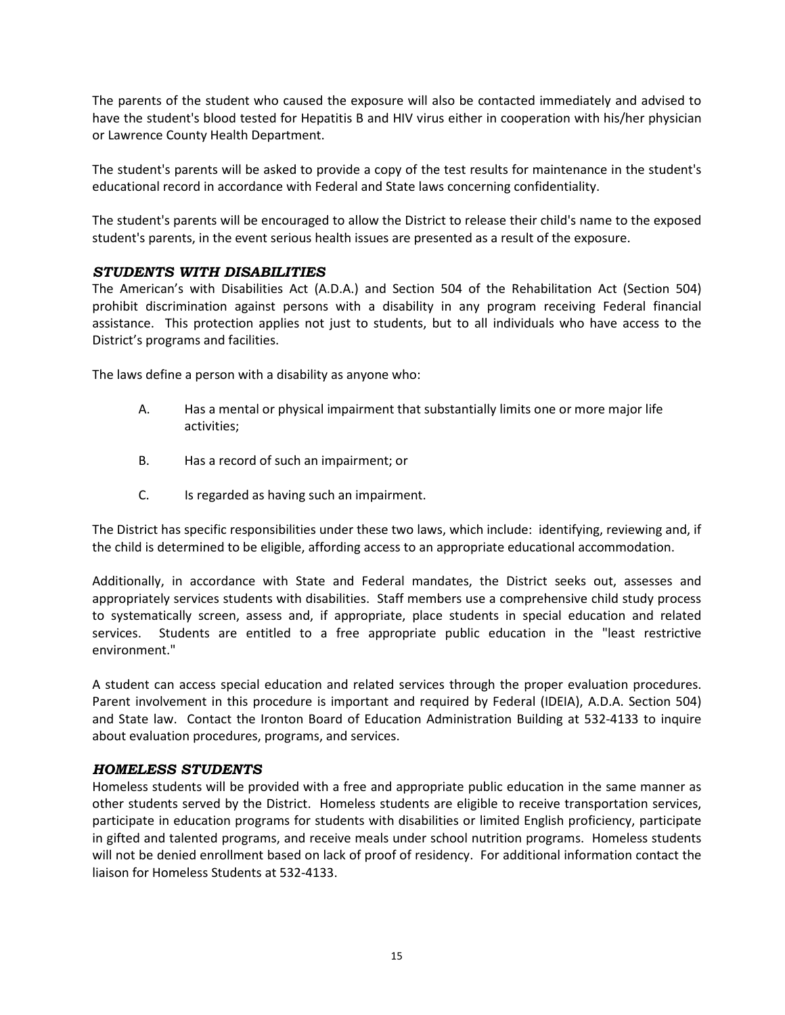The parents of the student who caused the exposure will also be contacted immediately and advised to have the student's blood tested for Hepatitis B and HIV virus either in cooperation with his/her physician or Lawrence County Health Department.

The student's parents will be asked to provide a copy of the test results for maintenance in the student's educational record in accordance with Federal and State laws concerning confidentiality.

The student's parents will be encouraged to allow the District to release their child's name to the exposed student's parents, in the event serious health issues are presented as a result of the exposure.

# <span id="page-21-0"></span>*STUDENTS WITH DISABILITIES*

The American's with Disabilities Act (A.D.A.) and Section 504 of the Rehabilitation Act (Section 504) prohibit discrimination against persons with a disability in any program receiving Federal financial assistance. This protection applies not just to students, but to all individuals who have access to the District's programs and facilities.

The laws define a person with a disability as anyone who:

- A. Has a mental or physical impairment that substantially limits one or more major life activities;
- B. Has a record of such an impairment; or
- C. Is regarded as having such an impairment.

The District has specific responsibilities under these two laws, which include: identifying, reviewing and, if the child is determined to be eligible, affording access to an appropriate educational accommodation.

Additionally, in accordance with State and Federal mandates, the District seeks out, assesses and appropriately services students with disabilities. Staff members use a comprehensive child study process to systematically screen, assess and, if appropriate, place students in special education and related services. Students are entitled to a free appropriate public education in the "least restrictive environment."

A student can access special education and related services through the proper evaluation procedures. Parent involvement in this procedure is important and required by Federal (IDEIA), A.D.A. Section 504) and State law. Contact the Ironton Board of Education Administration Building at 532-4133 to inquire about evaluation procedures, programs, and services.

### <span id="page-21-1"></span>*HOMELESS STUDENTS*

Homeless students will be provided with a free and appropriate public education in the same manner as other students served by the District. Homeless students are eligible to receive transportation services, participate in education programs for students with disabilities or limited English proficiency, participate in gifted and talented programs, and receive meals under school nutrition programs. Homeless students will not be denied enrollment based on lack of proof of residency. For additional information contact the liaison for Homeless Students at 532-4133.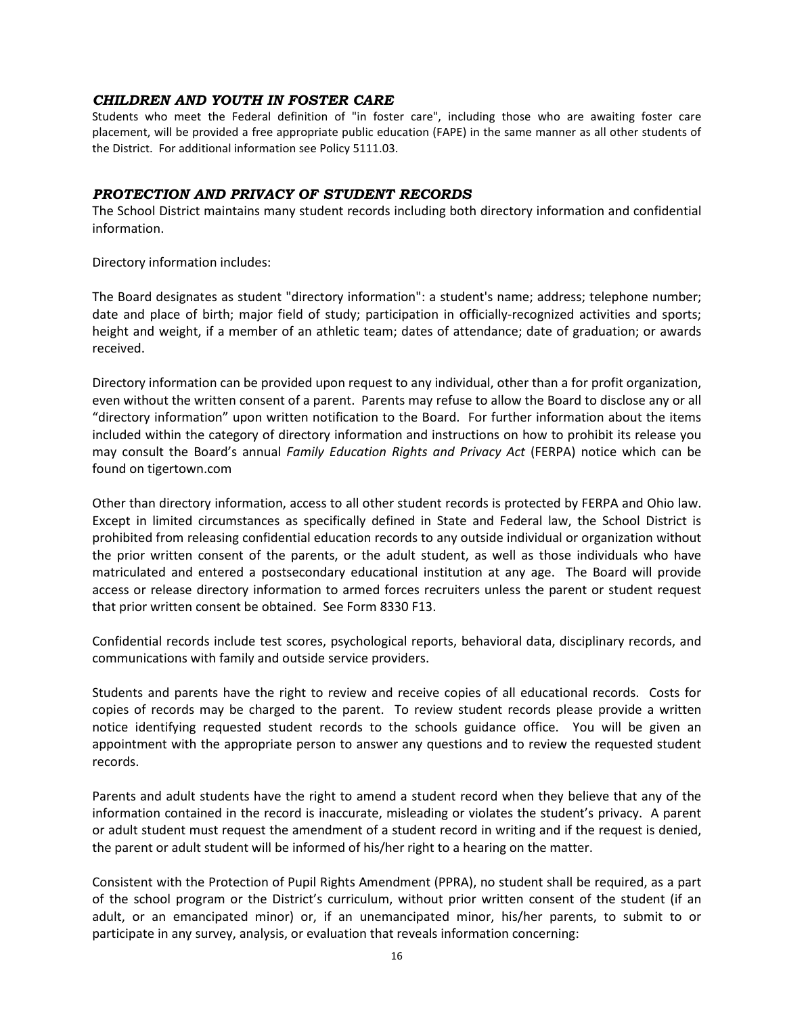#### <span id="page-22-0"></span>*CHILDREN AND YOUTH IN FOSTER CARE*

Students who meet the Federal definition of "in foster care", including those who are awaiting foster care placement, will be provided a free appropriate public education (FAPE) in the same manner as all other students of the District. For additional information see Policy 5111.03.

#### <span id="page-22-1"></span>*PROTECTION AND PRIVACY OF STUDENT RECORDS*

The School District maintains many student records including both directory information and confidential information.

Directory information includes:

The Board designates as student "directory information": a student's name; address; telephone number; date and place of birth; major field of study; participation in officially-recognized activities and sports; height and weight, if a member of an athletic team; dates of attendance; date of graduation; or awards received.

Directory information can be provided upon request to any individual, other than a for profit organization, even without the written consent of a parent. Parents may refuse to allow the Board to disclose any or all "directory information" upon written notification to the Board. For further information about the items included within the category of directory information and instructions on how to prohibit its release you may consult the Board's annual *Family Education Rights and Privacy Act* (FERPA) notice which can be found on tigertown.com

Other than directory information, access to all other student records is protected by FERPA and Ohio law. Except in limited circumstances as specifically defined in State and Federal law, the School District is prohibited from releasing confidential education records to any outside individual or organization without the prior written consent of the parents, or the adult student, as well as those individuals who have matriculated and entered a postsecondary educational institution at any age. The Board will provide access or release directory information to armed forces recruiters unless the parent or student request that prior written consent be obtained. See Form 8330 F13.

Confidential records include test scores, psychological reports, behavioral data, disciplinary records, and communications with family and outside service providers.

Students and parents have the right to review and receive copies of all educational records. Costs for copies of records may be charged to the parent. To review student records please provide a written notice identifying requested student records to the schools guidance office. You will be given an appointment with the appropriate person to answer any questions and to review the requested student records.

Parents and adult students have the right to amend a student record when they believe that any of the information contained in the record is inaccurate, misleading or violates the student's privacy. A parent or adult student must request the amendment of a student record in writing and if the request is denied, the parent or adult student will be informed of his/her right to a hearing on the matter.

Consistent with the Protection of Pupil Rights Amendment (PPRA), no student shall be required, as a part of the school program or the District's curriculum, without prior written consent of the student (if an adult, or an emancipated minor) or, if an unemancipated minor, his/her parents, to submit to or participate in any survey, analysis, or evaluation that reveals information concerning: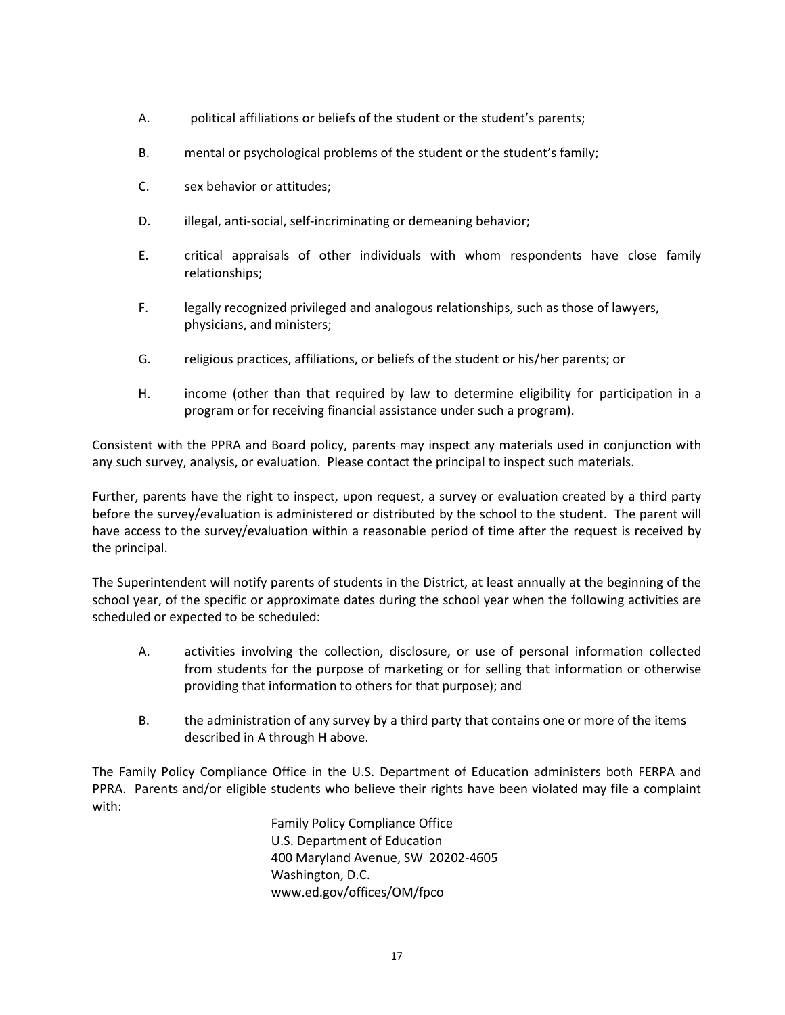- A. political affiliations or beliefs of the student or the student's parents;
- B. mental or psychological problems of the student or the student's family;
- C. sex behavior or attitudes;
- D. illegal, anti-social, self-incriminating or demeaning behavior;
- E. critical appraisals of other individuals with whom respondents have close family relationships;
- F. legally recognized privileged and analogous relationships, such as those of lawyers, physicians, and ministers;
- G. religious practices, affiliations, or beliefs of the student or his/her parents; or
- H. income (other than that required by law to determine eligibility for participation in a program or for receiving financial assistance under such a program).

Consistent with the PPRA and Board policy, parents may inspect any materials used in conjunction with any such survey, analysis, or evaluation. Please contact the principal to inspect such materials.

Further, parents have the right to inspect, upon request, a survey or evaluation created by a third party before the survey/evaluation is administered or distributed by the school to the student. The parent will have access to the survey/evaluation within a reasonable period of time after the request is received by the principal.

The Superintendent will notify parents of students in the District, at least annually at the beginning of the school year, of the specific or approximate dates during the school year when the following activities are scheduled or expected to be scheduled:

- A. activities involving the collection, disclosure, or use of personal information collected from students for the purpose of marketing or for selling that information or otherwise providing that information to others for that purpose); and
- B. the administration of any survey by a third party that contains one or more of the items described in A through H above.

The Family Policy Compliance Office in the U.S. Department of Education administers both FERPA and PPRA. Parents and/or eligible students who believe their rights have been violated may file a complaint with:

> Family Policy Compliance Office U.S. Department of Education 400 Maryland Avenue, SW 20202-4605 Washington, D.C. [www.ed.gov/offices/OM/fpco](http://www.ed.gov/offices/OM/fpco)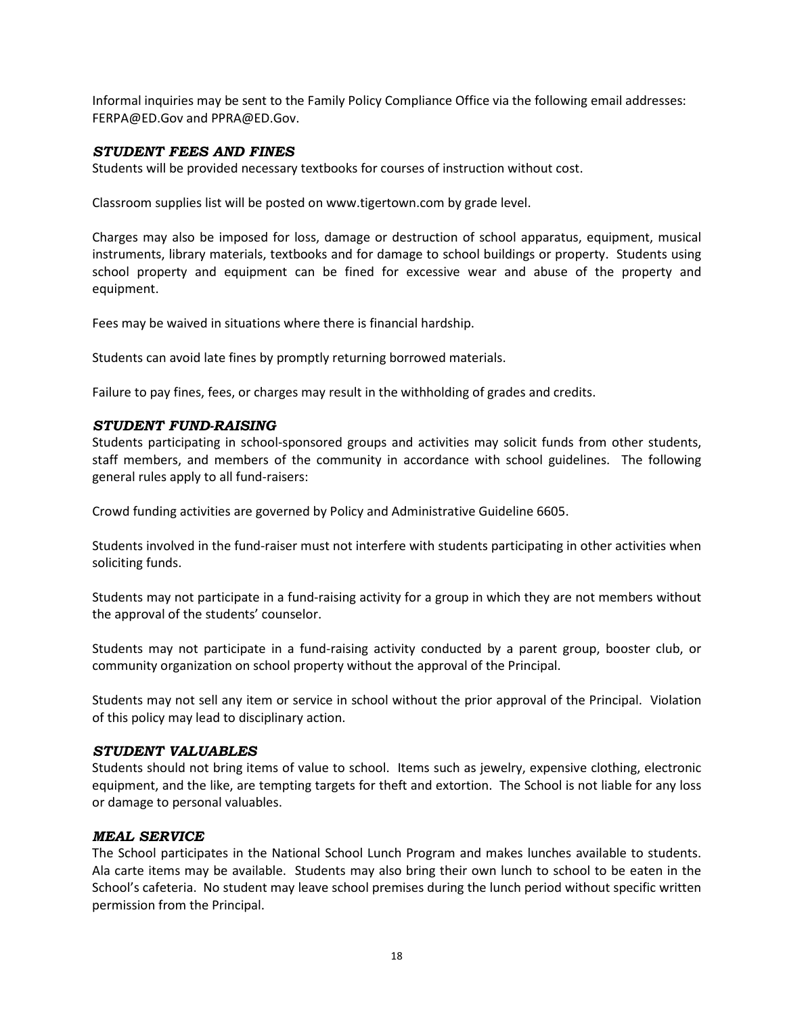Informal inquiries may be sent to the Family Policy Compliance Office via the following email addresses: [FERPA@ED.Gov](mailto:FERPA@ED.Gov;) and [PPRA@ED.Gov.](mailto:PPRA@ED.Gov)

#### <span id="page-24-0"></span>*STUDENT FEES AND FINES*

Students will be provided necessary textbooks for courses of instruction without cost.

Classroom supplies list will be posted on www.tigertown.com by grade level.

Charges may also be imposed for loss, damage or destruction of school apparatus, equipment, musical instruments, library materials, textbooks and for damage to school buildings or property. Students using school property and equipment can be fined for excessive wear and abuse of the property and equipment.

Fees may be waived in situations where there is financial hardship.

Students can avoid late fines by promptly returning borrowed materials.

Failure to pay fines, fees, or charges may result in the withholding of grades and credits.

### <span id="page-24-1"></span>*STUDENT FUND-RAISING*

Students participating in school-sponsored groups and activities may solicit funds from other students, staff members, and members of the community in accordance with school guidelines. The following general rules apply to all fund-raisers:

Crowd funding activities are governed by Policy and Administrative Guideline 6605.

Students involved in the fund-raiser must not interfere with students participating in other activities when soliciting funds.

Students may not participate in a fund-raising activity for a group in which they are not members without the approval of the students' counselor.

Students may not participate in a fund-raising activity conducted by a parent group, booster club, or community organization on school property without the approval of the Principal.

Students may not sell any item or service in school without the prior approval of the Principal. Violation of this policy may lead to disciplinary action.

#### <span id="page-24-2"></span>*STUDENT VALUABLES*

Students should not bring items of value to school. Items such as jewelry, expensive clothing, electronic equipment, and the like, are tempting targets for theft and extortion. The School is not liable for any loss or damage to personal valuables.

#### <span id="page-24-3"></span>*MEAL SERVICE*

The School participates in the National School Lunch Program and makes lunches available to students. Ala carte items may be available. Students may also bring their own lunch to school to be eaten in the School's cafeteria. No student may leave school premises during the lunch period without specific written permission from the Principal.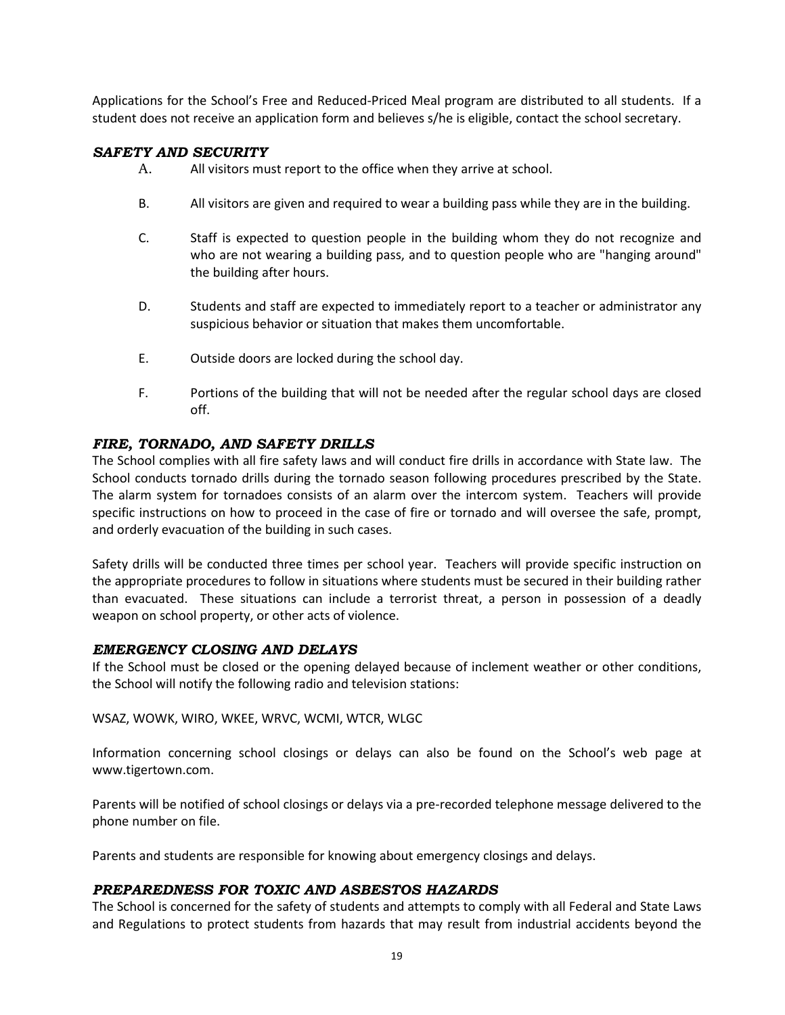Applications for the School's Free and Reduced-Priced Meal program are distributed to all students. If a student does not receive an application form and believes s/he is eligible, contact the school secretary.

### <span id="page-25-0"></span>*SAFETY AND SECURITY*

- A. All visitors must report to the office when they arrive at school.
- B. All visitors are given and required to wear a building pass while they are in the building.
- C. Staff is expected to question people in the building whom they do not recognize and who are not wearing a building pass, and to question people who are "hanging around" the building after hours.
- D. Students and staff are expected to immediately report to a teacher or administrator any suspicious behavior or situation that makes them uncomfortable.
- E. Outside doors are locked during the school day.
- F. Portions of the building that will not be needed after the regular school days are closed off.

# <span id="page-25-1"></span>*FIRE, TORNADO, AND SAFETY DRILLS*

The School complies with all fire safety laws and will conduct fire drills in accordance with State law. The School conducts tornado drills during the tornado season following procedures prescribed by the State. The alarm system for tornadoes consists of an alarm over the intercom system. Teachers will provide specific instructions on how to proceed in the case of fire or tornado and will oversee the safe, prompt, and orderly evacuation of the building in such cases.

Safety drills will be conducted three times per school year. Teachers will provide specific instruction on the appropriate procedures to follow in situations where students must be secured in their building rather than evacuated. These situations can include a terrorist threat, a person in possession of a deadly weapon on school property, or other acts of violence.

### <span id="page-25-2"></span>*EMERGENCY CLOSING AND DELAYS*

If the School must be closed or the opening delayed because of inclement weather or other conditions, the School will notify the following radio and television stations:

WSAZ, WOWK, WIRO, WKEE, WRVC, WCMI, WTCR, WLGC

Information concerning school closings or delays can also be found on the School's web page at www.tigertown.com.

Parents will be notified of school closings or delays via a pre-recorded telephone message delivered to the phone number on file.

Parents and students are responsible for knowing about emergency closings and delays.

### <span id="page-25-3"></span>*PREPAREDNESS FOR TOXIC AND ASBESTOS HAZARDS*

The School is concerned for the safety of students and attempts to comply with all Federal and State Laws and Regulations to protect students from hazards that may result from industrial accidents beyond the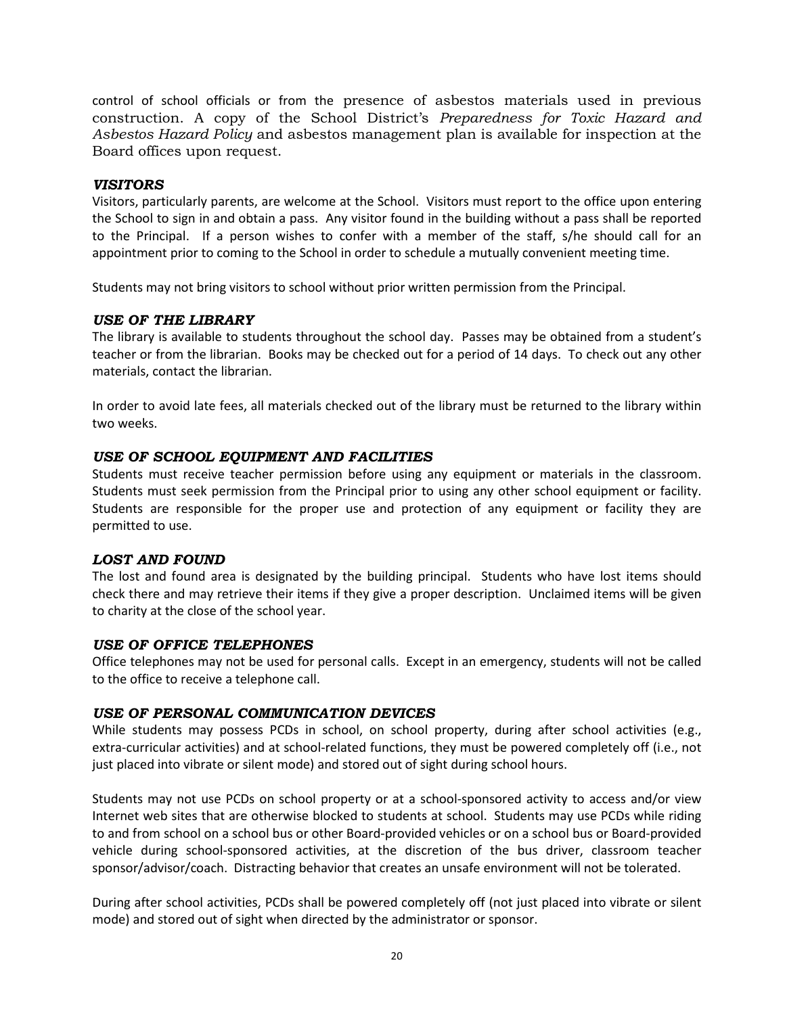control of school officials or from the presence of asbestos materials used in previous construction. A copy of the School District's *Preparedness for Toxic Hazard and Asbestos Hazard Policy* and asbestos management plan is available for inspection at the Board offices upon request.

#### <span id="page-26-0"></span>*VISITORS*

Visitors, particularly parents, are welcome at the School. Visitors must report to the office upon entering the School to sign in and obtain a pass. Any visitor found in the building without a pass shall be reported to the Principal. If a person wishes to confer with a member of the staff, s/he should call for an appointment prior to coming to the School in order to schedule a mutually convenient meeting time.

Students may not bring visitors to school without prior written permission from the Principal.

#### <span id="page-26-1"></span>*USE OF THE LIBRARY*

The library is available to students throughout the school day. Passes may be obtained from a student's teacher or from the librarian. Books may be checked out for a period of 14 days. To check out any other materials, contact the librarian.

In order to avoid late fees, all materials checked out of the library must be returned to the library within two weeks.

### <span id="page-26-2"></span>*USE OF SCHOOL EQUIPMENT AND FACILITIES*

Students must receive teacher permission before using any equipment or materials in the classroom. Students must seek permission from the Principal prior to using any other school equipment or facility. Students are responsible for the proper use and protection of any equipment or facility they are permitted to use.

### <span id="page-26-3"></span>*LOST AND FOUND*

The lost and found area is designated by the building principal. Students who have lost items should check there and may retrieve their items if they give a proper description. Unclaimed items will be given to charity at the close of the school year.

### <span id="page-26-4"></span>*USE OF OFFICE TELEPHONES*

Office telephones may not be used for personal calls. Except in an emergency, students will not be called to the office to receive a telephone call.

#### <span id="page-26-5"></span>*USE OF PERSONAL COMMUNICATION DEVICES*

While students may possess PCDs in school, on school property, during after school activities (e.g., extra-curricular activities) and at school-related functions, they must be powered completely off (i.e., not just placed into vibrate or silent mode) and stored out of sight during school hours.

Students may not use PCDs on school property or at a school-sponsored activity to access and/or view Internet web sites that are otherwise blocked to students at school. Students may use PCDs while riding to and from school on a school bus or other Board-provided vehicles or on a school bus or Board-provided vehicle during school-sponsored activities, at the discretion of the bus driver, classroom teacher sponsor/advisor/coach. Distracting behavior that creates an unsafe environment will not be tolerated.

During after school activities, PCDs shall be powered completely off (not just placed into vibrate or silent mode) and stored out of sight when directed by the administrator or sponsor.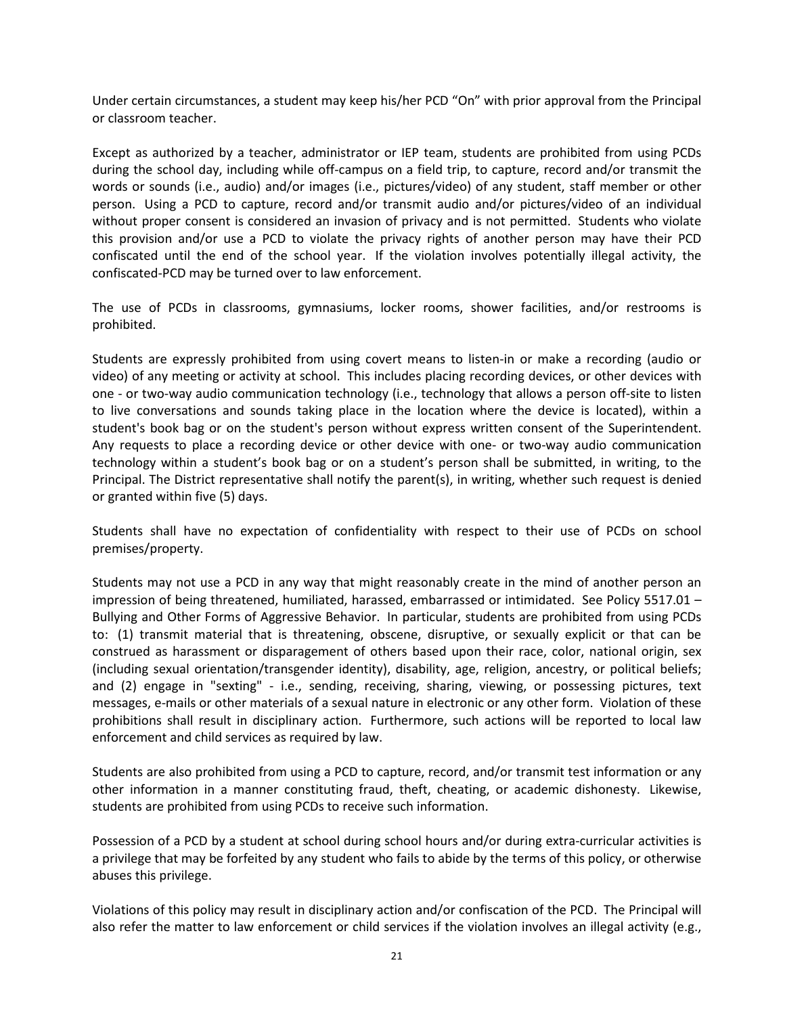Under certain circumstances, a student may keep his/her PCD "On" with prior approval from the Principal or classroom teacher.

Except as authorized by a teacher, administrator or IEP team, students are prohibited from using PCDs during the school day, including while off-campus on a field trip, to capture, record and/or transmit the words or sounds (i.e., audio) and/or images (i.e., pictures/video) of any student, staff member or other person. Using a PCD to capture, record and/or transmit audio and/or pictures/video of an individual without proper consent is considered an invasion of privacy and is not permitted. Students who violate this provision and/or use a PCD to violate the privacy rights of another person may have their PCD confiscated until the end of the school year. If the violation involves potentially illegal activity, the confiscated-PCD may be turned over to law enforcement.

The use of PCDs in classrooms, gymnasiums, locker rooms, shower facilities, and/or restrooms is prohibited.

Students are expressly prohibited from using covert means to listen-in or make a recording (audio or video) of any meeting or activity at school. This includes placing recording devices, or other devices with one - or two-way audio communication technology (i.e., technology that allows a person off-site to listen to live conversations and sounds taking place in the location where the device is located), within a student's book bag or on the student's person without express written consent of the Superintendent. Any requests to place a recording device or other device with one- or two-way audio communication technology within a student's book bag or on a student's person shall be submitted, in writing, to the Principal. The District representative shall notify the parent(s), in writing, whether such request is denied or granted within five (5) days.

Students shall have no expectation of confidentiality with respect to their use of PCDs on school premises/property.

Students may not use a PCD in any way that might reasonably create in the mind of another person an impression of being threatened, humiliated, harassed, embarrassed or intimidated. See Policy 5517.01 – Bullying and Other Forms of Aggressive Behavior. In particular, students are prohibited from using PCDs to: (1) transmit material that is threatening, obscene, disruptive, or sexually explicit or that can be construed as harassment or disparagement of others based upon their race, color, national origin, sex (including sexual orientation/transgender identity), disability, age, religion, ancestry, or political beliefs; and (2) engage in "sexting" - i.e., sending, receiving, sharing, viewing, or possessing pictures, text messages, e-mails or other materials of a sexual nature in electronic or any other form. Violation of these prohibitions shall result in disciplinary action. Furthermore, such actions will be reported to local law enforcement and child services as required by law.

Students are also prohibited from using a PCD to capture, record, and/or transmit test information or any other information in a manner constituting fraud, theft, cheating, or academic dishonesty. Likewise, students are prohibited from using PCDs to receive such information.

Possession of a PCD by a student at school during school hours and/or during extra-curricular activities is a privilege that may be forfeited by any student who fails to abide by the terms of this policy, or otherwise abuses this privilege.

Violations of this policy may result in disciplinary action and/or confiscation of the PCD. The Principal will also refer the matter to law enforcement or child services if the violation involves an illegal activity (e.g.,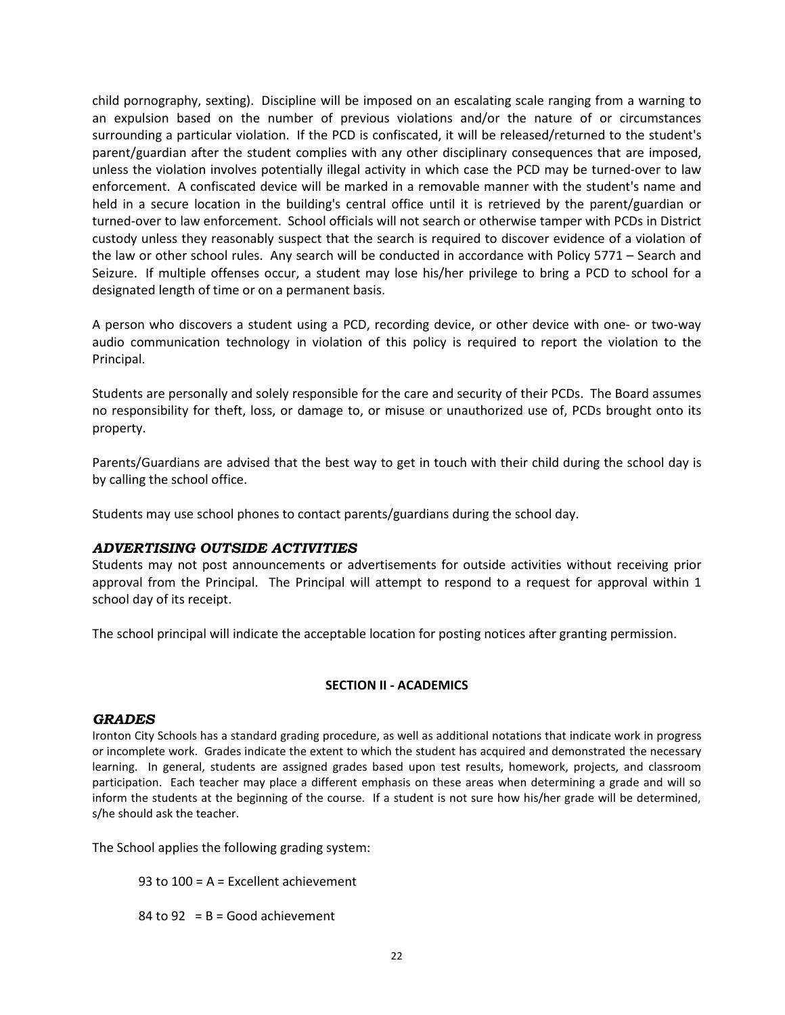child pornography, sexting). Discipline will be imposed on an escalating scale ranging from a warning to an expulsion based on the number of previous violations and/or the nature of or circumstances surrounding a particular violation. If the PCD is confiscated, it will be released/returned to the student's parent/guardian after the student complies with any other disciplinary consequences that are imposed, unless the violation involves potentially illegal activity in which case the PCD may be turned-over to law enforcement. A confiscated device will be marked in a removable manner with the student's name and held in a secure location in the building's central office until it is retrieved by the parent/guardian or turned-over to law enforcement. School officials will not search or otherwise tamper with PCDs in District custody unless they reasonably suspect that the search is required to discover evidence of a violation of the law or other school rules. Any search will be conducted in accordance with Policy 5771 – Search and Seizure. If multiple offenses occur, a student may lose his/her privilege to bring a PCD to school for a designated length of time or on a permanent basis.

A person who discovers a student using a PCD, recording device, or other device with one- or two-way audio communication technology in violation of this policy is required to report the violation to the Principal.

Students are personally and solely responsible for the care and security of their PCDs. The Board assumes no responsibility for theft, loss, or damage to, or misuse or unauthorized use of, PCDs brought onto its property.

Parents/Guardians are advised that the best way to get in touch with their child during the school day is by calling the school office.

Students may use school phones to contact parents/guardians during the school day.

### <span id="page-28-0"></span>*ADVERTISING OUTSIDE ACTIVITIES*

Students may not post announcements or advertisements for outside activities without receiving prior approval from the Principal. The Principal will attempt to respond to a request for approval within 1 school day of its receipt.

The school principal will indicate the acceptable location for posting notices after granting permission.

### **SECTION II - ACADEMICS**

### <span id="page-28-1"></span>*GRADES*

Ironton City Schools has a standard grading procedure, as well as additional notations that indicate work in progress or incomplete work. Grades indicate the extent to which the student has acquired and demonstrated the necessary learning. In general, students are assigned grades based upon test results, homework, projects, and classroom participation. Each teacher may place a different emphasis on these areas when determining a grade and will so inform the students at the beginning of the course. If a student is not sure how his/her grade will be determined, s/he should ask the teacher.

The School applies the following grading system:

93 to 100 = A = Excellent achievement

84 to 92 =  $B = Good$  achievement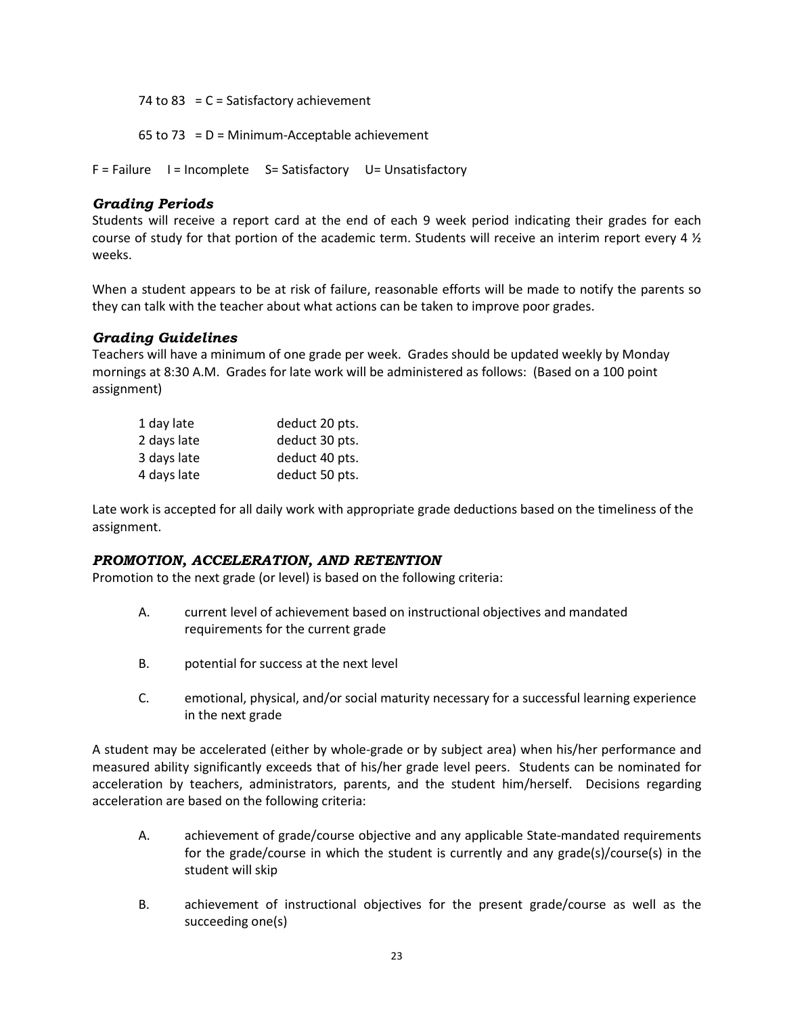74 to 83 =  $C = Satisfactory architecture$ 

65 to 73 =  $D =$  Minimum-Acceptable achievement

F = Failure I = Incomplete S = Satisfactory U = Unsatisfactory

## <span id="page-29-0"></span>*Grading Periods*

Students will receive a report card at the end of each 9 week period indicating their grades for each course of study for that portion of the academic term. Students will receive an interim report every 4 ½ weeks.

When a student appears to be at risk of failure, reasonable efforts will be made to notify the parents so they can talk with the teacher about what actions can be taken to improve poor grades.

### <span id="page-29-1"></span>*Grading Guidelines*

Teachers will have a minimum of one grade per week. Grades should be updated weekly by Monday mornings at 8:30 A.M. Grades for late work will be administered as follows: (Based on a 100 point assignment)

| 1 day late  | deduct 20 pts. |
|-------------|----------------|
| 2 days late | deduct 30 pts. |
| 3 days late | deduct 40 pts. |
| 4 days late | deduct 50 pts. |

Late work is accepted for all daily work with appropriate grade deductions based on the timeliness of the assignment.

### <span id="page-29-2"></span>*PROMOTION, ACCELERATION, AND RETENTION*

Promotion to the next grade (or level) is based on the following criteria:

- A. current level of achievement based on instructional objectives and mandated requirements for the current grade
- B. potential for success at the next level
- C. emotional, physical, and/or social maturity necessary for a successful learning experience in the next grade

A student may be accelerated (either by whole-grade or by subject area) when his/her performance and measured ability significantly exceeds that of his/her grade level peers. Students can be nominated for acceleration by teachers, administrators, parents, and the student him/herself. Decisions regarding acceleration are based on the following criteria:

- A. achievement of grade/course objective and any applicable State-mandated requirements for the grade/course in which the student is currently and any grade(s)/course(s) in the student will skip
- B. achievement of instructional objectives for the present grade/course as well as the succeeding one(s)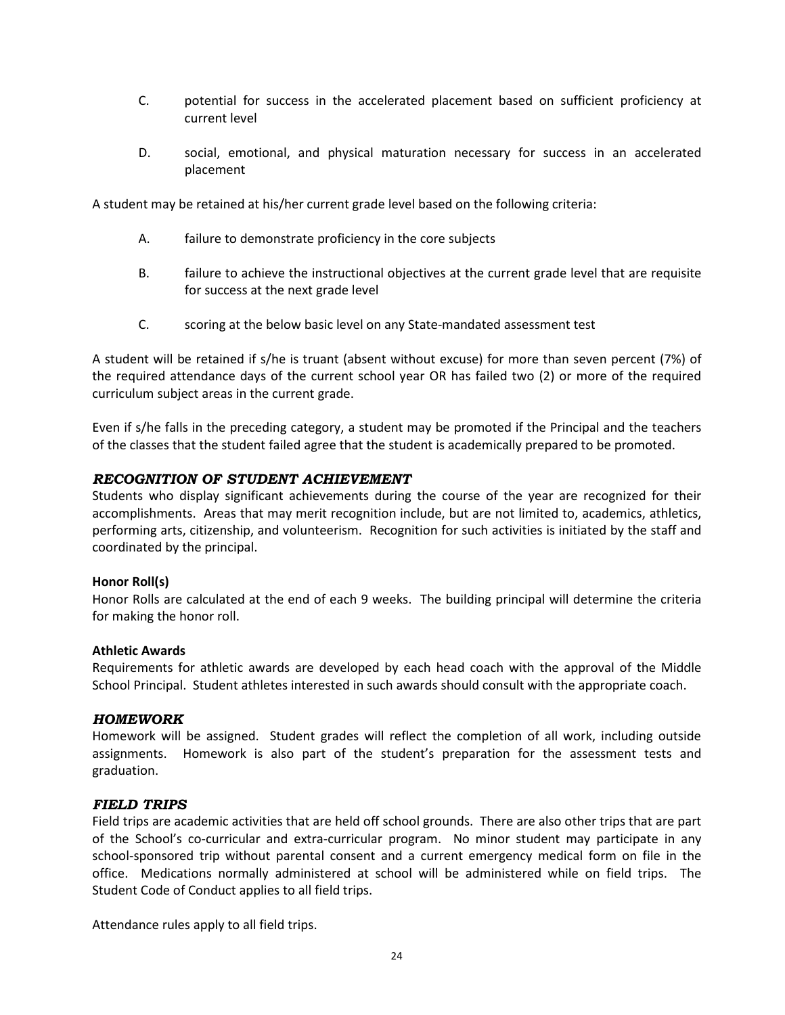- C. potential for success in the accelerated placement based on sufficient proficiency at current level
- D. social, emotional, and physical maturation necessary for success in an accelerated placement

A student may be retained at his/her current grade level based on the following criteria:

- A. failure to demonstrate proficiency in the core subjects
- B. failure to achieve the instructional objectives at the current grade level that are requisite for success at the next grade level
- C. scoring at the below basic level on any State-mandated assessment test

A student will be retained if s/he is truant (absent without excuse) for more than seven percent (7%) of the required attendance days of the current school year OR has failed two (2) or more of the required curriculum subject areas in the current grade.

Even if s/he falls in the preceding category, a student may be promoted if the Principal and the teachers of the classes that the student failed agree that the student is academically prepared to be promoted.

### <span id="page-30-0"></span>*RECOGNITION OF STUDENT ACHIEVEMENT*

Students who display significant achievements during the course of the year are recognized for their accomplishments. Areas that may merit recognition include, but are not limited to, academics, athletics, performing arts, citizenship, and volunteerism. Recognition for such activities is initiated by the staff and coordinated by the principal.

#### **Honor Roll(s)**

Honor Rolls are calculated at the end of each 9 weeks. The building principal will determine the criteria for making the honor roll.

#### **Athletic Awards**

Requirements for athletic awards are developed by each head coach with the approval of the Middle School Principal. Student athletes interested in such awards should consult with the appropriate coach.

#### <span id="page-30-1"></span>*HOMEWORK*

Homework will be assigned. Student grades will reflect the completion of all work, including outside assignments. Homework is also part of the student's preparation for the assessment tests and graduation.

#### <span id="page-30-2"></span>*FIELD TRIPS*

Field trips are academic activities that are held off school grounds. There are also other trips that are part of the School's co-curricular and extra-curricular program. No minor student may participate in any school-sponsored trip without parental consent and a current emergency medical form on file in the office. Medications normally administered at school will be administered while on field trips. The Student Code of Conduct applies to all field trips.

Attendance rules apply to all field trips.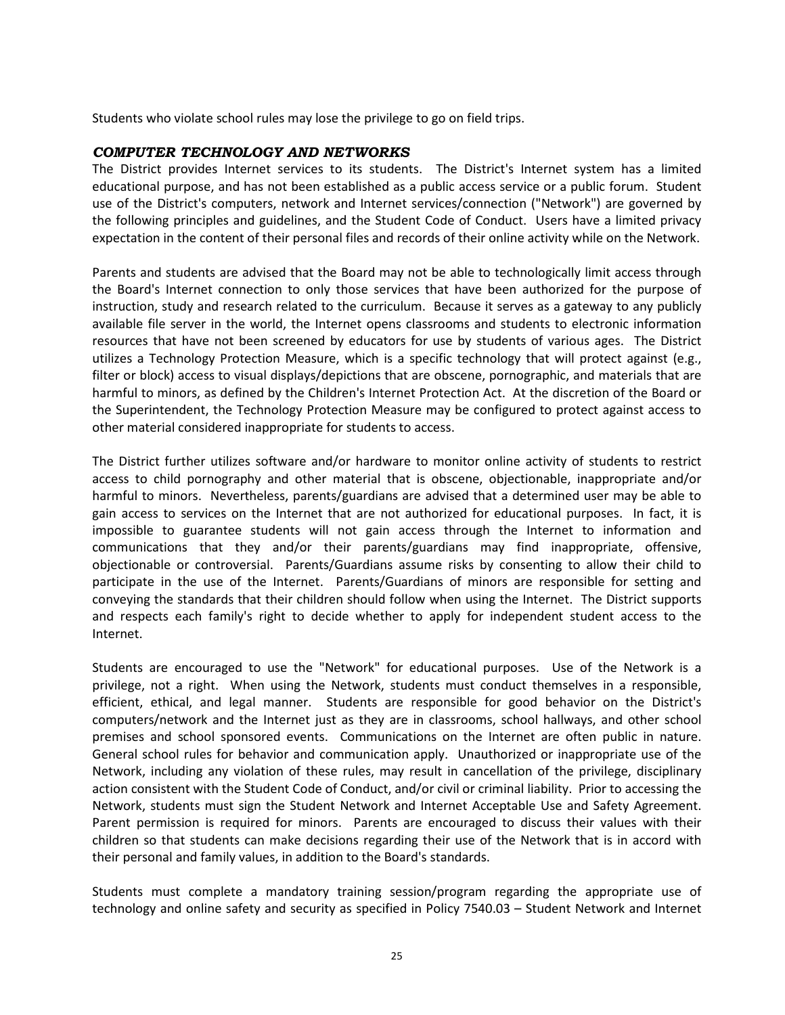Students who violate school rules may lose the privilege to go on field trips.

#### <span id="page-31-0"></span>*COMPUTER TECHNOLOGY AND NETWORKS*

The District provides Internet services to its students. The District's Internet system has a limited educational purpose, and has not been established as a public access service or a public forum. Student use of the District's computers, network and Internet services/connection ("Network") are governed by the following principles and guidelines, and the Student Code of Conduct. Users have a limited privacy expectation in the content of their personal files and records of their online activity while on the Network.

Parents and students are advised that the Board may not be able to technologically limit access through the Board's Internet connection to only those services that have been authorized for the purpose of instruction, study and research related to the curriculum. Because it serves as a gateway to any publicly available file server in the world, the Internet opens classrooms and students to electronic information resources that have not been screened by educators for use by students of various ages. The District utilizes a Technology Protection Measure, which is a specific technology that will protect against (e.g., filter or block) access to visual displays/depictions that are obscene, pornographic, and materials that are harmful to minors, as defined by the Children's Internet Protection Act. At the discretion of the Board or the Superintendent, the Technology Protection Measure may be configured to protect against access to other material considered inappropriate for students to access.

The District further utilizes software and/or hardware to monitor online activity of students to restrict access to child pornography and other material that is obscene, objectionable, inappropriate and/or harmful to minors. Nevertheless, parents/guardians are advised that a determined user may be able to gain access to services on the Internet that are not authorized for educational purposes. In fact, it is impossible to guarantee students will not gain access through the Internet to information and communications that they and/or their parents/guardians may find inappropriate, offensive, objectionable or controversial. Parents/Guardians assume risks by consenting to allow their child to participate in the use of the Internet. Parents/Guardians of minors are responsible for setting and conveying the standards that their children should follow when using the Internet. The District supports and respects each family's right to decide whether to apply for independent student access to the Internet.

Students are encouraged to use the "Network" for educational purposes. Use of the Network is a privilege, not a right. When using the Network, students must conduct themselves in a responsible, efficient, ethical, and legal manner. Students are responsible for good behavior on the District's computers/network and the Internet just as they are in classrooms, school hallways, and other school premises and school sponsored events. Communications on the Internet are often public in nature. General school rules for behavior and communication apply. Unauthorized or inappropriate use of the Network, including any violation of these rules, may result in cancellation of the privilege, disciplinary action consistent with the Student Code of Conduct, and/or civil or criminal liability. Prior to accessing the Network, students must sign the Student Network and Internet Acceptable Use and Safety Agreement. Parent permission is required for minors. Parents are encouraged to discuss their values with their children so that students can make decisions regarding their use of the Network that is in accord with their personal and family values, in addition to the Board's standards.

Students must complete a mandatory training session/program regarding the appropriate use of technology and online safety and security as specified in Policy 7540.03 – Student Network and Internet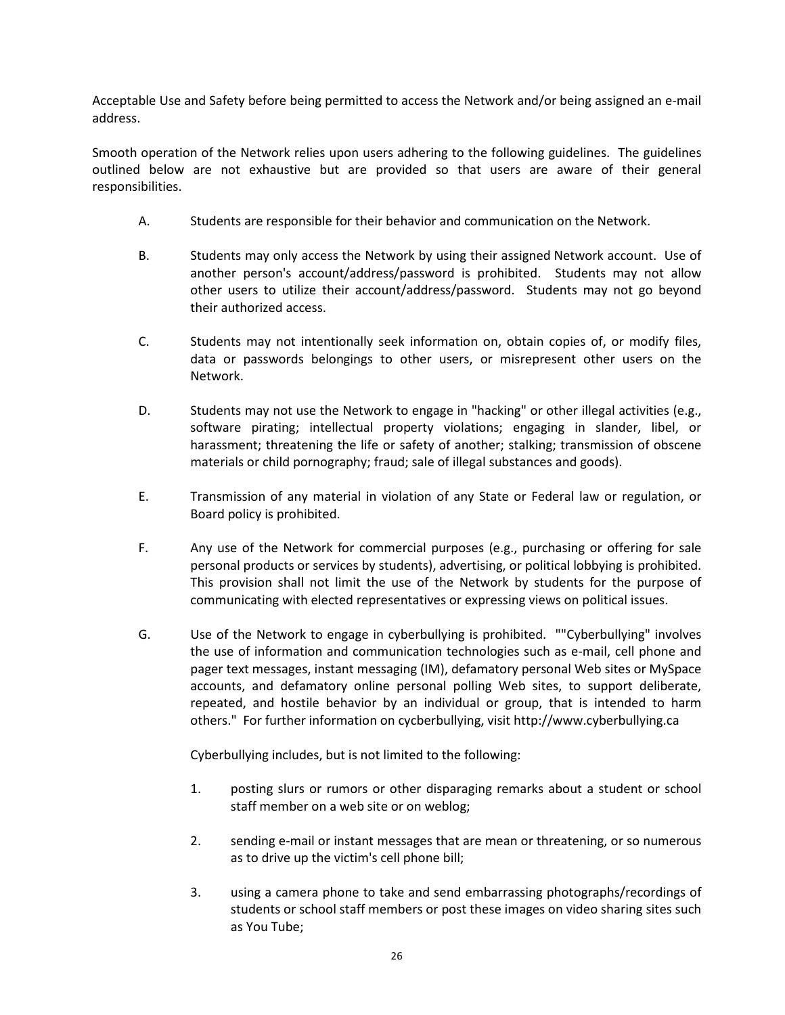Acceptable Use and Safety before being permitted to access the Network and/or being assigned an e-mail address.

Smooth operation of the Network relies upon users adhering to the following guidelines. The guidelines outlined below are not exhaustive but are provided so that users are aware of their general responsibilities.

- A. Students are responsible for their behavior and communication on the Network.
- B. Students may only access the Network by using their assigned Network account. Use of another person's account/address/password is prohibited. Students may not allow other users to utilize their account/address/password. Students may not go beyond their authorized access.
- C. Students may not intentionally seek information on, obtain copies of, or modify files, data or passwords belongings to other users, or misrepresent other users on the Network.
- D. Students may not use the Network to engage in "hacking" or other illegal activities (e.g., software pirating; intellectual property violations; engaging in slander, libel, or harassment; threatening the life or safety of another; stalking; transmission of obscene materials or child pornography; fraud; sale of illegal substances and goods).
- E. Transmission of any material in violation of any State or Federal law or regulation, or Board policy is prohibited.
- F. Any use of the Network for commercial purposes (e.g., purchasing or offering for sale personal products or services by students), advertising, or political lobbying is prohibited. This provision shall not limit the use of the Network by students for the purpose of communicating with elected representatives or expressing views on political issues.
- G. Use of the Network to engage in cyberbullying is prohibited. ""Cyberbullying" involves the use of information and communication technologies such as e-mail, cell phone and pager text messages, instant messaging (IM), defamatory personal Web sites or MySpace accounts, and defamatory online personal polling Web sites, to support deliberate, repeated, and hostile behavior by an individual or group, that is intended to harm others." For further information on cycberbullying, visit http://www.cyberbullying.ca

Cyberbullying includes, but is not limited to the following:

- 1. posting slurs or rumors or other disparaging remarks about a student or school staff member on a web site or on weblog;
- 2. sending e-mail or instant messages that are mean or threatening, or so numerous as to drive up the victim's cell phone bill;
- 3. using a camera phone to take and send embarrassing photographs/recordings of students or school staff members or post these images on video sharing sites such as You Tube;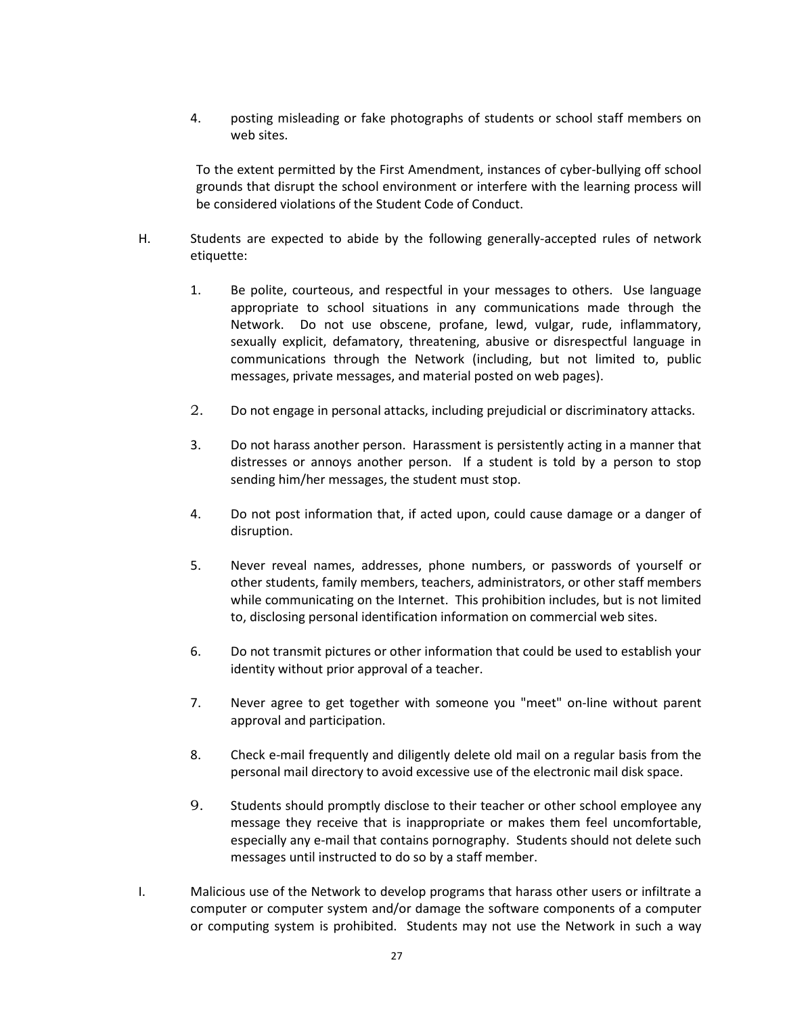4. posting misleading or fake photographs of students or school staff members on web sites.

To the extent permitted by the First Amendment, instances of cyber-bullying off school grounds that disrupt the school environment or interfere with the learning process will be considered violations of the Student Code of Conduct.

- H. Students are expected to abide by the following generally-accepted rules of network etiquette:
	- 1. Be polite, courteous, and respectful in your messages to others. Use language appropriate to school situations in any communications made through the Network. Do not use obscene, profane, lewd, vulgar, rude, inflammatory, sexually explicit, defamatory, threatening, abusive or disrespectful language in communications through the Network (including, but not limited to, public messages, private messages, and material posted on web pages).
	- 2. Do not engage in personal attacks, including prejudicial or discriminatory attacks.
	- 3. Do not harass another person. Harassment is persistently acting in a manner that distresses or annoys another person. If a student is told by a person to stop sending him/her messages, the student must stop.
	- 4. Do not post information that, if acted upon, could cause damage or a danger of disruption.
	- 5. Never reveal names, addresses, phone numbers, or passwords of yourself or other students, family members, teachers, administrators, or other staff members while communicating on the Internet. This prohibition includes, but is not limited to, disclosing personal identification information on commercial web sites.
	- 6. Do not transmit pictures or other information that could be used to establish your identity without prior approval of a teacher.
	- 7. Never agree to get together with someone you "meet" on-line without parent approval and participation.
	- 8. Check e-mail frequently and diligently delete old mail on a regular basis from the personal mail directory to avoid excessive use of the electronic mail disk space.
	- 9. Students should promptly disclose to their teacher or other school employee any message they receive that is inappropriate or makes them feel uncomfortable, especially any e-mail that contains pornography. Students should not delete such messages until instructed to do so by a staff member.
- I. Malicious use of the Network to develop programs that harass other users or infiltrate a computer or computer system and/or damage the software components of a computer or computing system is prohibited. Students may not use the Network in such a way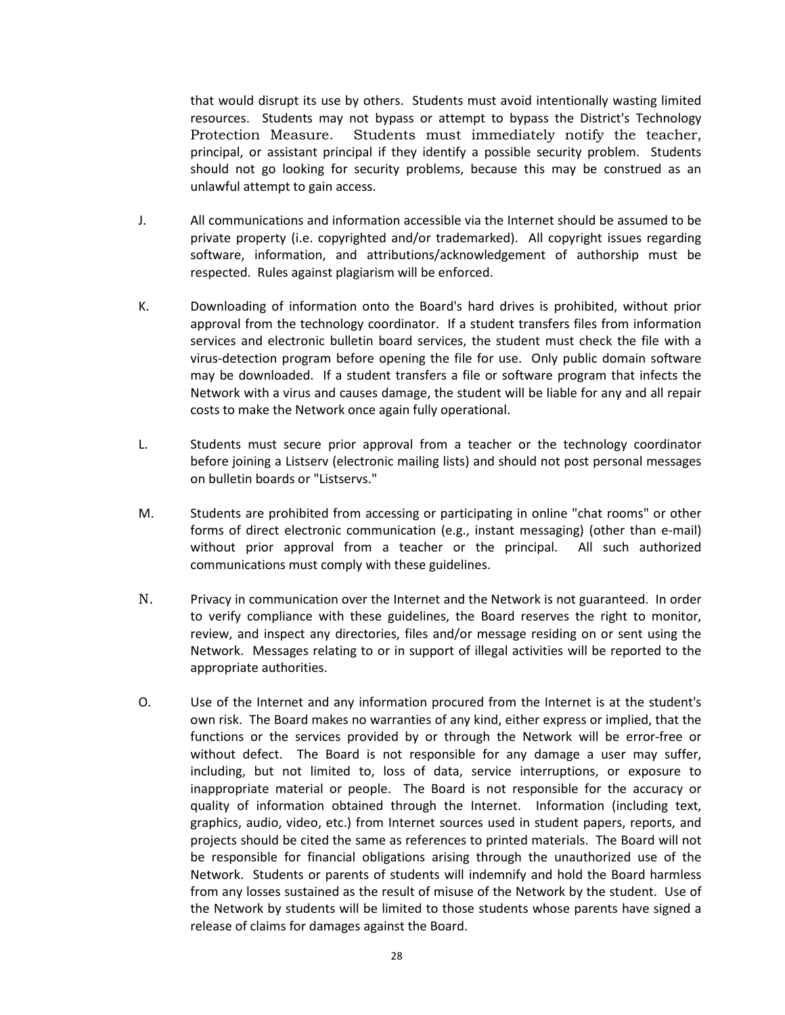that would disrupt its use by others. Students must avoid intentionally wasting limited resources. Students may not bypass or attempt to bypass the District's Technology Protection Measure. Students must immediately notify the teacher, principal, or assistant principal if they identify a possible security problem. Students should not go looking for security problems, because this may be construed as an unlawful attempt to gain access.

- J. All communications and information accessible via the Internet should be assumed to be private property (i.e. copyrighted and/or trademarked). All copyright issues regarding software, information, and attributions/acknowledgement of authorship must be respected. Rules against plagiarism will be enforced.
- K. Downloading of information onto the Board's hard drives is prohibited, without prior approval from the technology coordinator. If a student transfers files from information services and electronic bulletin board services, the student must check the file with a virus-detection program before opening the file for use. Only public domain software may be downloaded. If a student transfers a file or software program that infects the Network with a virus and causes damage, the student will be liable for any and all repair costs to make the Network once again fully operational.
- L. Students must secure prior approval from a teacher or the technology coordinator before joining a Listserv (electronic mailing lists) and should not post personal messages on bulletin boards or "Listservs."
- M. Students are prohibited from accessing or participating in online "chat rooms" or other forms of direct electronic communication (e.g., instant messaging) (other than e-mail) without prior approval from a teacher or the principal. All such authorized communications must comply with these guidelines.
- N. Privacy in communication over the Internet and the Network is not guaranteed. In order to verify compliance with these guidelines, the Board reserves the right to monitor, review, and inspect any directories, files and/or message residing on or sent using the Network. Messages relating to or in support of illegal activities will be reported to the appropriate authorities.
- O. Use of the Internet and any information procured from the Internet is at the student's own risk. The Board makes no warranties of any kind, either express or implied, that the functions or the services provided by or through the Network will be error-free or without defect. The Board is not responsible for any damage a user may suffer, including, but not limited to, loss of data, service interruptions, or exposure to inappropriate material or people. The Board is not responsible for the accuracy or quality of information obtained through the Internet. Information (including text, graphics, audio, video, etc.) from Internet sources used in student papers, reports, and projects should be cited the same as references to printed materials. The Board will not be responsible for financial obligations arising through the unauthorized use of the Network. Students or parents of students will indemnify and hold the Board harmless from any losses sustained as the result of misuse of the Network by the student. Use of the Network by students will be limited to those students whose parents have signed a release of claims for damages against the Board.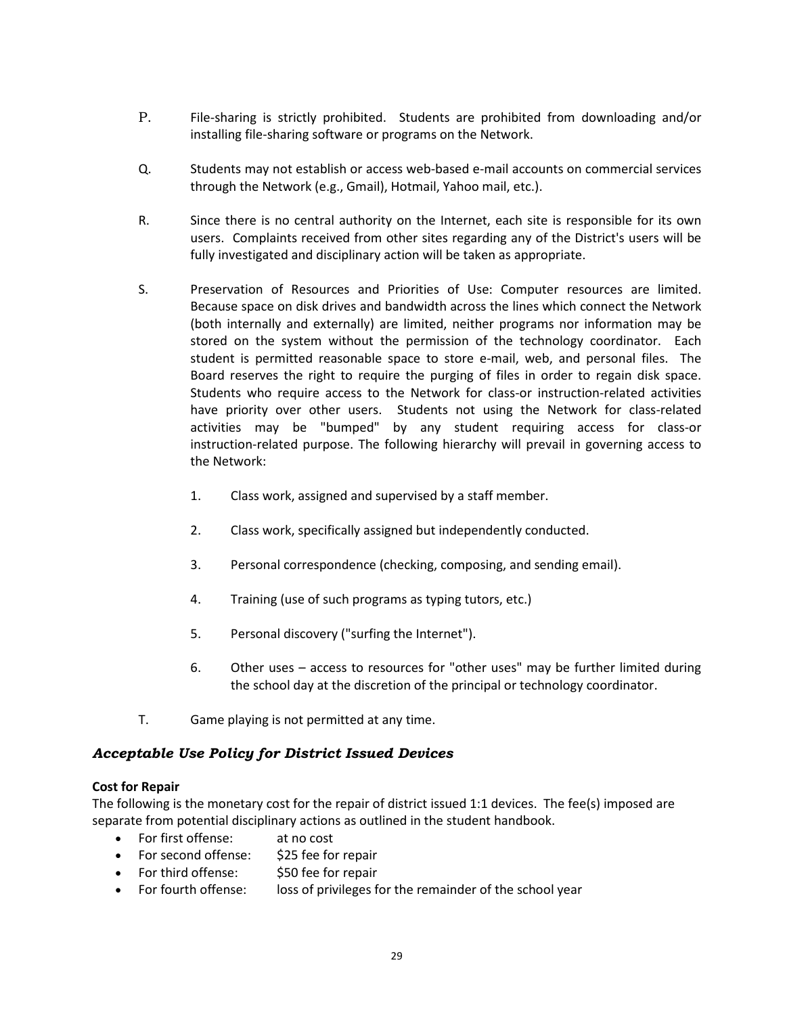- P. File-sharing is strictly prohibited. Students are prohibited from downloading and/or installing file-sharing software or programs on the Network.
- Q. Students may not establish or access web-based e-mail accounts on commercial services through the Network (e.g., Gmail), Hotmail, Yahoo mail, etc.).
- R. Since there is no central authority on the Internet, each site is responsible for its own users. Complaints received from other sites regarding any of the District's users will be fully investigated and disciplinary action will be taken as appropriate.
- S. Preservation of Resources and Priorities of Use: Computer resources are limited. Because space on disk drives and bandwidth across the lines which connect the Network (both internally and externally) are limited, neither programs nor information may be stored on the system without the permission of the technology coordinator. Each student is permitted reasonable space to store e-mail, web, and personal files. The Board reserves the right to require the purging of files in order to regain disk space. Students who require access to the Network for class-or instruction-related activities have priority over other users. Students not using the Network for class-related activities may be "bumped" by any student requiring access for class-or instruction-related purpose. The following hierarchy will prevail in governing access to the Network:
	- 1. Class work, assigned and supervised by a staff member.
	- 2. Class work, specifically assigned but independently conducted.
	- 3. Personal correspondence (checking, composing, and sending email).
	- 4. Training (use of such programs as typing tutors, etc.)
	- 5. Personal discovery ("surfing the Internet").
	- 6. Other uses access to resources for "other uses" may be further limited during the school day at the discretion of the principal or technology coordinator.
- T. Game playing is not permitted at any time.

# <span id="page-35-0"></span>*Acceptable Use Policy for District Issued Devices*

### **Cost for Repair**

The following is the monetary cost for the repair of district issued 1:1 devices. The fee(s) imposed are separate from potential disciplinary actions as outlined in the student handbook.

- For first offense: at no cost
- For second offense: \$25 fee for repair
- For third offense: \$50 fee for repair
- For fourth offense: loss of privileges for the remainder of the school year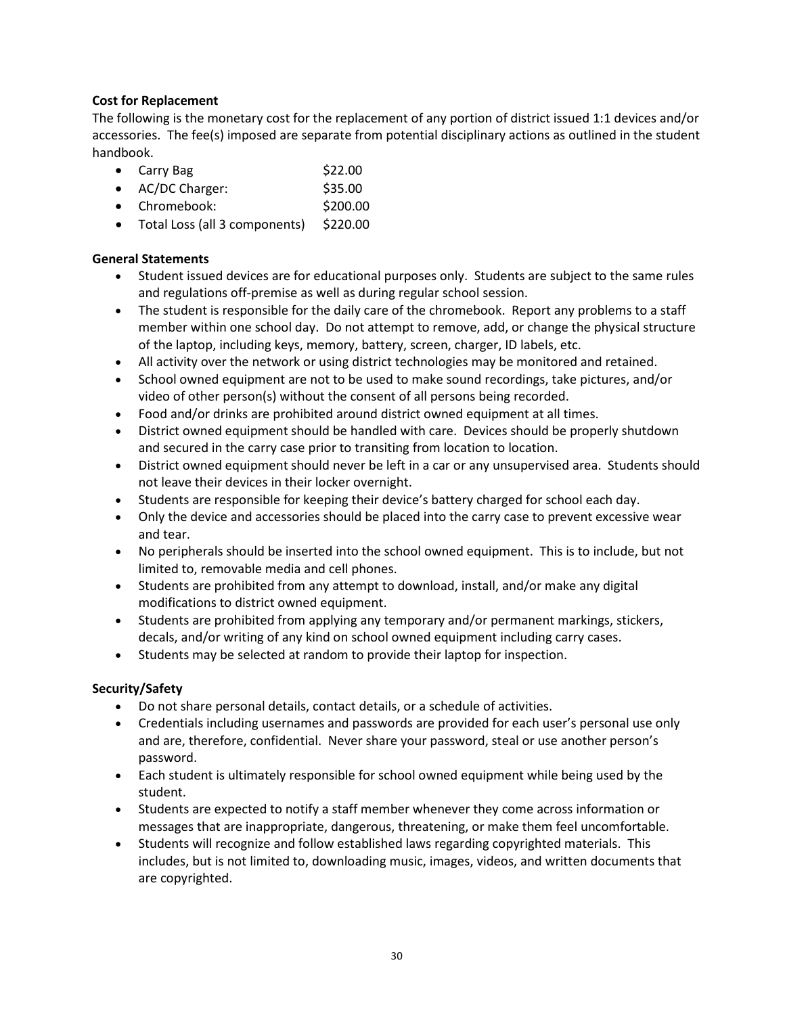# **Cost for Replacement**

The following is the monetary cost for the replacement of any portion of district issued 1:1 devices and/or accessories. The fee(s) imposed are separate from potential disciplinary actions as outlined in the student handbook.

- Carry Bag  $$22.00$
- AC/DC Charger: \$35.00
- Chromebook: \$200.00
- Total Loss (all 3 components) \$220.00

# **General Statements**

- Student issued devices are for educational purposes only. Students are subject to the same rules and regulations off-premise as well as during regular school session.
- The student is responsible for the daily care of the chromebook. Report any problems to a staff member within one school day. Do not attempt to remove, add, or change the physical structure of the laptop, including keys, memory, battery, screen, charger, ID labels, etc.
- All activity over the network or using district technologies may be monitored and retained.
- School owned equipment are not to be used to make sound recordings, take pictures, and/or video of other person(s) without the consent of all persons being recorded.
- Food and/or drinks are prohibited around district owned equipment at all times.
- District owned equipment should be handled with care. Devices should be properly shutdown and secured in the carry case prior to transiting from location to location.
- District owned equipment should never be left in a car or any unsupervised area. Students should not leave their devices in their locker overnight.
- Students are responsible for keeping their device's battery charged for school each day.
- Only the device and accessories should be placed into the carry case to prevent excessive wear and tear.
- No peripherals should be inserted into the school owned equipment. This is to include, but not limited to, removable media and cell phones.
- Students are prohibited from any attempt to download, install, and/or make any digital modifications to district owned equipment.
- Students are prohibited from applying any temporary and/or permanent markings, stickers, decals, and/or writing of any kind on school owned equipment including carry cases.
- Students may be selected at random to provide their laptop for inspection.

### **Security/Safety**

- Do not share personal details, contact details, or a schedule of activities.
- Credentials including usernames and passwords are provided for each user's personal use only and are, therefore, confidential. Never share your password, steal or use another person's password.
- Each student is ultimately responsible for school owned equipment while being used by the student.
- Students are expected to notify a staff member whenever they come across information or messages that are inappropriate, dangerous, threatening, or make them feel uncomfortable.
- Students will recognize and follow established laws regarding copyrighted materials. This includes, but is not limited to, downloading music, images, videos, and written documents that are copyrighted.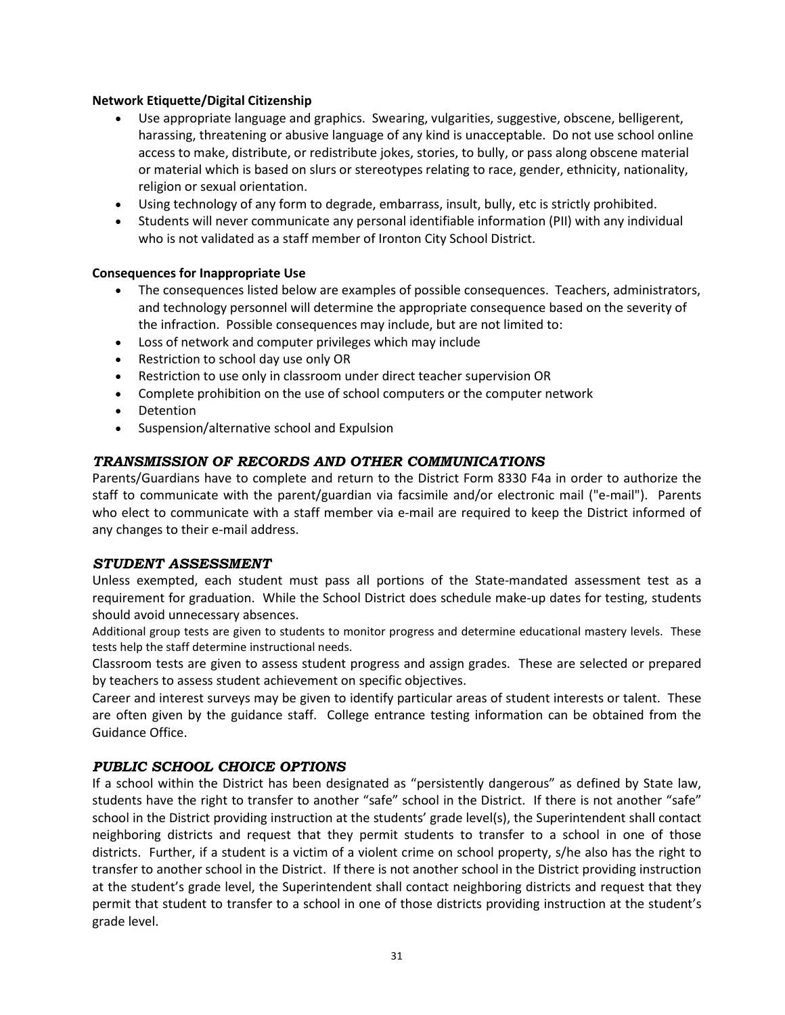### **Network Etiquette/Digital Citizenship**

- Use appropriate language and graphics. Swearing, vulgarities, suggestive, obscene, belligerent, harassing, threatening or abusive language of any kind is unacceptable. Do not use school online access to make, distribute, or redistribute jokes, stories, to bully, or pass along obscene material or material which is based on slurs or stereotypes relating to race, gender, ethnicity, nationality, religion or sexual orientation.
- Using technology of any form to degrade, embarrass, insult, bully, etc is strictly prohibited.
- Students will never communicate any personal identifiable information (PII) with any individual who is not validated as a staff member of Ironton City School District.

#### **Consequences for Inappropriate Use**

- The consequences listed below are examples of possible consequences. Teachers, administrators, and technology personnel will determine the appropriate consequence based on the severity of the infraction. Possible consequences may include, but are not limited to:
- Loss of network and computer privileges which may include
- Restriction to school day use only OR
- Restriction to use only in classroom under direct teacher supervision OR
- Complete prohibition on the use of school computers or the computer network
- Detention
- Suspension/alternative school and Expulsion

### <span id="page-37-0"></span>*TRANSMISSION OF RECORDS AND OTHER COMMUNICATIONS*

Parents/Guardians have to complete and return to the District Form 8330 F4a in order to authorize the staff to communicate with the parent/guardian via facsimile and/or electronic mail ("e-mail"). Parents who elect to communicate with a staff member via e-mail are required to keep the District informed of any changes to their e-mail address.

#### <span id="page-37-1"></span>*STUDENT ASSESSMENT*

Unless exempted, each student must pass all portions of the State-mandated assessment test as a requirement for graduation. While the School District does schedule make-up dates for testing, students should avoid unnecessary absences.

Additional group tests are given to students to monitor progress and determine educational mastery levels. These tests help the staff determine instructional needs.

Classroom tests are given to assess student progress and assign grades. These are selected or prepared by teachers to assess student achievement on specific objectives.

Career and interest surveys may be given to identify particular areas of student interests or talent. These are often given by the guidance staff. College entrance testing information can be obtained from the Guidance Office.

#### <span id="page-37-2"></span>*PUBLIC SCHOOL CHOICE OPTIONS*

If a school within the District has been designated as "persistently dangerous" as defined by State law, students have the right to transfer to another "safe" school in the District. If there is not another "safe" school in the District providing instruction at the students' grade level(s), the Superintendent shall contact neighboring districts and request that they permit students to transfer to a school in one of those districts. Further, if a student is a victim of a violent crime on school property, s/he also has the right to transfer to another school in the District. If there is not another school in the District providing instruction at the student's grade level, the Superintendent shall contact neighboring districts and request that they permit that student to transfer to a school in one of those districts providing instruction at the student's grade level.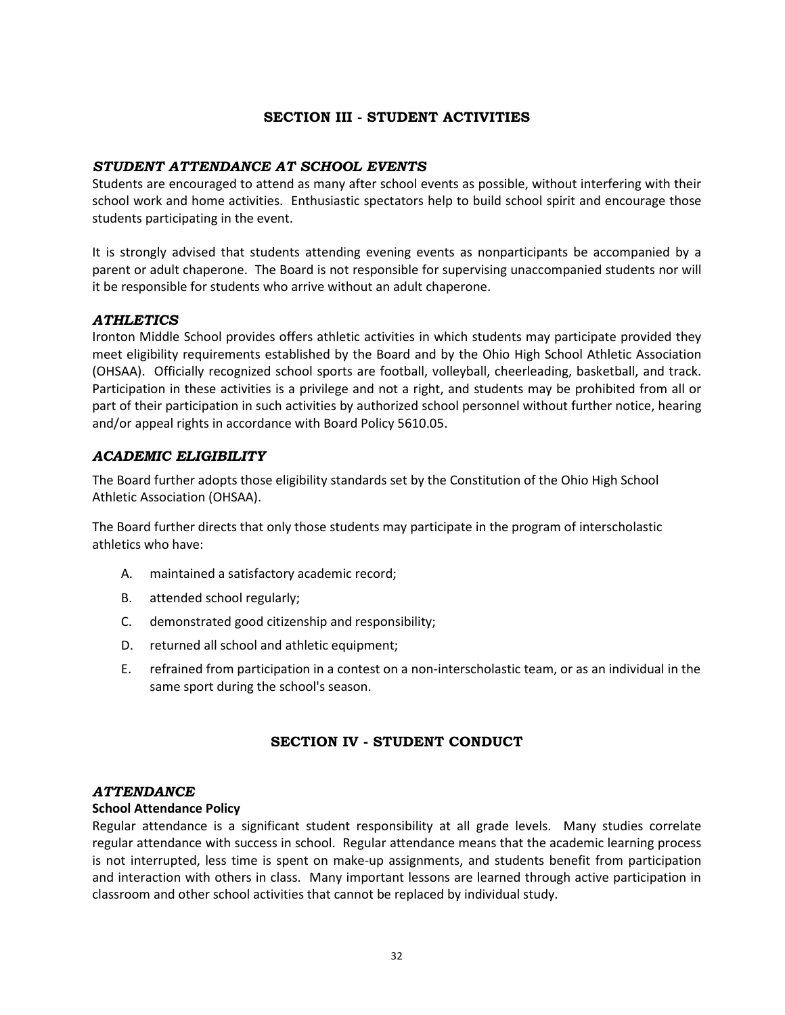# **SECTION III - STUDENT ACTIVITIES**

## <span id="page-38-0"></span>*STUDENT ATTENDANCE AT SCHOOL EVENTS*

Students are encouraged to attend as many after school events as possible, without interfering with their school work and home activities. Enthusiastic spectators help to build school spirit and encourage those students participating in the event.

It is strongly advised that students attending evening events as nonparticipants be accompanied by a parent or adult chaperone. The Board is not responsible for supervising unaccompanied students nor will it be responsible for students who arrive without an adult chaperone.

### <span id="page-38-1"></span>*ATHLETICS*

Ironton Middle School provides offers athletic activities in which students may participate provided they meet eligibility requirements established by the Board and by the Ohio High School Athletic Association (OHSAA). Officially recognized school sports are football, volleyball, cheerleading, basketball, and track. Participation in these activities is a privilege and not a right, and students may be prohibited from all or part of their participation in such activities by authorized school personnel without further notice, hearing and/or appeal rights in accordance with Board Policy 5610.05.

# <span id="page-38-2"></span>*ACADEMIC ELIGIBILITY*

The Board further adopts those eligibility standards set by the Constitution of the Ohio High School Athletic Association (OHSAA).

The Board further directs that only those students may participate in the program of interscholastic athletics who have:

- A. maintained a satisfactory academic record;
- B. attended school regularly;
- C. demonstrated good citizenship and responsibility;
- D. returned all school and athletic equipment;
- E. refrained from participation in a contest on a non-interscholastic team, or as an individual in the same sport during the school's season.

# **SECTION IV - STUDENT CONDUCT**

#### <span id="page-38-3"></span>*ATTENDANCE*

#### **School Attendance Policy**

Regular attendance is a significant student responsibility at all grade levels. Many studies correlate regular attendance with success in school. Regular attendance means that the academic learning process is not interrupted, less time is spent on make-up assignments, and students benefit from participation and interaction with others in class. Many important lessons are learned through active participation in classroom and other school activities that cannot be replaced by individual study.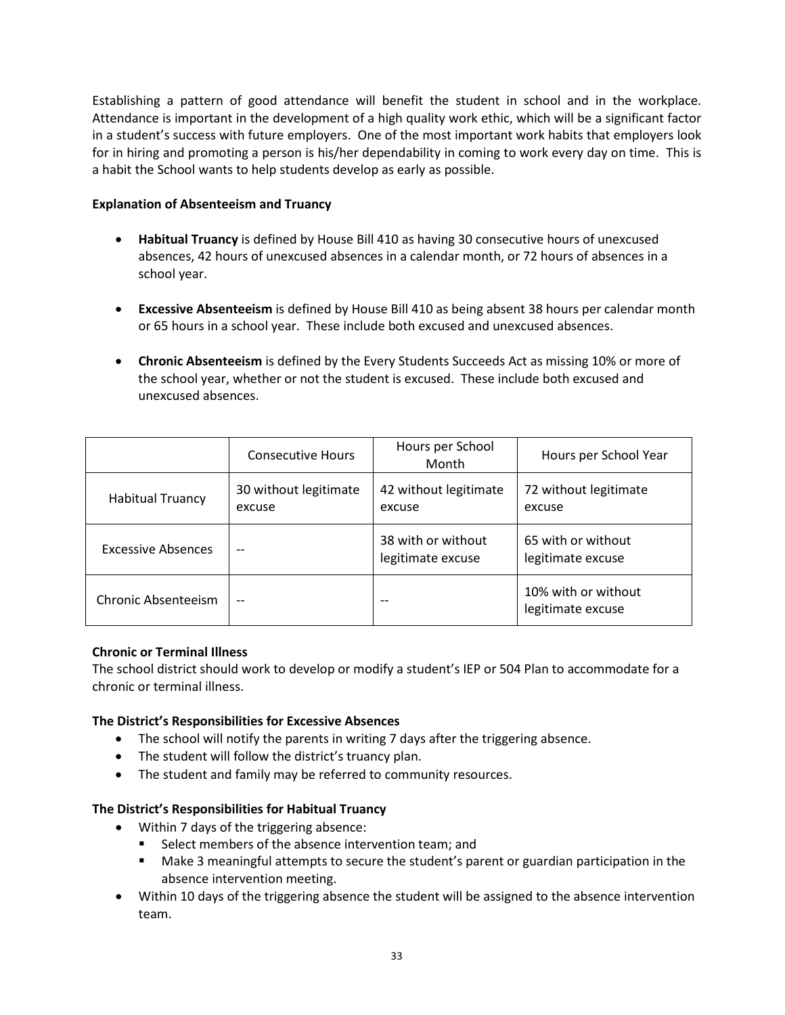Establishing a pattern of good attendance will benefit the student in school and in the workplace. Attendance is important in the development of a high quality work ethic, which will be a significant factor in a student's success with future employers. One of the most important work habits that employers look for in hiring and promoting a person is his/her dependability in coming to work every day on time. This is a habit the School wants to help students develop as early as possible.

## **Explanation of Absenteeism and Truancy**

- **Habitual Truancy** is defined by House Bill 410 as having 30 consecutive hours of unexcused absences, 42 hours of unexcused absences in a calendar month, or 72 hours of absences in a school year.
- **Excessive Absenteeism** is defined by House Bill 410 as being absent 38 hours per calendar month or 65 hours in a school year. These include both excused and unexcused absences.
- **Chronic Absenteeism** is defined by the Every Students Succeeds Act as missing 10% or more of the school year, whether or not the student is excused. These include both excused and unexcused absences.

|                            | <b>Consecutive Hours</b>        | Hours per School<br>Month               | Hours per School Year                    |
|----------------------------|---------------------------------|-----------------------------------------|------------------------------------------|
| <b>Habitual Truancy</b>    | 30 without legitimate<br>excuse |                                         | 72 without legitimate<br>excuse          |
| <b>Excessive Absences</b>  | --                              | 38 with or without<br>legitimate excuse | 65 with or without<br>legitimate excuse  |
| Chronic Absenteeism<br>$-$ |                                 | $- -$                                   | 10% with or without<br>legitimate excuse |

# **Chronic or Terminal Illness**

The school district should work to develop or modify a student's IEP or 504 Plan to accommodate for a chronic or terminal illness.

### **The District's Responsibilities for Excessive Absences**

- The school will notify the parents in writing 7 days after the triggering absence.
- The student will follow the district's truancy plan.
- The student and family may be referred to community resources.

# **The District's Responsibilities for Habitual Truancy**

- Within 7 days of the triggering absence:
	- **EXECT** Select members of the absence intervention team; and
	- Make 3 meaningful attempts to secure the student's parent or guardian participation in the absence intervention meeting.
- Within 10 days of the triggering absence the student will be assigned to the absence intervention team.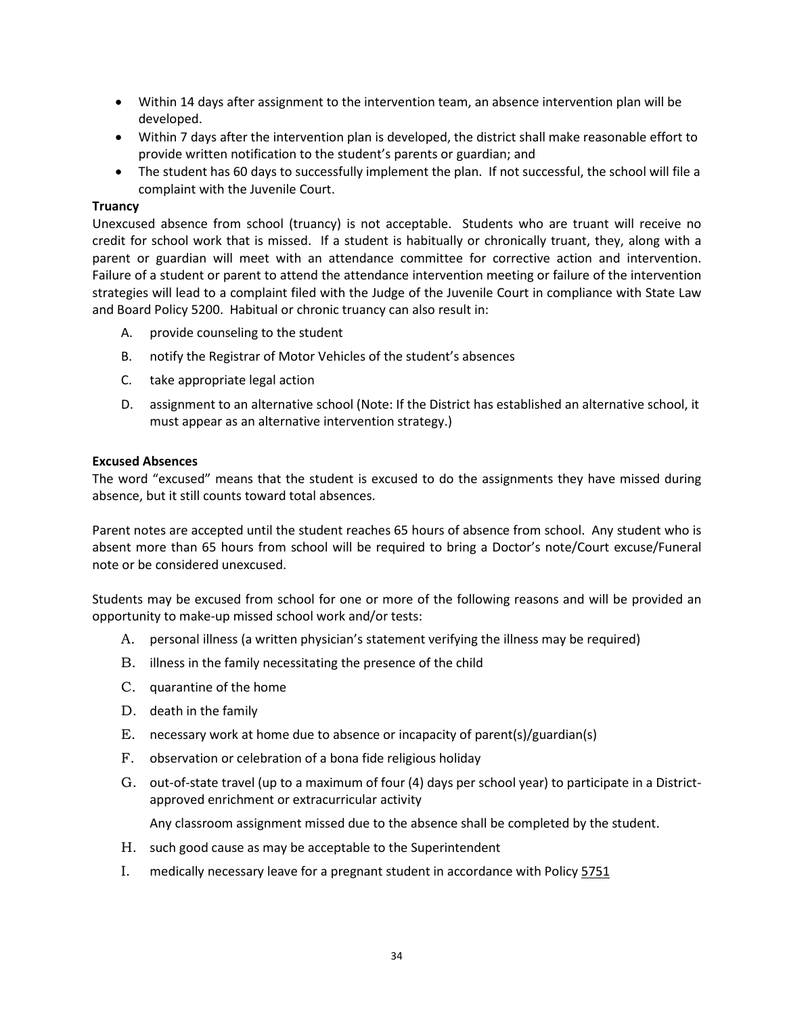- Within 14 days after assignment to the intervention team, an absence intervention plan will be developed.
- Within 7 days after the intervention plan is developed, the district shall make reasonable effort to provide written notification to the student's parents or guardian; and
- The student has 60 days to successfully implement the plan. If not successful, the school will file a complaint with the Juvenile Court.

#### **Truancy**

Unexcused absence from school (truancy) is not acceptable. Students who are truant will receive no credit for school work that is missed. If a student is habitually or chronically truant, they, along with a parent or guardian will meet with an attendance committee for corrective action and intervention. Failure of a student or parent to attend the attendance intervention meeting or failure of the intervention strategies will lead to a complaint filed with the Judge of the Juvenile Court in compliance with State Law and Board Policy 5200. Habitual or chronic truancy can also result in:

- A. provide counseling to the student
- B. notify the Registrar of Motor Vehicles of the student's absences
- C. take appropriate legal action
- D. assignment to an alternative school (Note: If the District has established an alternative school, it must appear as an alternative intervention strategy.)

#### **Excused Absences**

The word "excused" means that the student is excused to do the assignments they have missed during absence, but it still counts toward total absences.

Parent notes are accepted until the student reaches 65 hours of absence from school. Any student who is absent more than 65 hours from school will be required to bring a Doctor's note/Court excuse/Funeral note or be considered unexcused.

Students may be excused from school for one or more of the following reasons and will be provided an opportunity to make-up missed school work and/or tests:

- A. personal illness (a written physician's statement verifying the illness may be required)
- B. illness in the family necessitating the presence of the child
- C. quarantine of the home
- D. death in the family
- E. necessary work at home due to absence or incapacity of parent(s)/guardian(s)
- F. observation or celebration of a bona fide religious holiday
- G. out-of-state travel (up to a maximum of four (4) days per school year) to participate in a Districtapproved enrichment or extracurricular activity

Any classroom assignment missed due to the absence shall be completed by the student.

- H. such good cause as may be acceptable to the Superintendent
- I. medically necessary leave for a pregnant student in accordance with Polic[y 5751](http://www.neola.com/ironton-oh/search/policies/po5751.htm)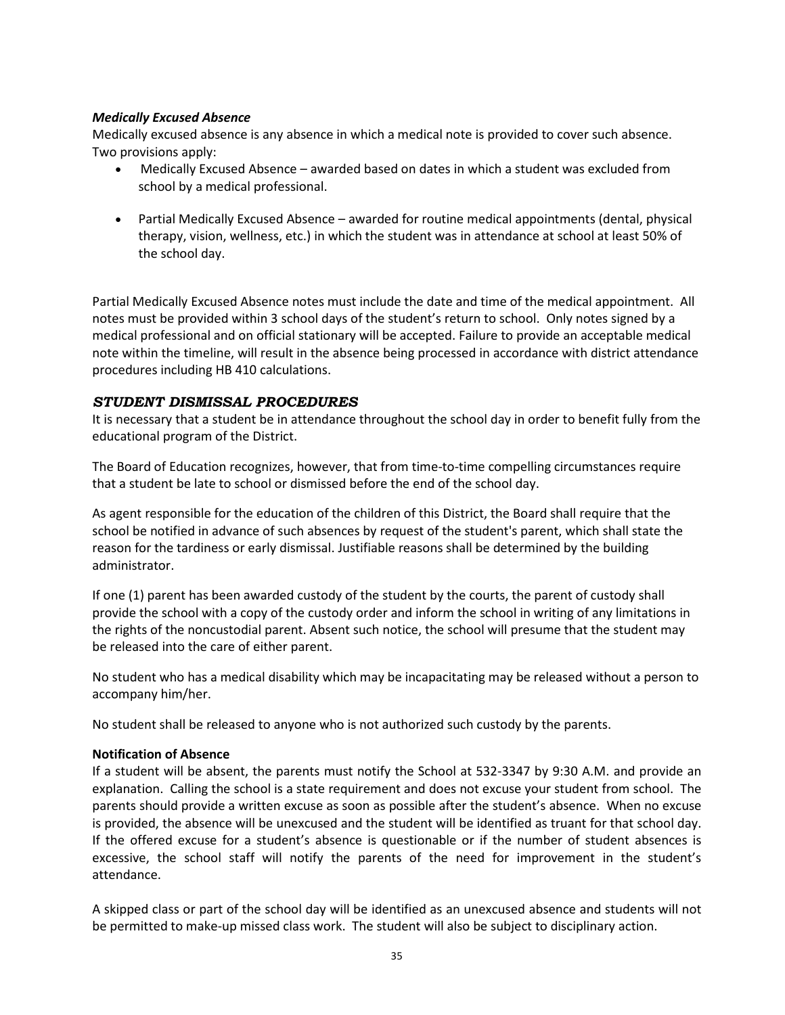### <span id="page-41-0"></span>*Medically Excused Absence*

Medically excused absence is any absence in which a medical note is provided to cover such absence. Two provisions apply:

- Medically Excused Absence awarded based on dates in which a student was excluded from school by a medical professional.
- Partial Medically Excused Absence awarded for routine medical appointments (dental, physical therapy, vision, wellness, etc.) in which the student was in attendance at school at least 50% of the school day.

Partial Medically Excused Absence notes must include the date and time of the medical appointment. All notes must be provided within 3 school days of the student's return to school. Only notes signed by a medical professional and on official stationary will be accepted. Failure to provide an acceptable medical note within the timeline, will result in the absence being processed in accordance with district attendance procedures including HB 410 calculations.

# <span id="page-41-1"></span>*STUDENT DISMISSAL PROCEDURES*

It is necessary that a student be in attendance throughout the school day in order to benefit fully from the educational program of the District.

The Board of Education recognizes, however, that from time-to-time compelling circumstances require that a student be late to school or dismissed before the end of the school day.

As agent responsible for the education of the children of this District, the Board shall require that the school be notified in advance of such absences by request of the student's parent, which shall state the reason for the tardiness or early dismissal. Justifiable reasons shall be determined by the building administrator.

If one (1) parent has been awarded custody of the student by the courts, the parent of custody shall provide the school with a copy of the custody order and inform the school in writing of any limitations in the rights of the noncustodial parent. Absent such notice, the school will presume that the student may be released into the care of either parent.

No student who has a medical disability which may be incapacitating may be released without a person to accompany him/her.

No student shall be released to anyone who is not authorized such custody by the parents.

### **Notification of Absence**

If a student will be absent, the parents must notify the School at 532-3347 by 9:30 A.M. and provide an explanation. Calling the school is a state requirement and does not excuse your student from school. The parents should provide a written excuse as soon as possible after the student's absence. When no excuse is provided, the absence will be unexcused and the student will be identified as truant for that school day. If the offered excuse for a student's absence is questionable or if the number of student absences is excessive, the school staff will notify the parents of the need for improvement in the student's attendance.

A skipped class or part of the school day will be identified as an unexcused absence and students will not be permitted to make-up missed class work. The student will also be subject to disciplinary action.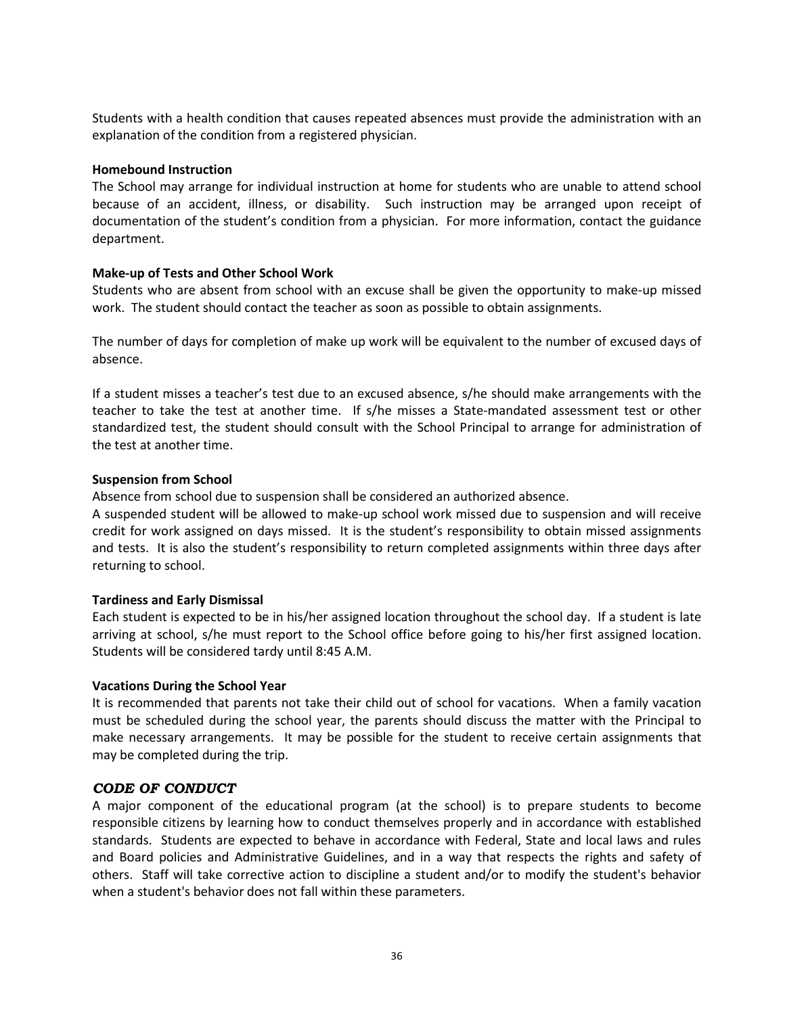Students with a health condition that causes repeated absences must provide the administration with an explanation of the condition from a registered physician.

#### **Homebound Instruction**

The School may arrange for individual instruction at home for students who are unable to attend school because of an accident, illness, or disability. Such instruction may be arranged upon receipt of documentation of the student's condition from a physician. For more information, contact the guidance department.

### **Make-up of Tests and Other School Work**

Students who are absent from school with an excuse shall be given the opportunity to make-up missed work. The student should contact the teacher as soon as possible to obtain assignments.

The number of days for completion of make up work will be equivalent to the number of excused days of absence.

If a student misses a teacher's test due to an excused absence, s/he should make arrangements with the teacher to take the test at another time. If s/he misses a State-mandated assessment test or other standardized test, the student should consult with the School Principal to arrange for administration of the test at another time.

### **Suspension from School**

Absence from school due to suspension shall be considered an authorized absence.

A suspended student will be allowed to make-up school work missed due to suspension and will receive credit for work assigned on days missed. It is the student's responsibility to obtain missed assignments and tests. It is also the student's responsibility to return completed assignments within three days after returning to school.

### **Tardiness and Early Dismissal**

Each student is expected to be in his/her assigned location throughout the school day. If a student is late arriving at school, s/he must report to the School office before going to his/her first assigned location. Students will be considered tardy until 8:45 A.M.

### **Vacations During the School Year**

It is recommended that parents not take their child out of school for vacations. When a family vacation must be scheduled during the school year, the parents should discuss the matter with the Principal to make necessary arrangements. It may be possible for the student to receive certain assignments that may be completed during the trip.

### <span id="page-42-0"></span>*CODE OF CONDUCT*

A major component of the educational program (at the school) is to prepare students to become responsible citizens by learning how to conduct themselves properly and in accordance with established standards. Students are expected to behave in accordance with Federal, State and local laws and rules and Board policies and Administrative Guidelines, and in a way that respects the rights and safety of others. Staff will take corrective action to discipline a student and/or to modify the student's behavior when a student's behavior does not fall within these parameters.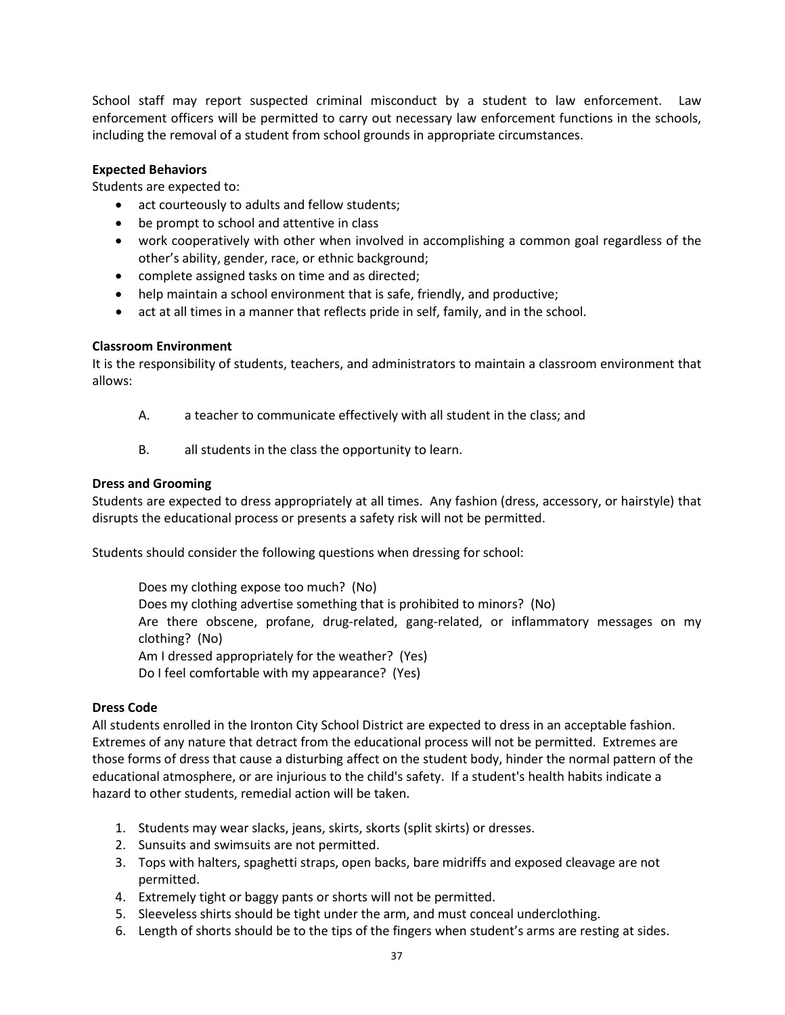School staff may report suspected criminal misconduct by a student to law enforcement. Law enforcement officers will be permitted to carry out necessary law enforcement functions in the schools, including the removal of a student from school grounds in appropriate circumstances.

### **Expected Behaviors**

Students are expected to:

- act courteously to adults and fellow students;
- be prompt to school and attentive in class
- work cooperatively with other when involved in accomplishing a common goal regardless of the other's ability, gender, race, or ethnic background;
- complete assigned tasks on time and as directed;
- help maintain a school environment that is safe, friendly, and productive;
- act at all times in a manner that reflects pride in self, family, and in the school.

### **Classroom Environment**

It is the responsibility of students, teachers, and administrators to maintain a classroom environment that allows:

- A. a teacher to communicate effectively with all student in the class; and
- B. all students in the class the opportunity to learn.

### **Dress and Grooming**

Students are expected to dress appropriately at all times. Any fashion (dress, accessory, or hairstyle) that disrupts the educational process or presents a safety risk will not be permitted.

Students should consider the following questions when dressing for school:

Does my clothing expose too much? (No) Does my clothing advertise something that is prohibited to minors? (No) Are there obscene, profane, drug-related, gang-related, or inflammatory messages on my clothing? (No) Am I dressed appropriately for the weather? (Yes) Do I feel comfortable with my appearance? (Yes)

#### **Dress Code**

All students enrolled in the Ironton City School District are expected to dress in an acceptable fashion. Extremes of any nature that detract from the educational process will not be permitted. Extremes are those forms of dress that cause a disturbing affect on the student body, hinder the normal pattern of the educational atmosphere, or are injurious to the child's safety. If a student's health habits indicate a hazard to other students, remedial action will be taken.

- 1. Students may wear slacks, jeans, skirts, skorts (split skirts) or dresses.
- 2. Sunsuits and swimsuits are not permitted.
- 3. Tops with halters, spaghetti straps, open backs, bare midriffs and exposed cleavage are not permitted.
- 4. Extremely tight or baggy pants or shorts will not be permitted.
- 5. Sleeveless shirts should be tight under the arm, and must conceal underclothing.
- 6. Length of shorts should be to the tips of the fingers when student's arms are resting at sides.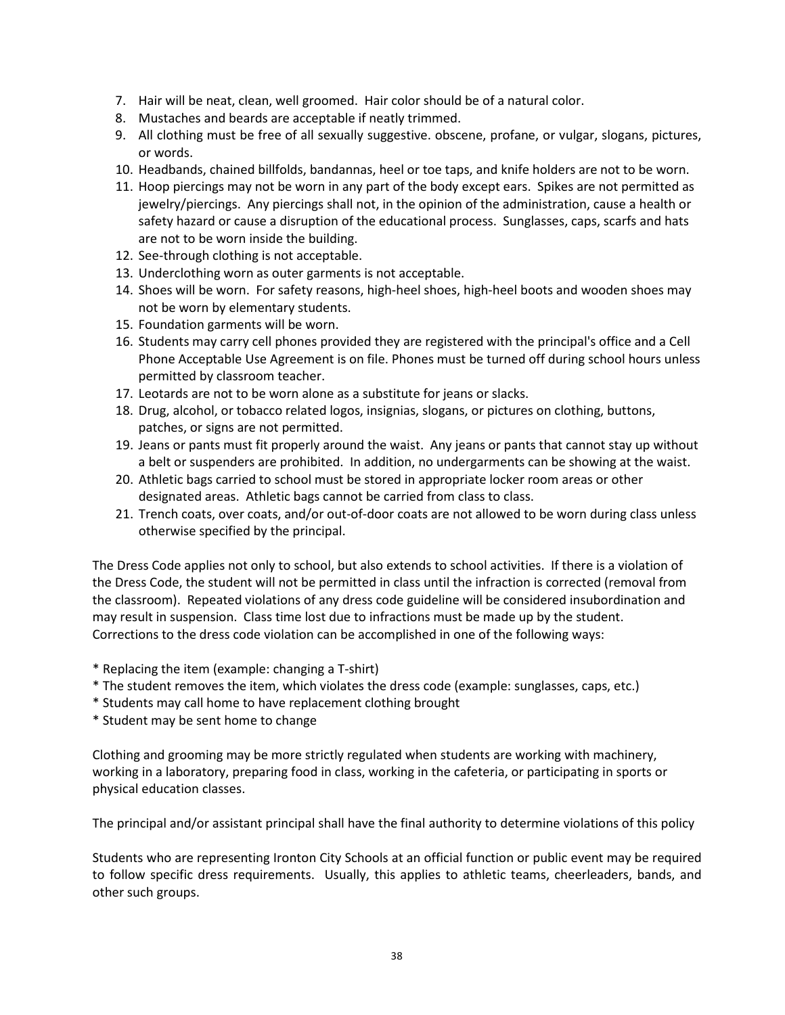- 7. Hair will be neat, clean, well groomed. Hair color should be of a natural color.
- 8. Mustaches and beards are acceptable if neatly trimmed.
- 9. All clothing must be free of all sexually suggestive. obscene, profane, or vulgar, slogans, pictures, or words.
- 10. Headbands, chained billfolds, bandannas, heel or toe taps, and knife holders are not to be worn.
- 11. Hoop piercings may not be worn in any part of the body except ears. Spikes are not permitted as jewelry/piercings. Any piercings shall not, in the opinion of the administration, cause a health or safety hazard or cause a disruption of the educational process. Sunglasses, caps, scarfs and hats are not to be worn inside the building.
- 12. See-through clothing is not acceptable.
- 13. Underclothing worn as outer garments is not acceptable.
- 14. Shoes will be worn. For safety reasons, high-heel shoes, high-heel boots and wooden shoes may not be worn by elementary students.
- 15. Foundation garments will be worn.
- 16. Students may carry cell phones provided they are registered with the principal's office and a Cell Phone Acceptable Use Agreement is on file. Phones must be turned off during school hours unless permitted by classroom teacher.
- 17. Leotards are not to be worn alone as a substitute for jeans or slacks.
- 18. Drug, alcohol, or tobacco related logos, insignias, slogans, or pictures on clothing, buttons, patches, or signs are not permitted.
- 19. Jeans or pants must fit properly around the waist. Any jeans or pants that cannot stay up without a belt or suspenders are prohibited. In addition, no undergarments can be showing at the waist.
- 20. Athletic bags carried to school must be stored in appropriate locker room areas or other designated areas. Athletic bags cannot be carried from class to class.
- 21. Trench coats, over coats, and/or out-of-door coats are not allowed to be worn during class unless otherwise specified by the principal.

The Dress Code applies not only to school, but also extends to school activities. If there is a violation of the Dress Code, the student will not be permitted in class until the infraction is corrected (removal from the classroom). Repeated violations of any dress code guideline will be considered insubordination and may result in suspension. Class time lost due to infractions must be made up by the student. Corrections to the dress code violation can be accomplished in one of the following ways:

- \* Replacing the item (example: changing a T-shirt)
- \* The student removes the item, which violates the dress code (example: sunglasses, caps, etc.)
- \* Students may call home to have replacement clothing brought
- \* Student may be sent home to change

Clothing and grooming may be more strictly regulated when students are working with machinery, working in a laboratory, preparing food in class, working in the cafeteria, or participating in sports or physical education classes.

The principal and/or assistant principal shall have the final authority to determine violations of this policy

Students who are representing Ironton City Schools at an official function or public event may be required to follow specific dress requirements. Usually, this applies to athletic teams, cheerleaders, bands, and other such groups.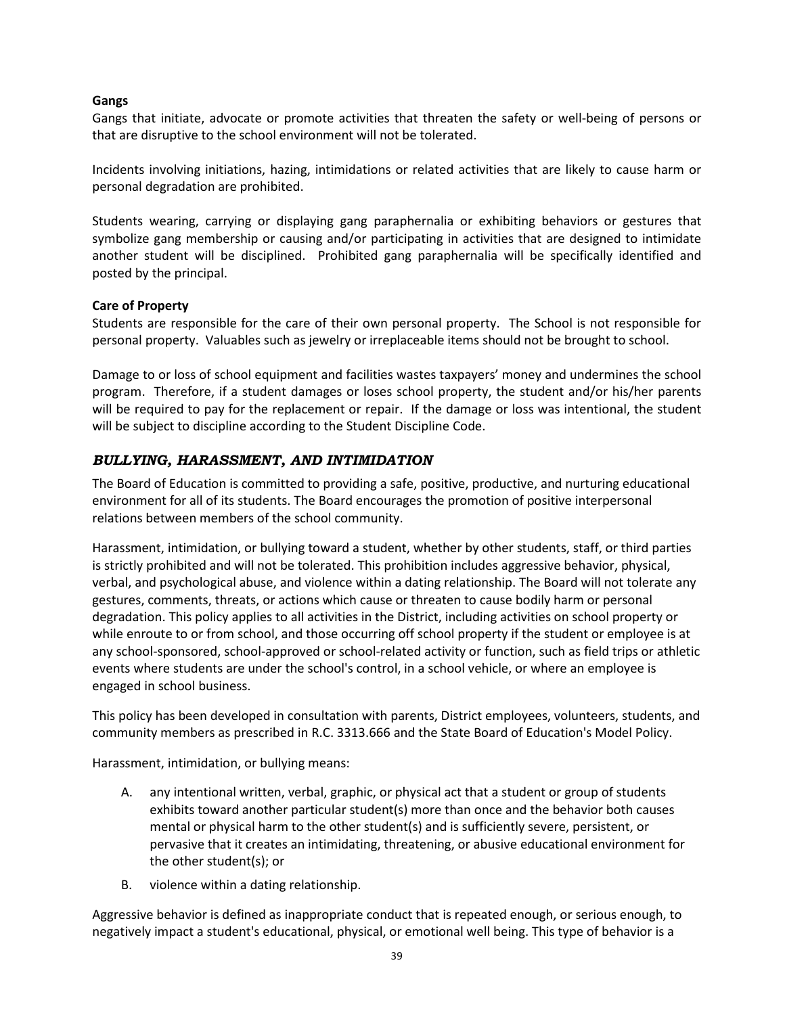## **Gangs**

Gangs that initiate, advocate or promote activities that threaten the safety or well-being of persons or that are disruptive to the school environment will not be tolerated.

Incidents involving initiations, hazing, intimidations or related activities that are likely to cause harm or personal degradation are prohibited.

Students wearing, carrying or displaying gang paraphernalia or exhibiting behaviors or gestures that symbolize gang membership or causing and/or participating in activities that are designed to intimidate another student will be disciplined. Prohibited gang paraphernalia will be specifically identified and posted by the principal.

### **Care of Property**

Students are responsible for the care of their own personal property. The School is not responsible for personal property. Valuables such as jewelry or irreplaceable items should not be brought to school.

Damage to or loss of school equipment and facilities wastes taxpayers' money and undermines the school program. Therefore, if a student damages or loses school property, the student and/or his/her parents will be required to pay for the replacement or repair. If the damage or loss was intentional, the student will be subject to discipline according to the Student Discipline Code.

# <span id="page-45-0"></span>*BULLYING, HARASSMENT, AND INTIMIDATION*

The Board of Education is committed to providing a safe, positive, productive, and nurturing educational environment for all of its students. The Board encourages the promotion of positive interpersonal relations between members of the school community.

Harassment, intimidation, or bullying toward a student, whether by other students, staff, or third parties is strictly prohibited and will not be tolerated. This prohibition includes aggressive behavior, physical, verbal, and psychological abuse, and violence within a dating relationship. The Board will not tolerate any gestures, comments, threats, or actions which cause or threaten to cause bodily harm or personal degradation. This policy applies to all activities in the District, including activities on school property or while enroute to or from school, and those occurring off school property if the student or employee is at any school-sponsored, school-approved or school-related activity or function, such as field trips or athletic events where students are under the school's control, in a school vehicle, or where an employee is engaged in school business.

This policy has been developed in consultation with parents, District employees, volunteers, students, and community members as prescribed in R.C. 3313.666 and the State Board of Education's Model Policy.

Harassment, intimidation, or bullying means:

- A. any intentional written, verbal, graphic, or physical act that a student or group of students exhibits toward another particular student(s) more than once and the behavior both causes mental or physical harm to the other student(s) and is sufficiently severe, persistent, or pervasive that it creates an intimidating, threatening, or abusive educational environment for the other student(s); or
- B. violence within a dating relationship.

Aggressive behavior is defined as inappropriate conduct that is repeated enough, or serious enough, to negatively impact a student's educational, physical, or emotional well being. This type of behavior is a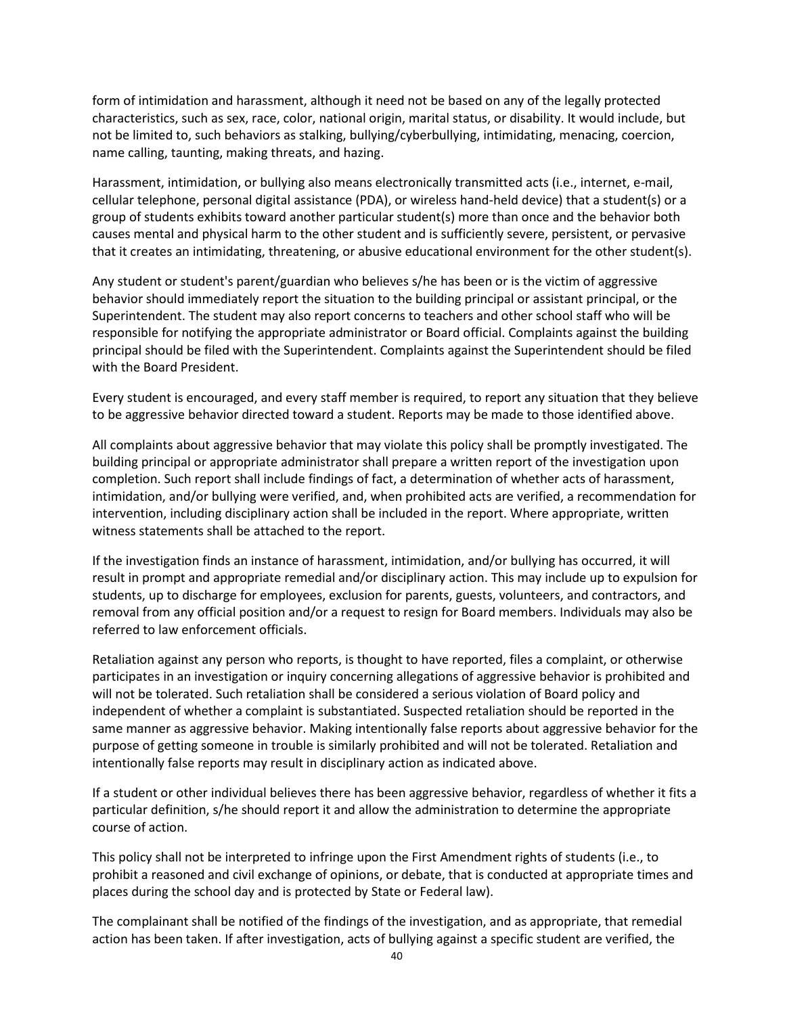form of intimidation and harassment, although it need not be based on any of the legally protected characteristics, such as sex, race, color, national origin, marital status, or disability. It would include, but not be limited to, such behaviors as stalking, bullying/cyberbullying, intimidating, menacing, coercion, name calling, taunting, making threats, and hazing.

Harassment, intimidation, or bullying also means electronically transmitted acts (i.e., internet, e-mail, cellular telephone, personal digital assistance (PDA), or wireless hand-held device) that a student(s) or a group of students exhibits toward another particular student(s) more than once and the behavior both causes mental and physical harm to the other student and is sufficiently severe, persistent, or pervasive that it creates an intimidating, threatening, or abusive educational environment for the other student(s).

Any student or student's parent/guardian who believes s/he has been or is the victim of aggressive behavior should immediately report the situation to the building principal or assistant principal, or the Superintendent. The student may also report concerns to teachers and other school staff who will be responsible for notifying the appropriate administrator or Board official. Complaints against the building principal should be filed with the Superintendent. Complaints against the Superintendent should be filed with the Board President.

Every student is encouraged, and every staff member is required, to report any situation that they believe to be aggressive behavior directed toward a student. Reports may be made to those identified above.

All complaints about aggressive behavior that may violate this policy shall be promptly investigated. The building principal or appropriate administrator shall prepare a written report of the investigation upon completion. Such report shall include findings of fact, a determination of whether acts of harassment, intimidation, and/or bullying were verified, and, when prohibited acts are verified, a recommendation for intervention, including disciplinary action shall be included in the report. Where appropriate, written witness statements shall be attached to the report.

If the investigation finds an instance of harassment, intimidation, and/or bullying has occurred, it will result in prompt and appropriate remedial and/or disciplinary action. This may include up to expulsion for students, up to discharge for employees, exclusion for parents, guests, volunteers, and contractors, and removal from any official position and/or a request to resign for Board members. Individuals may also be referred to law enforcement officials.

Retaliation against any person who reports, is thought to have reported, files a complaint, or otherwise participates in an investigation or inquiry concerning allegations of aggressive behavior is prohibited and will not be tolerated. Such retaliation shall be considered a serious violation of Board policy and independent of whether a complaint is substantiated. Suspected retaliation should be reported in the same manner as aggressive behavior. Making intentionally false reports about aggressive behavior for the purpose of getting someone in trouble is similarly prohibited and will not be tolerated. Retaliation and intentionally false reports may result in disciplinary action as indicated above.

If a student or other individual believes there has been aggressive behavior, regardless of whether it fits a particular definition, s/he should report it and allow the administration to determine the appropriate course of action.

This policy shall not be interpreted to infringe upon the First Amendment rights of students (i.e., to prohibit a reasoned and civil exchange of opinions, or debate, that is conducted at appropriate times and places during the school day and is protected by State or Federal law).

The complainant shall be notified of the findings of the investigation, and as appropriate, that remedial action has been taken. If after investigation, acts of bullying against a specific student are verified, the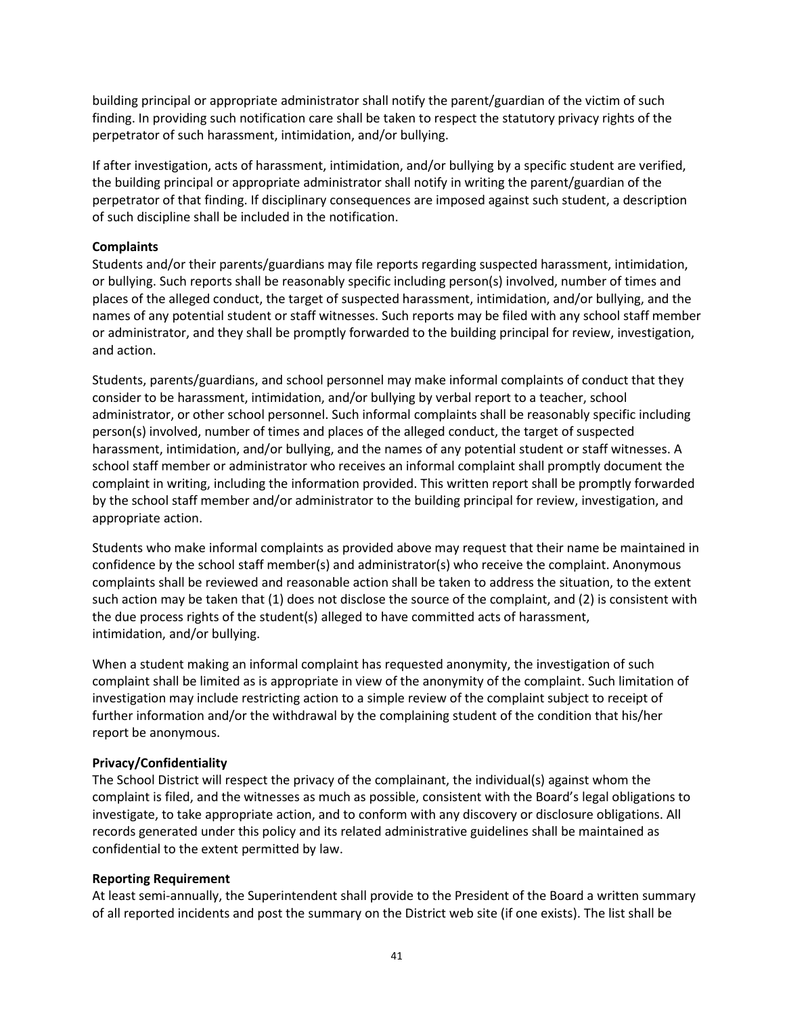building principal or appropriate administrator shall notify the parent/guardian of the victim of such finding. In providing such notification care shall be taken to respect the statutory privacy rights of the perpetrator of such harassment, intimidation, and/or bullying.

If after investigation, acts of harassment, intimidation, and/or bullying by a specific student are verified, the building principal or appropriate administrator shall notify in writing the parent/guardian of the perpetrator of that finding. If disciplinary consequences are imposed against such student, a description of such discipline shall be included in the notification.

# **Complaints**

Students and/or their parents/guardians may file reports regarding suspected harassment, intimidation, or bullying. Such reports shall be reasonably specific including person(s) involved, number of times and places of the alleged conduct, the target of suspected harassment, intimidation, and/or bullying, and the names of any potential student or staff witnesses. Such reports may be filed with any school staff member or administrator, and they shall be promptly forwarded to the building principal for review, investigation, and action.

Students, parents/guardians, and school personnel may make informal complaints of conduct that they consider to be harassment, intimidation, and/or bullying by verbal report to a teacher, school administrator, or other school personnel. Such informal complaints shall be reasonably specific including person(s) involved, number of times and places of the alleged conduct, the target of suspected harassment, intimidation, and/or bullying, and the names of any potential student or staff witnesses. A school staff member or administrator who receives an informal complaint shall promptly document the complaint in writing, including the information provided. This written report shall be promptly forwarded by the school staff member and/or administrator to the building principal for review, investigation, and appropriate action.

Students who make informal complaints as provided above may request that their name be maintained in confidence by the school staff member(s) and administrator(s) who receive the complaint. Anonymous complaints shall be reviewed and reasonable action shall be taken to address the situation, to the extent such action may be taken that (1) does not disclose the source of the complaint, and (2) is consistent with the due process rights of the student(s) alleged to have committed acts of harassment, intimidation, and/or bullying.

When a student making an informal complaint has requested anonymity, the investigation of such complaint shall be limited as is appropriate in view of the anonymity of the complaint. Such limitation of investigation may include restricting action to a simple review of the complaint subject to receipt of further information and/or the withdrawal by the complaining student of the condition that his/her report be anonymous.

### **Privacy/Confidentiality**

The School District will respect the privacy of the complainant, the individual(s) against whom the complaint is filed, and the witnesses as much as possible, consistent with the Board's legal obligations to investigate, to take appropriate action, and to conform with any discovery or disclosure obligations. All records generated under this policy and its related administrative guidelines shall be maintained as confidential to the extent permitted by law.

### **Reporting Requirement**

At least semi-annually, the Superintendent shall provide to the President of the Board a written summary of all reported incidents and post the summary on the District web site (if one exists). The list shall be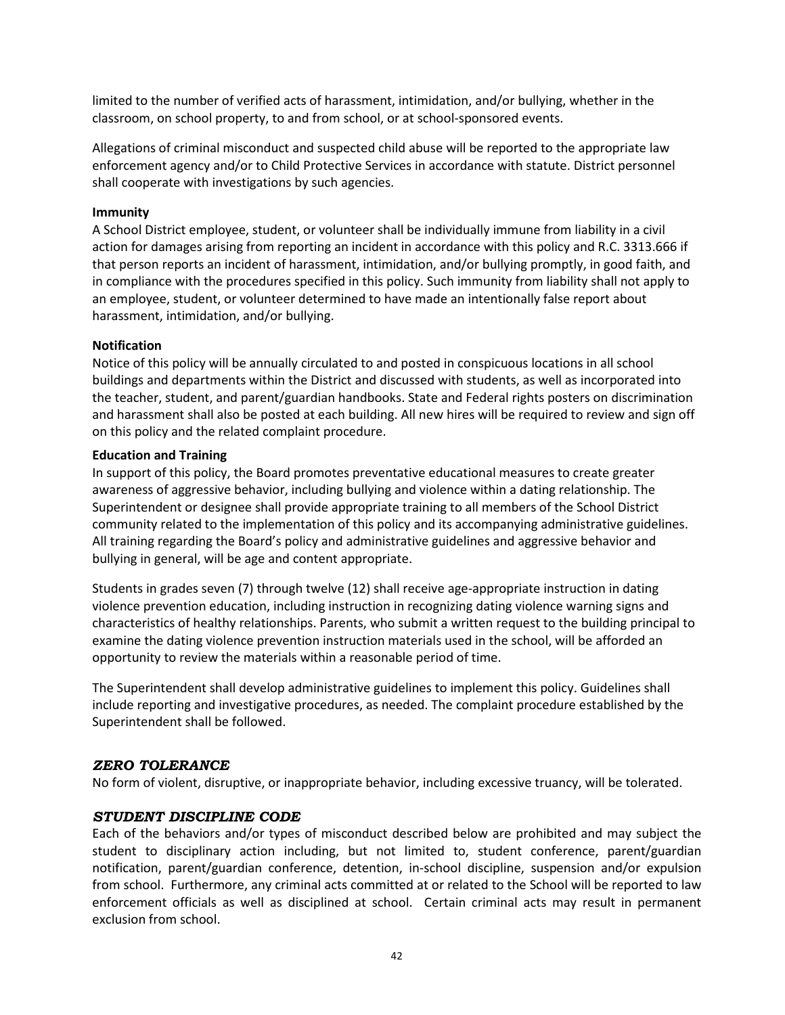limited to the number of verified acts of harassment, intimidation, and/or bullying, whether in the classroom, on school property, to and from school, or at school-sponsored events.

Allegations of criminal misconduct and suspected child abuse will be reported to the appropriate law enforcement agency and/or to Child Protective Services in accordance with statute. District personnel shall cooperate with investigations by such agencies.

#### **Immunity**

A School District employee, student, or volunteer shall be individually immune from liability in a civil action for damages arising from reporting an incident in accordance with this policy and R.C. 3313.666 if that person reports an incident of harassment, intimidation, and/or bullying promptly, in good faith, and in compliance with the procedures specified in this policy. Such immunity from liability shall not apply to an employee, student, or volunteer determined to have made an intentionally false report about harassment, intimidation, and/or bullying.

#### **Notification**

Notice of this policy will be annually circulated to and posted in conspicuous locations in all school buildings and departments within the District and discussed with students, as well as incorporated into the teacher, student, and parent/guardian handbooks. State and Federal rights posters on discrimination and harassment shall also be posted at each building. All new hires will be required to review and sign off on this policy and the related complaint procedure.

#### **Education and Training**

In support of this policy, the Board promotes preventative educational measures to create greater awareness of aggressive behavior, including bullying and violence within a dating relationship. The Superintendent or designee shall provide appropriate training to all members of the School District community related to the implementation of this policy and its accompanying administrative guidelines. All training regarding the Board's policy and administrative guidelines and aggressive behavior and bullying in general, will be age and content appropriate.

Students in grades seven (7) through twelve (12) shall receive age-appropriate instruction in dating violence prevention education, including instruction in recognizing dating violence warning signs and characteristics of healthy relationships. Parents, who submit a written request to the building principal to examine the dating violence prevention instruction materials used in the school, will be afforded an opportunity to review the materials within a reasonable period of time.

The Superintendent shall develop administrative guidelines to implement this policy. Guidelines shall include reporting and investigative procedures, as needed. The complaint procedure established by the Superintendent shall be followed.

### <span id="page-48-0"></span>*ZERO TOLERANCE*

No form of violent, disruptive, or inappropriate behavior, including excessive truancy, will be tolerated.

### <span id="page-48-1"></span>*STUDENT DISCIPLINE CODE*

Each of the behaviors and/or types of misconduct described below are prohibited and may subject the student to disciplinary action including, but not limited to, student conference, parent/guardian notification, parent/guardian conference, detention, in-school discipline, suspension and/or expulsion from school. Furthermore, any criminal acts committed at or related to the School will be reported to law enforcement officials as well as disciplined at school. Certain criminal acts may result in permanent exclusion from school.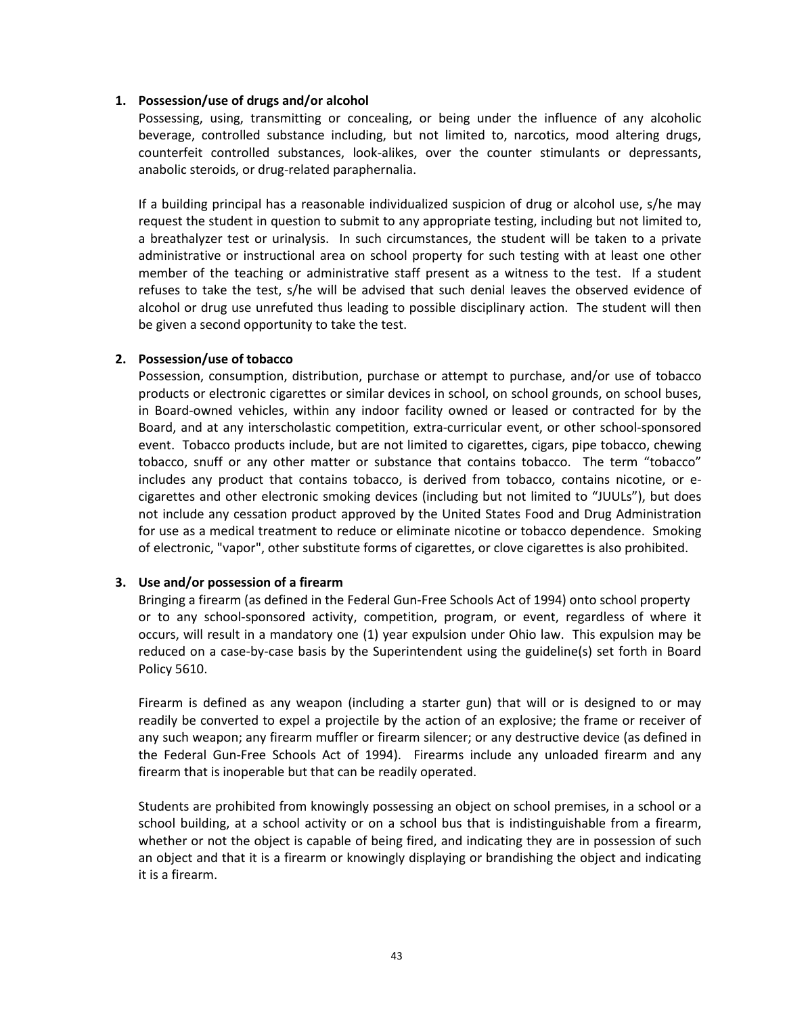#### **1. Possession/use of drugs and/or alcohol**

Possessing, using, transmitting or concealing, or being under the influence of any alcoholic beverage, controlled substance including, but not limited to, narcotics, mood altering drugs, counterfeit controlled substances, look-alikes, over the counter stimulants or depressants, anabolic steroids, or drug-related paraphernalia.

If a building principal has a reasonable individualized suspicion of drug or alcohol use, s/he may request the student in question to submit to any appropriate testing, including but not limited to, a breathalyzer test or urinalysis. In such circumstances, the student will be taken to a private administrative or instructional area on school property for such testing with at least one other member of the teaching or administrative staff present as a witness to the test. If a student refuses to take the test, s/he will be advised that such denial leaves the observed evidence of alcohol or drug use unrefuted thus leading to possible disciplinary action. The student will then be given a second opportunity to take the test.

#### **2. Possession/use of tobacco**

Possession, consumption, distribution, purchase or attempt to purchase, and/or use of tobacco products or electronic cigarettes or similar devices in school, on school grounds, on school buses, in Board-owned vehicles, within any indoor facility owned or leased or contracted for by the Board, and at any interscholastic competition, extra-curricular event, or other school-sponsored event. Tobacco products include, but are not limited to cigarettes, cigars, pipe tobacco, chewing tobacco, snuff or any other matter or substance that contains tobacco. The term "tobacco" includes any product that contains tobacco, is derived from tobacco, contains nicotine, or ecigarettes and other electronic smoking devices (including but not limited to "JUULs"), but does not include any cessation product approved by the United States Food and Drug Administration for use as a medical treatment to reduce or eliminate nicotine or tobacco dependence. Smoking of electronic, "vapor", other substitute forms of cigarettes, or clove cigarettes is also prohibited.

### **3. Use and/or possession of a firearm**

Bringing a firearm (as defined in the Federal Gun-Free Schools Act of 1994) onto school property or to any school-sponsored activity, competition, program, or event, regardless of where it occurs, will result in a mandatory one (1) year expulsion under Ohio law. This expulsion may be reduced on a case-by-case basis by the Superintendent using the guideline(s) set forth in Board Policy 5610.

Firearm is defined as any weapon (including a starter gun) that will or is designed to or may readily be converted to expel a projectile by the action of an explosive; the frame or receiver of any such weapon; any firearm muffler or firearm silencer; or any destructive device (as defined in the Federal Gun-Free Schools Act of 1994). Firearms include any unloaded firearm and any firearm that is inoperable but that can be readily operated.

Students are prohibited from knowingly possessing an object on school premises, in a school or a school building, at a school activity or on a school bus that is indistinguishable from a firearm, whether or not the object is capable of being fired, and indicating they are in possession of such an object and that it is a firearm or knowingly displaying or brandishing the object and indicating it is a firearm.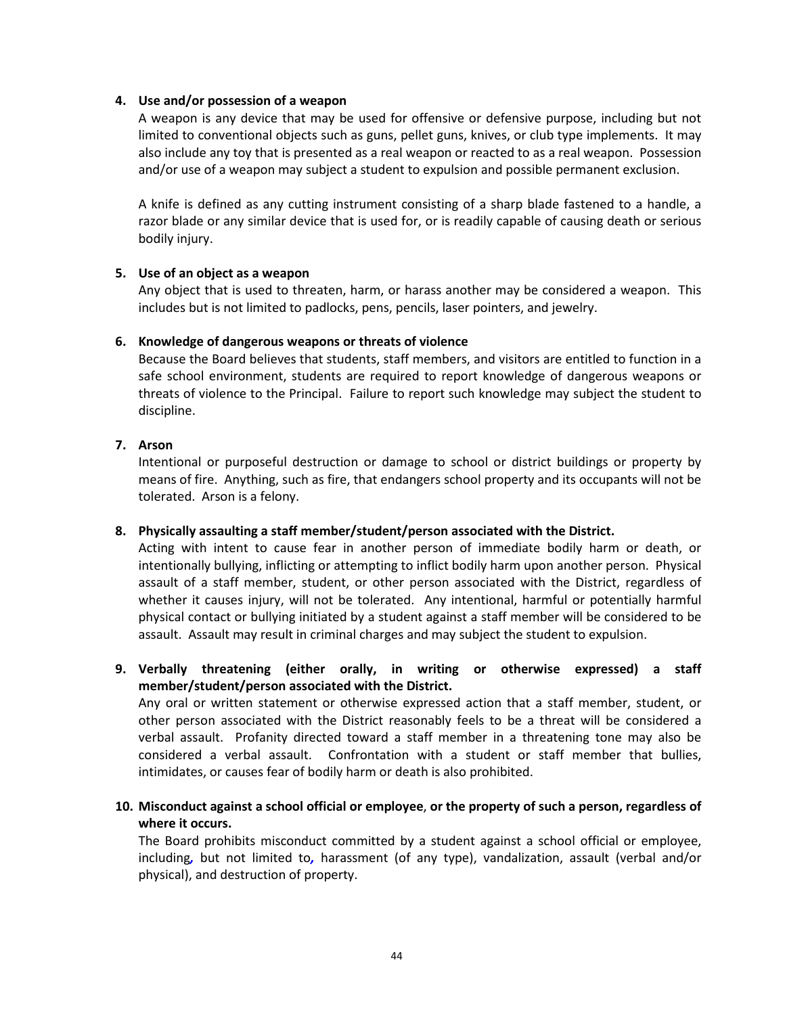#### **4. Use and/or possession of a weapon**

A weapon is any device that may be used for offensive or defensive purpose, including but not limited to conventional objects such as guns, pellet guns, knives, or club type implements. It may also include any toy that is presented as a real weapon or reacted to as a real weapon. Possession and/or use of a weapon may subject a student to expulsion and possible permanent exclusion.

A knife is defined as any cutting instrument consisting of a sharp blade fastened to a handle, a razor blade or any similar device that is used for, or is readily capable of causing death or serious bodily injury.

#### **5. Use of an object as a weapon**

Any object that is used to threaten, harm, or harass another may be considered a weapon. This includes but is not limited to padlocks, pens, pencils, laser pointers, and jewelry.

#### **6. Knowledge of dangerous weapons or threats of violence**

Because the Board believes that students, staff members, and visitors are entitled to function in a safe school environment, students are required to report knowledge of dangerous weapons or threats of violence to the Principal. Failure to report such knowledge may subject the student to discipline.

### **7. Arson**

Intentional or purposeful destruction or damage to school or district buildings or property by means of fire. Anything, such as fire, that endangers school property and its occupants will not be tolerated. Arson is a felony.

### **8. Physically assaulting a staff member/student/person associated with the District.**

Acting with intent to cause fear in another person of immediate bodily harm or death, or intentionally bullying, inflicting or attempting to inflict bodily harm upon another person. Physical assault of a staff member, student, or other person associated with the District, regardless of whether it causes injury, will not be tolerated. Any intentional, harmful or potentially harmful physical contact or bullying initiated by a student against a staff member will be considered to be assault. Assault may result in criminal charges and may subject the student to expulsion.

# **9. Verbally threatening (either orally, in writing or otherwise expressed) a staff member/student/person associated with the District.**

Any oral or written statement or otherwise expressed action that a staff member, student, or other person associated with the District reasonably feels to be a threat will be considered a verbal assault. Profanity directed toward a staff member in a threatening tone may also be considered a verbal assault. Confrontation with a student or staff member that bullies, intimidates, or causes fear of bodily harm or death is also prohibited.

**10. Misconduct against a school official or employee**, **or the property of such a person, regardless of where it occurs.**

The Board prohibits misconduct committed by a student against a school official or employee, including*,* but not limited to*,* harassment (of any type), vandalization, assault (verbal and/or physical), and destruction of property.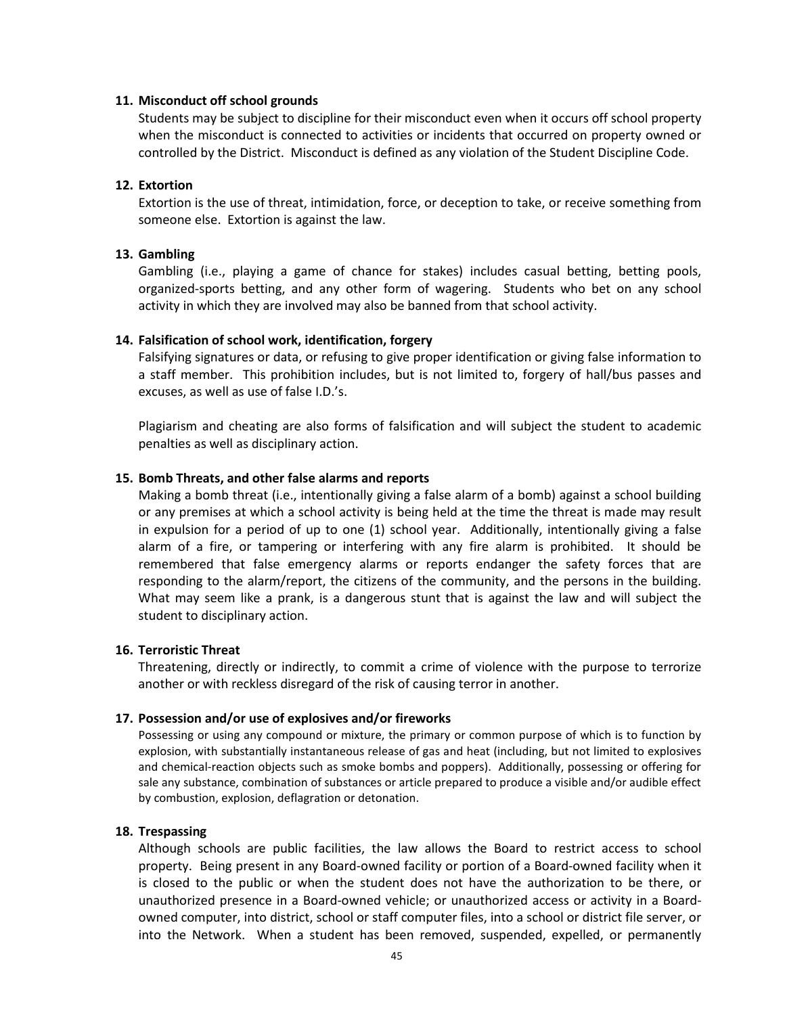#### **11. Misconduct off school grounds**

Students may be subject to discipline for their misconduct even when it occurs off school property when the misconduct is connected to activities or incidents that occurred on property owned or controlled by the District. Misconduct is defined as any violation of the Student Discipline Code.

#### **12. Extortion**

Extortion is the use of threat, intimidation, force, or deception to take, or receive something from someone else. Extortion is against the law.

#### **13. Gambling**

Gambling (i.e., playing a game of chance for stakes) includes casual betting, betting pools, organized-sports betting, and any other form of wagering. Students who bet on any school activity in which they are involved may also be banned from that school activity.

#### **14. Falsification of school work, identification, forgery**

Falsifying signatures or data, or refusing to give proper identification or giving false information to a staff member. This prohibition includes, but is not limited to, forgery of hall/bus passes and excuses, as well as use of false I.D.'s.

Plagiarism and cheating are also forms of falsification and will subject the student to academic penalties as well as disciplinary action.

#### **15. Bomb Threats, and other false alarms and reports**

Making a bomb threat (i.e., intentionally giving a false alarm of a bomb) against a school building or any premises at which a school activity is being held at the time the threat is made may result in expulsion for a period of up to one (1) school year. Additionally, intentionally giving a false alarm of a fire, or tampering or interfering with any fire alarm is prohibited. It should be remembered that false emergency alarms or reports endanger the safety forces that are responding to the alarm/report, the citizens of the community, and the persons in the building. What may seem like a prank, is a dangerous stunt that is against the law and will subject the student to disciplinary action.

#### **16. Terroristic Threat**

Threatening, directly or indirectly, to commit a crime of violence with the purpose to terrorize another or with reckless disregard of the risk of causing terror in another.

#### **17. Possession and/or use of explosives and/or fireworks**

Possessing or using any compound or mixture, the primary or common purpose of which is to function by explosion, with substantially instantaneous release of gas and heat (including, but not limited to explosives and chemical-reaction objects such as smoke bombs and poppers). Additionally, possessing or offering for sale any substance, combination of substances or article prepared to produce a visible and/or audible effect by combustion, explosion, deflagration or detonation.

#### **18. Trespassing**

Although schools are public facilities, the law allows the Board to restrict access to school property. Being present in any Board-owned facility or portion of a Board-owned facility when it is closed to the public or when the student does not have the authorization to be there, or unauthorized presence in a Board-owned vehicle; or unauthorized access or activity in a Boardowned computer, into district, school or staff computer files, into a school or district file server, or into the Network. When a student has been removed, suspended, expelled, or permanently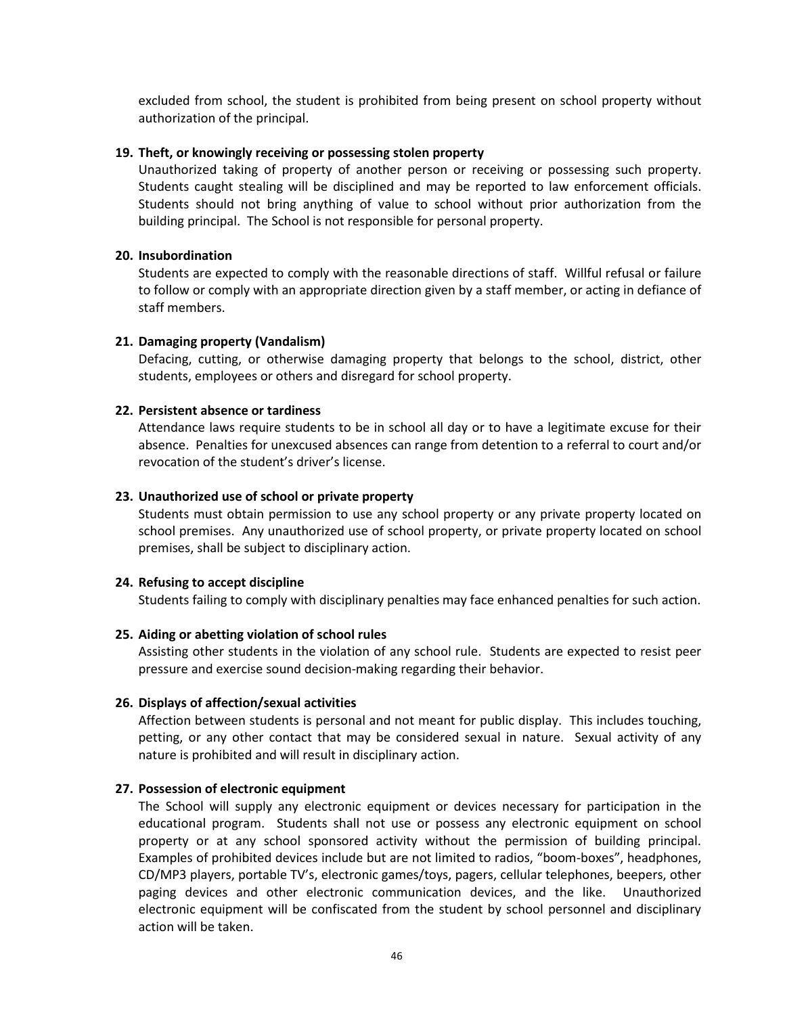excluded from school, the student is prohibited from being present on school property without authorization of the principal.

#### **19. Theft, or knowingly receiving or possessing stolen property**

Unauthorized taking of property of another person or receiving or possessing such property. Students caught stealing will be disciplined and may be reported to law enforcement officials. Students should not bring anything of value to school without prior authorization from the building principal. The School is not responsible for personal property.

#### **20. Insubordination**

Students are expected to comply with the reasonable directions of staff. Willful refusal or failure to follow or comply with an appropriate direction given by a staff member, or acting in defiance of staff members.

#### **21. Damaging property (Vandalism)**

Defacing, cutting, or otherwise damaging property that belongs to the school, district, other students, employees or others and disregard for school property.

#### **22. Persistent absence or tardiness**

Attendance laws require students to be in school all day or to have a legitimate excuse for their absence. Penalties for unexcused absences can range from detention to a referral to court and/or revocation of the student's driver's license.

#### **23. Unauthorized use of school or private property**

Students must obtain permission to use any school property or any private property located on school premises. Any unauthorized use of school property, or private property located on school premises, shall be subject to disciplinary action.

#### **24. Refusing to accept discipline**

Students failing to comply with disciplinary penalties may face enhanced penalties for such action.

### **25. Aiding or abetting violation of school rules**

Assisting other students in the violation of any school rule. Students are expected to resist peer pressure and exercise sound decision-making regarding their behavior.

#### **26. Displays of affection/sexual activities**

Affection between students is personal and not meant for public display. This includes touching, petting, or any other contact that may be considered sexual in nature. Sexual activity of any nature is prohibited and will result in disciplinary action.

#### **27. Possession of electronic equipment**

The School will supply any electronic equipment or devices necessary for participation in the educational program. Students shall not use or possess any electronic equipment on school property or at any school sponsored activity without the permission of building principal. Examples of prohibited devices include but are not limited to radios, "boom-boxes", headphones, CD/MP3 players, portable TV's, electronic games/toys, pagers, cellular telephones, beepers, other paging devices and other electronic communication devices, and the like.Unauthorized electronic equipment will be confiscated from the student by school personnel and disciplinary action will be taken.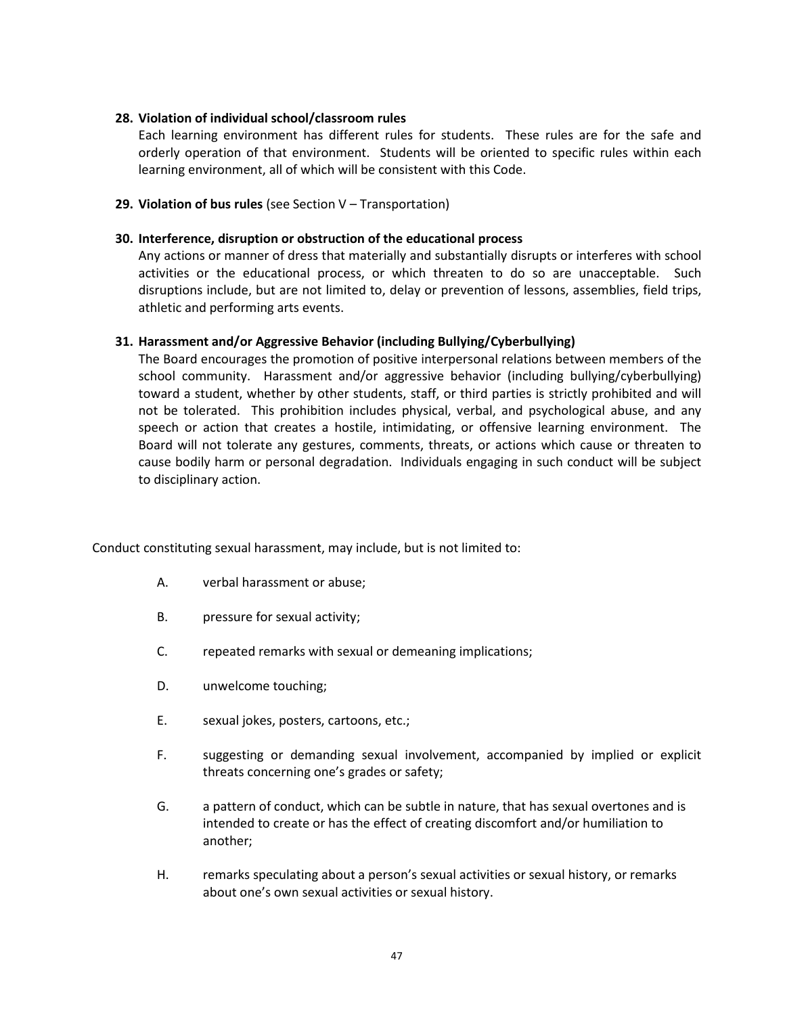#### **28. Violation of individual school/classroom rules**

Each learning environment has different rules for students. These rules are for the safe and orderly operation of that environment. Students will be oriented to specific rules within each learning environment, all of which will be consistent with this Code.

### **29. Violation of bus rules** (see Section V – Transportation)

#### **30. Interference, disruption or obstruction of the educational process**

Any actions or manner of dress that materially and substantially disrupts or interferes with school activities or the educational process, or which threaten to do so are unacceptable. Such disruptions include, but are not limited to, delay or prevention of lessons, assemblies, field trips, athletic and performing arts events.

#### **31. Harassment and/or Aggressive Behavior (including Bullying/Cyberbullying)**

The Board encourages the promotion of positive interpersonal relations between members of the school community. Harassment and/or aggressive behavior (including bullying/cyberbullying) toward a student, whether by other students, staff, or third parties is strictly prohibited and will not be tolerated. This prohibition includes physical, verbal, and psychological abuse, and any speech or action that creates a hostile, intimidating, or offensive learning environment. The Board will not tolerate any gestures, comments, threats, or actions which cause or threaten to cause bodily harm or personal degradation. Individuals engaging in such conduct will be subject to disciplinary action.

Conduct constituting sexual harassment, may include, but is not limited to:

- A. verbal harassment or abuse;
- B. pressure for sexual activity;
- C. repeated remarks with sexual or demeaning implications;
- D. unwelcome touching;
- E. sexual jokes, posters, cartoons, etc.;
- F. suggesting or demanding sexual involvement, accompanied by implied or explicit threats concerning one's grades or safety;
- G. a pattern of conduct, which can be subtle in nature, that has sexual overtones and is intended to create or has the effect of creating discomfort and/or humiliation to another;
- H. remarks speculating about a person's sexual activities or sexual history, or remarks about one's own sexual activities or sexual history.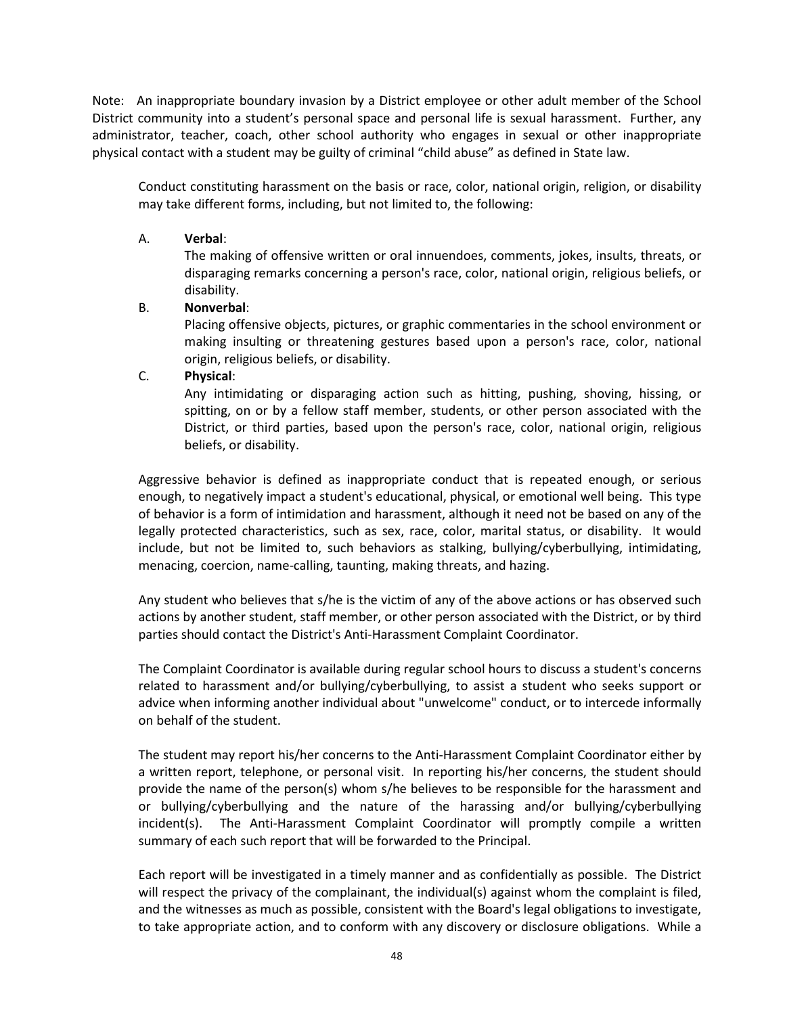Note: An inappropriate boundary invasion by a District employee or other adult member of the School District community into a student's personal space and personal life is sexual harassment. Further, any administrator, teacher, coach, other school authority who engages in sexual or other inappropriate physical contact with a student may be guilty of criminal "child abuse" as defined in State law.

Conduct constituting harassment on the basis or race, color, national origin, religion, or disability may take different forms, including, but not limited to, the following:

# A. **Verbal**:

The making of offensive written or oral innuendoes, comments, jokes, insults, threats, or disparaging remarks concerning a person's race, color, national origin, religious beliefs, or disability.

# B. **Nonverbal**:

Placing offensive objects, pictures, or graphic commentaries in the school environment or making insulting or threatening gestures based upon a person's race, color, national origin, religious beliefs, or disability.

# C. **Physical**:

Any intimidating or disparaging action such as hitting, pushing, shoving, hissing, or spitting, on or by a fellow staff member, students, or other person associated with the District, or third parties, based upon the person's race, color, national origin, religious beliefs, or disability.

Aggressive behavior is defined as inappropriate conduct that is repeated enough, or serious enough, to negatively impact a student's educational, physical, or emotional well being. This type of behavior is a form of intimidation and harassment, although it need not be based on any of the legally protected characteristics, such as sex, race, color, marital status, or disability. It would include, but not be limited to, such behaviors as stalking, bullying/cyberbullying, intimidating, menacing, coercion, name-calling, taunting, making threats, and hazing.

Any student who believes that s/he is the victim of any of the above actions or has observed such actions by another student, staff member, or other person associated with the District, or by third parties should contact the District's Anti-Harassment Complaint Coordinator.

The Complaint Coordinator is available during regular school hours to discuss a student's concerns related to harassment and/or bullying/cyberbullying, to assist a student who seeks support or advice when informing another individual about "unwelcome" conduct, or to intercede informally on behalf of the student.

The student may report his/her concerns to the Anti-Harassment Complaint Coordinator either by a written report, telephone, or personal visit. In reporting his/her concerns, the student should provide the name of the person(s) whom s/he believes to be responsible for the harassment and or bullying/cyberbullying and the nature of the harassing and/or bullying/cyberbullying incident(s). The Anti-Harassment Complaint Coordinator will promptly compile a written summary of each such report that will be forwarded to the Principal.

Each report will be investigated in a timely manner and as confidentially as possible. The District will respect the privacy of the complainant, the individual(s) against whom the complaint is filed, and the witnesses as much as possible, consistent with the Board's legal obligations to investigate, to take appropriate action, and to conform with any discovery or disclosure obligations. While a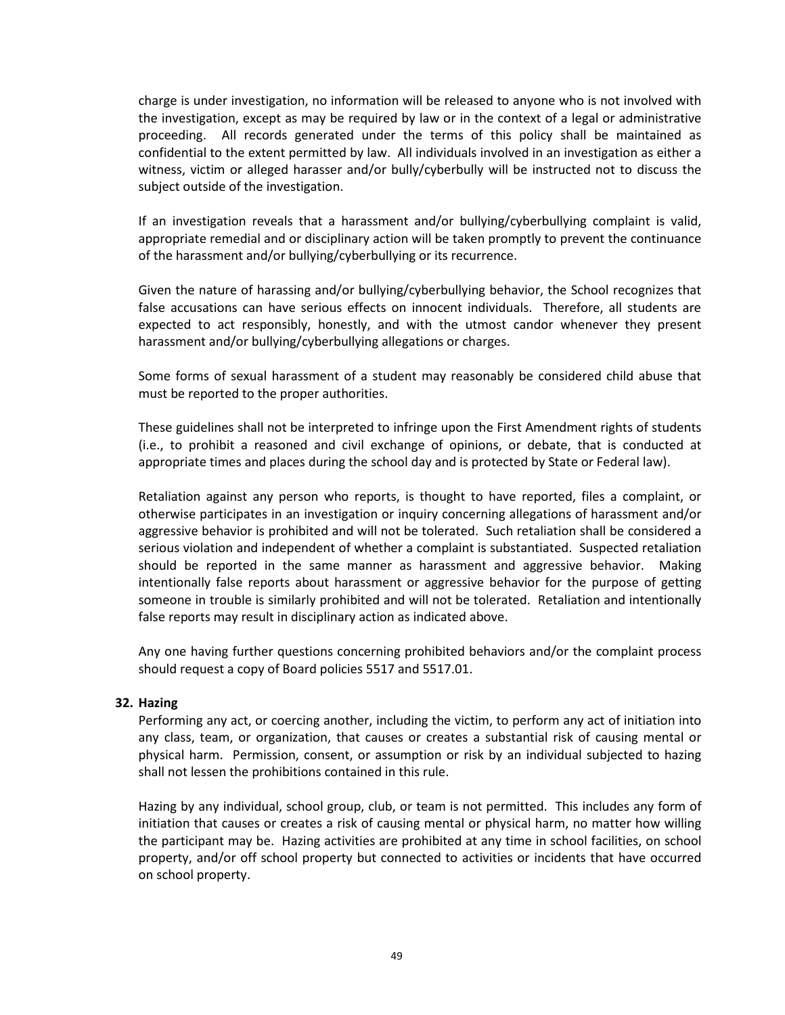charge is under investigation, no information will be released to anyone who is not involved with the investigation, except as may be required by law or in the context of a legal or administrative proceeding. All records generated under the terms of this policy shall be maintained as confidential to the extent permitted by law. All individuals involved in an investigation as either a witness, victim or alleged harasser and/or bully/cyberbully will be instructed not to discuss the subject outside of the investigation.

If an investigation reveals that a harassment and/or bullying/cyberbullying complaint is valid, appropriate remedial and or disciplinary action will be taken promptly to prevent the continuance of the harassment and/or bullying/cyberbullying or its recurrence.

Given the nature of harassing and/or bullying/cyberbullying behavior, the School recognizes that false accusations can have serious effects on innocent individuals. Therefore, all students are expected to act responsibly, honestly, and with the utmost candor whenever they present harassment and/or bullying/cyberbullying allegations or charges.

Some forms of sexual harassment of a student may reasonably be considered child abuse that must be reported to the proper authorities.

These guidelines shall not be interpreted to infringe upon the First Amendment rights of students (i.e., to prohibit a reasoned and civil exchange of opinions, or debate, that is conducted at appropriate times and places during the school day and is protected by State or Federal law).

Retaliation against any person who reports, is thought to have reported, files a complaint, or otherwise participates in an investigation or inquiry concerning allegations of harassment and/or aggressive behavior is prohibited and will not be tolerated. Such retaliation shall be considered a serious violation and independent of whether a complaint is substantiated. Suspected retaliation should be reported in the same manner as harassment and aggressive behavior. Making intentionally false reports about harassment or aggressive behavior for the purpose of getting someone in trouble is similarly prohibited and will not be tolerated. Retaliation and intentionally false reports may result in disciplinary action as indicated above.

Any one having further questions concerning prohibited behaviors and/or the complaint process should request a copy of Board policies 5517 and 5517.01.

#### **32. Hazing**

Performing any act, or coercing another, including the victim, to perform any act of initiation into any class, team, or organization, that causes or creates a substantial risk of causing mental or physical harm. Permission, consent, or assumption or risk by an individual subjected to hazing shall not lessen the prohibitions contained in this rule.

Hazing by any individual, school group, club, or team is not permitted. This includes any form of initiation that causes or creates a risk of causing mental or physical harm, no matter how willing the participant may be. Hazing activities are prohibited at any time in school facilities, on school property, and/or off school property but connected to activities or incidents that have occurred on school property.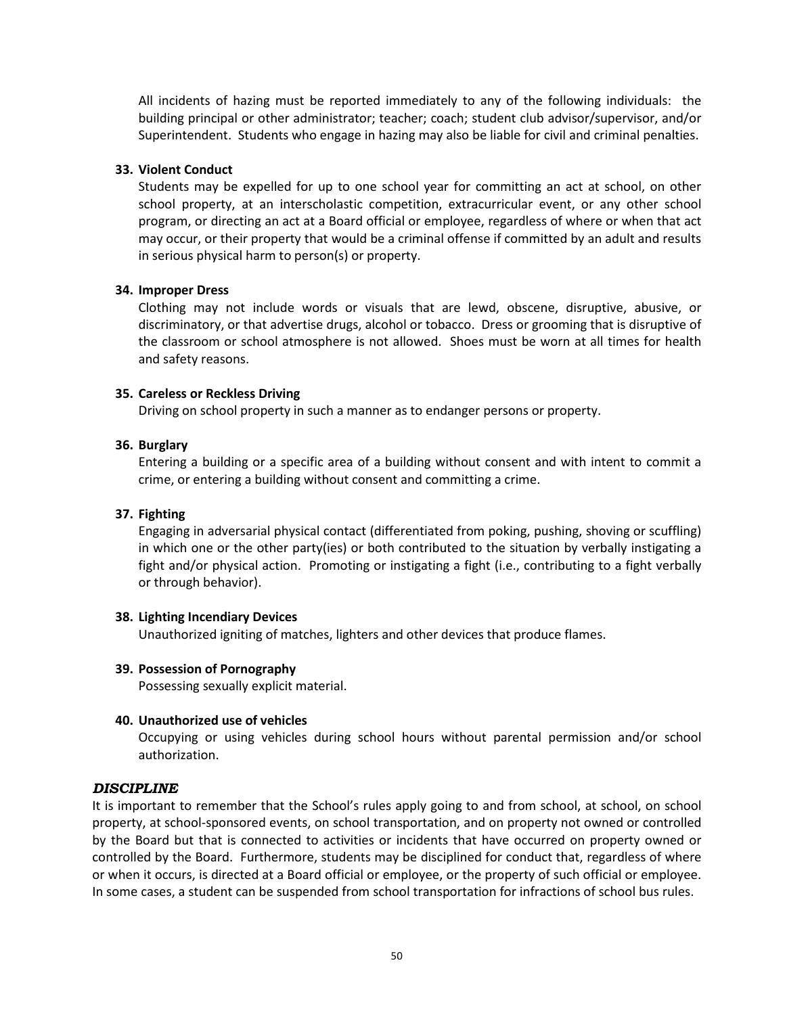All incidents of hazing must be reported immediately to any of the following individuals: the building principal or other administrator; teacher; coach; student club advisor/supervisor, and/or Superintendent. Students who engage in hazing may also be liable for civil and criminal penalties.

### **33. Violent Conduct**

Students may be expelled for up to one school year for committing an act at school, on other school property, at an interscholastic competition, extracurricular event, or any other school program, or directing an act at a Board official or employee, regardless of where or when that act may occur, or their property that would be a criminal offense if committed by an adult and results in serious physical harm to person(s) or property.

#### **34. Improper Dress**

Clothing may not include words or visuals that are lewd, obscene, disruptive, abusive, or discriminatory, or that advertise drugs, alcohol or tobacco. Dress or grooming that is disruptive of the classroom or school atmosphere is not allowed. Shoes must be worn at all times for health and safety reasons.

#### **35. Careless or Reckless Driving**

Driving on school property in such a manner as to endanger persons or property.

### **36. Burglary**

Entering a building or a specific area of a building without consent and with intent to commit a crime, or entering a building without consent and committing a crime.

#### **37. Fighting**

Engaging in adversarial physical contact (differentiated from poking, pushing, shoving or scuffling) in which one or the other party(ies) or both contributed to the situation by verbally instigating a fight and/or physical action. Promoting or instigating a fight (i.e., contributing to a fight verbally or through behavior).

#### **38. Lighting Incendiary Devices**

Unauthorized igniting of matches, lighters and other devices that produce flames.

### **39. Possession of Pornography**

Possessing sexually explicit material.

#### **40. Unauthorized use of vehicles**

Occupying or using vehicles during school hours without parental permission and/or school authorization.

### <span id="page-56-0"></span>*DISCIPLINE*

It is important to remember that the School's rules apply going to and from school, at school, on school property, at school-sponsored events, on school transportation, and on property not owned or controlled by the Board but that is connected to activities or incidents that have occurred on property owned or controlled by the Board. Furthermore, students may be disciplined for conduct that, regardless of where or when it occurs, is directed at a Board official or employee, or the property of such official or employee. In some cases, a student can be suspended from school transportation for infractions of school bus rules.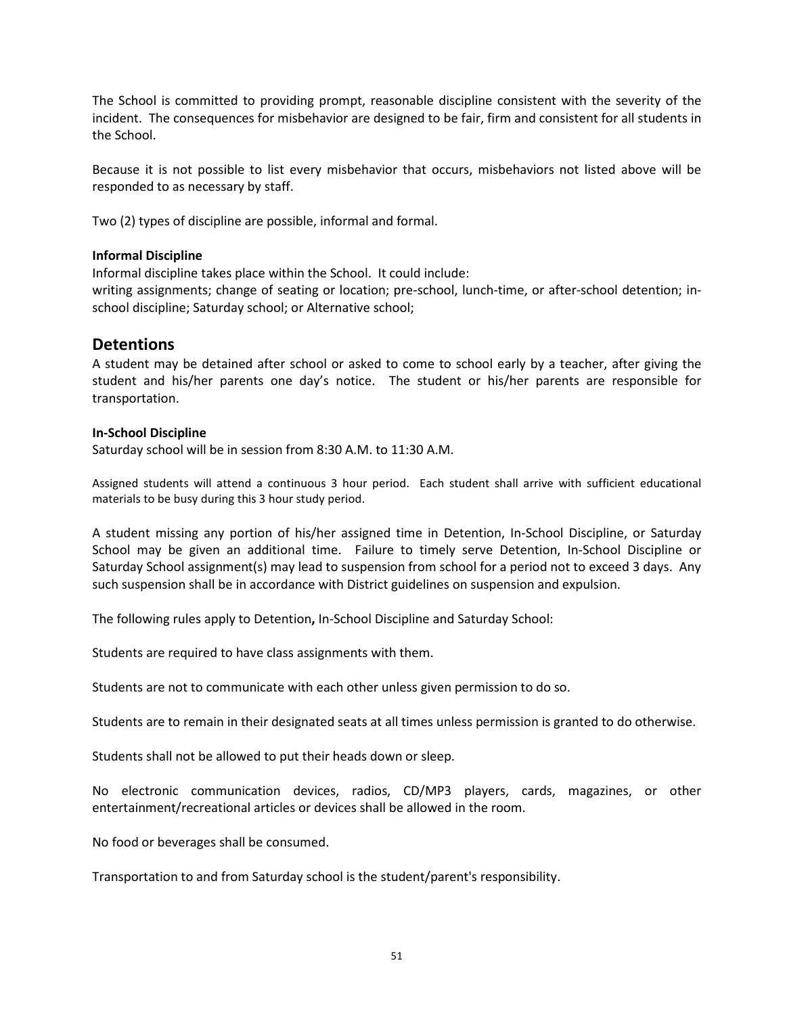The School is committed to providing prompt, reasonable discipline consistent with the severity of the incident. The consequences for misbehavior are designed to be fair, firm and consistent for all students in the School.

Because it is not possible to list every misbehavior that occurs, misbehaviors not listed above will be responded to as necessary by staff.

Two (2) types of discipline are possible, informal and formal.

#### **Informal Discipline**

Informal discipline takes place within the School. It could include:

writing assignments; change of seating or location; pre-school, lunch-time, or after-school detention; inschool discipline; Saturday school; or Alternative school;

# **Detentions**

A student may be detained after school or asked to come to school early by a teacher, after giving the student and his/her parents one day's notice. The student or his/her parents are responsible for transportation.

### **In-School Discipline**

Saturday school will be in session from 8:30 A.M. to 11:30 A.M.

Assigned students will attend a continuous 3 hour period. Each student shall arrive with sufficient educational materials to be busy during this 3 hour study period.

A student missing any portion of his/her assigned time in Detention, In-School Discipline, or Saturday School may be given an additional time. Failure to timely serve Detention, In-School Discipline or Saturday School assignment(s) may lead to suspension from school for a period not to exceed 3 days. Any such suspension shall be in accordance with District guidelines on suspension and expulsion.

The following rules apply to Detention**,** In-School Discipline and Saturday School:

Students are required to have class assignments with them.

Students are not to communicate with each other unless given permission to do so.

Students are to remain in their designated seats at all times unless permission is granted to do otherwise.

Students shall not be allowed to put their heads down or sleep.

No electronic communication devices, radios, CD/MP3 players, cards, magazines, or other entertainment/recreational articles or devices shall be allowed in the room.

No food or beverages shall be consumed.

Transportation to and from Saturday school is the student/parent's responsibility.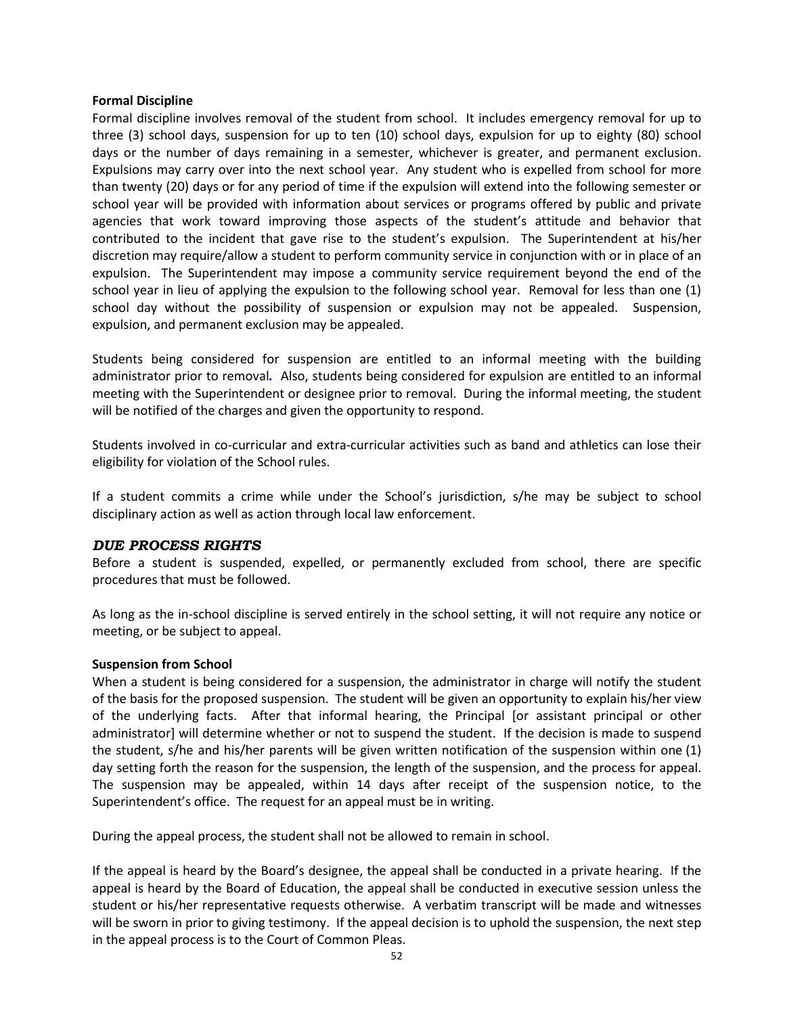#### **Formal Discipline**

Formal discipline involves removal of the student from school. It includes emergency removal for up to three (3) school days, suspension for up to ten (10) school days, expulsion for up to eighty (80) school days or the number of days remaining in a semester, whichever is greater, and permanent exclusion. Expulsions may carry over into the next school year. Any student who is expelled from school for more than twenty (20) days or for any period of time if the expulsion will extend into the following semester or school year will be provided with information about services or programs offered by public and private agencies that work toward improving those aspects of the student's attitude and behavior that contributed to the incident that gave rise to the student's expulsion. The Superintendent at his/her discretion may require/allow a student to perform community service in conjunction with or in place of an expulsion. The Superintendent may impose a community service requirement beyond the end of the school year in lieu of applying the expulsion to the following school year. Removal for less than one (1) school day without the possibility of suspension or expulsion may not be appealed. Suspension, expulsion, and permanent exclusion may be appealed.

Students being considered for suspension are entitled to an informal meeting with the building administrator prior to removal*.* Also, students being considered for expulsion are entitled to an informal meeting with the Superintendent or designee prior to removal. During the informal meeting, the student will be notified of the charges and given the opportunity to respond.

Students involved in co-curricular and extra-curricular activities such as band and athletics can lose their eligibility for violation of the School rules.

If a student commits a crime while under the School's jurisdiction, s/he may be subject to school disciplinary action as well as action through local law enforcement.

### <span id="page-58-0"></span>*DUE PROCESS RIGHTS*

Before a student is suspended, expelled, or permanently excluded from school, there are specific procedures that must be followed.

As long as the in-school discipline is served entirely in the school setting, it will not require any notice or meeting, or be subject to appeal.

### **Suspension from School**

When a student is being considered for a suspension, the administrator in charge will notify the student of the basis for the proposed suspension. The student will be given an opportunity to explain his/her view of the underlying facts. After that informal hearing, the Principal [or assistant principal or other administrator] will determine whether or not to suspend the student. If the decision is made to suspend the student, s/he and his/her parents will be given written notification of the suspension within one (1) day setting forth the reason for the suspension, the length of the suspension, and the process for appeal. The suspension may be appealed, within 14 days after receipt of the suspension notice, to the Superintendent's office. The request for an appeal must be in writing.

During the appeal process, the student shall not be allowed to remain in school.

If the appeal is heard by the Board's designee, the appeal shall be conducted in a private hearing. If the appeal is heard by the Board of Education, the appeal shall be conducted in executive session unless the student or his/her representative requests otherwise. A verbatim transcript will be made and witnesses will be sworn in prior to giving testimony. If the appeal decision is to uphold the suspension, the next step in the appeal process is to the Court of Common Pleas.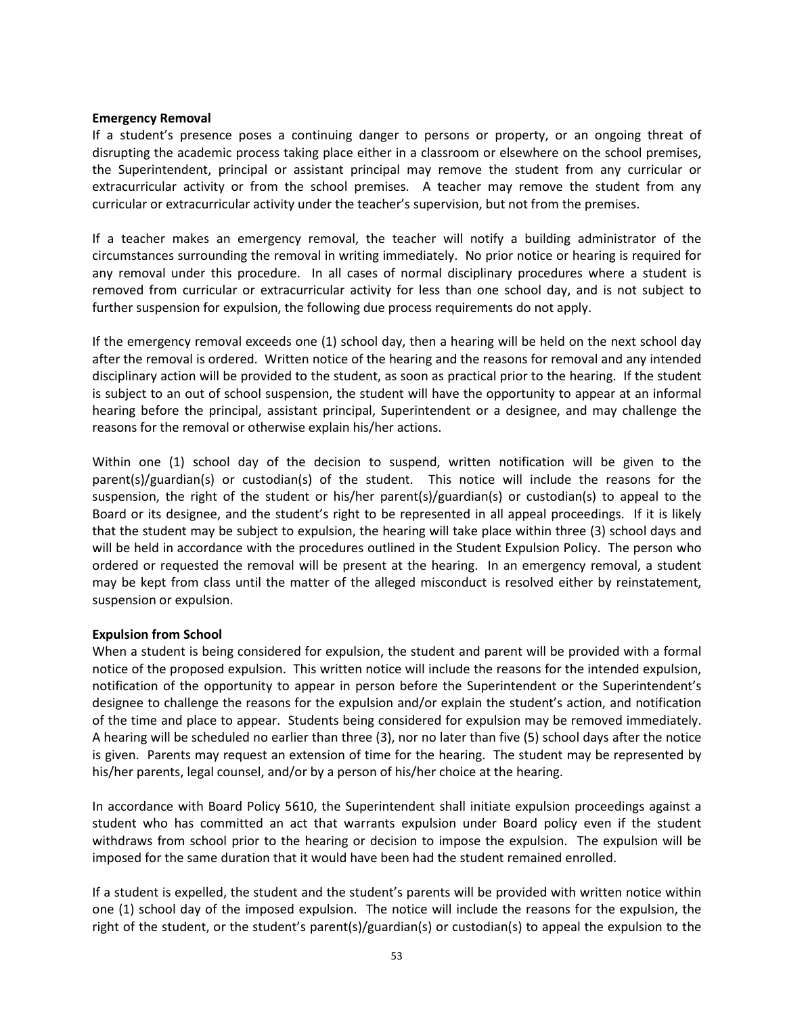#### **Emergency Removal**

If a student's presence poses a continuing danger to persons or property, or an ongoing threat of disrupting the academic process taking place either in a classroom or elsewhere on the school premises, the Superintendent, principal or assistant principal may remove the student from any curricular or extracurricular activity or from the school premises. A teacher may remove the student from any curricular or extracurricular activity under the teacher's supervision, but not from the premises.

If a teacher makes an emergency removal, the teacher will notify a building administrator of the circumstances surrounding the removal in writing immediately. No prior notice or hearing is required for any removal under this procedure. In all cases of normal disciplinary procedures where a student is removed from curricular or extracurricular activity for less than one school day, and is not subject to further suspension for expulsion, the following due process requirements do not apply.

If the emergency removal exceeds one (1) school day, then a hearing will be held on the next school day after the removal is ordered. Written notice of the hearing and the reasons for removal and any intended disciplinary action will be provided to the student, as soon as practical prior to the hearing. If the student is subject to an out of school suspension, the student will have the opportunity to appear at an informal hearing before the principal, assistant principal, Superintendent or a designee, and may challenge the reasons for the removal or otherwise explain his/her actions.

Within one (1) school day of the decision to suspend, written notification will be given to the parent(s)/guardian(s) or custodian(s) of the student. This notice will include the reasons for the suspension, the right of the student or his/her parent(s)/guardian(s) or custodian(s) to appeal to the Board or its designee, and the student's right to be represented in all appeal proceedings. If it is likely that the student may be subject to expulsion, the hearing will take place within three (3) school days and will be held in accordance with the procedures outlined in the Student Expulsion Policy. The person who ordered or requested the removal will be present at the hearing. In an emergency removal, a student may be kept from class until the matter of the alleged misconduct is resolved either by reinstatement, suspension or expulsion.

### **Expulsion from School**

When a student is being considered for expulsion, the student and parent will be provided with a formal notice of the proposed expulsion. This written notice will include the reasons for the intended expulsion, notification of the opportunity to appear in person before the Superintendent or the Superintendent's designee to challenge the reasons for the expulsion and/or explain the student's action, and notification of the time and place to appear. Students being considered for expulsion may be removed immediately. A hearing will be scheduled no earlier than three (3), nor no later than five (5) school days after the notice is given. Parents may request an extension of time for the hearing. The student may be represented by his/her parents, legal counsel, and/or by a person of his/her choice at the hearing.

In accordance with Board Policy 5610, the Superintendent shall initiate expulsion proceedings against a student who has committed an act that warrants expulsion under Board policy even if the student withdraws from school prior to the hearing or decision to impose the expulsion. The expulsion will be imposed for the same duration that it would have been had the student remained enrolled.

If a student is expelled, the student and the student's parents will be provided with written notice within one (1) school day of the imposed expulsion. The notice will include the reasons for the expulsion, the right of the student, or the student's parent(s)/guardian(s) or custodian(s) to appeal the expulsion to the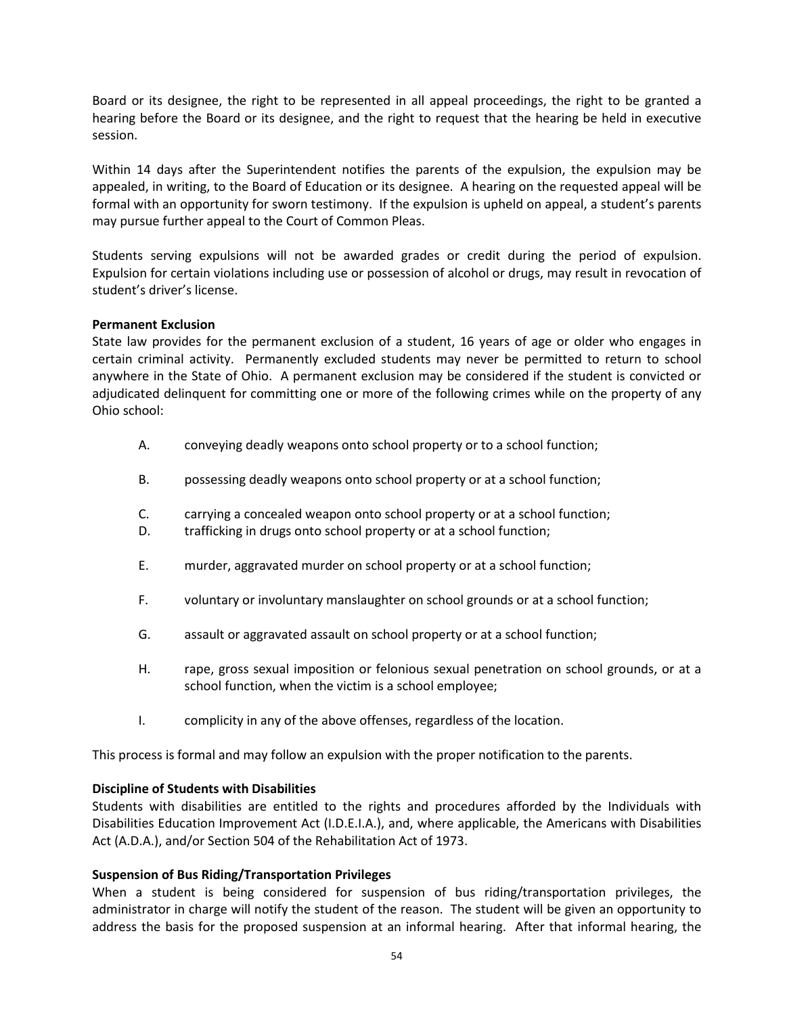Board or its designee, the right to be represented in all appeal proceedings, the right to be granted a hearing before the Board or its designee, and the right to request that the hearing be held in executive session.

Within 14 days after the Superintendent notifies the parents of the expulsion, the expulsion may be appealed, in writing, to the Board of Education or its designee. A hearing on the requested appeal will be formal with an opportunity for sworn testimony. If the expulsion is upheld on appeal, a student's parents may pursue further appeal to the Court of Common Pleas.

Students serving expulsions will not be awarded grades or credit during the period of expulsion. Expulsion for certain violations including use or possession of alcohol or drugs, may result in revocation of student's driver's license.

#### **Permanent Exclusion**

State law provides for the permanent exclusion of a student, 16 years of age or older who engages in certain criminal activity. Permanently excluded students may never be permitted to return to school anywhere in the State of Ohio. A permanent exclusion may be considered if the student is convicted or adjudicated delinquent for committing one or more of the following crimes while on the property of any Ohio school:

- A. conveying deadly weapons onto school property or to a school function;
- B. possessing deadly weapons onto school property or at a school function;
- C. carrying a concealed weapon onto school property or at a school function;
- D. trafficking in drugs onto school property or at a school function;
- E. murder, aggravated murder on school property or at a school function;
- F. voluntary or involuntary manslaughter on school grounds or at a school function;
- G. assault or aggravated assault on school property or at a school function;
- H. rape, gross sexual imposition or felonious sexual penetration on school grounds, or at a school function, when the victim is a school employee;
- I. complicity in any of the above offenses, regardless of the location.

This process is formal and may follow an expulsion with the proper notification to the parents.

#### **Discipline of Students with Disabilities**

Students with disabilities are entitled to the rights and procedures afforded by the Individuals with Disabilities Education Improvement Act (I.D.E.I.A.), and, where applicable, the Americans with Disabilities Act (A.D.A.), and/or Section 504 of the Rehabilitation Act of 1973.

#### **Suspension of Bus Riding/Transportation Privileges**

When a student is being considered for suspension of bus riding/transportation privileges, the administrator in charge will notify the student of the reason. The student will be given an opportunity to address the basis for the proposed suspension at an informal hearing. After that informal hearing, the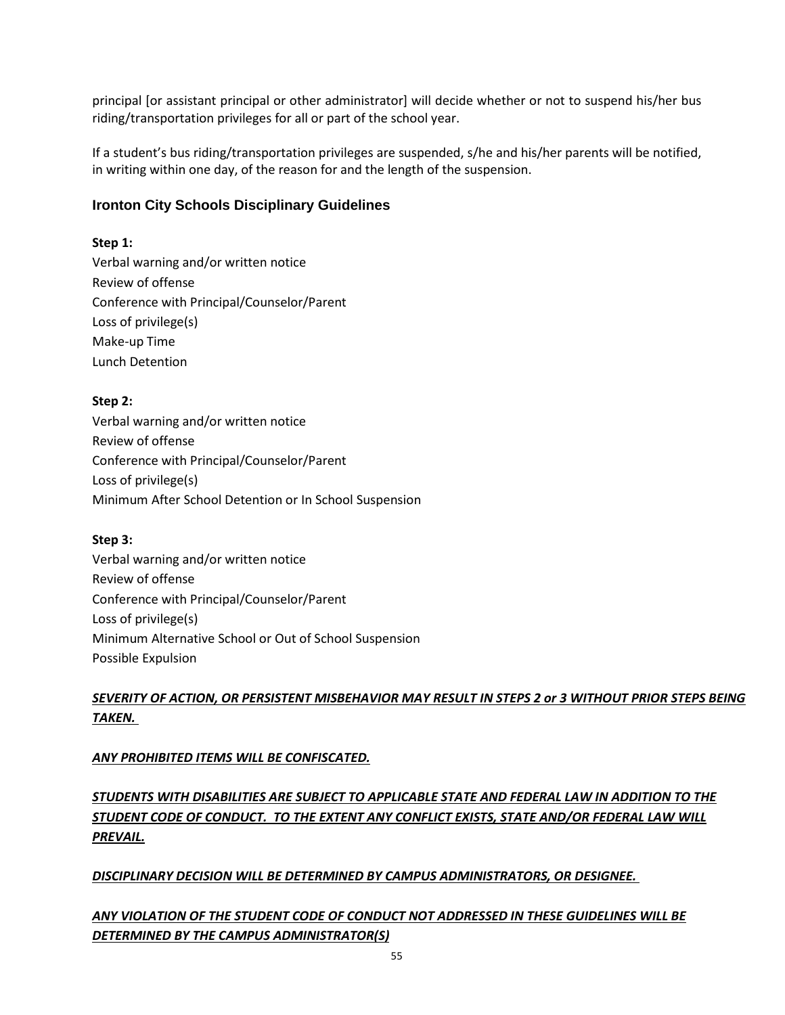principal [or assistant principal or other administrator] will decide whether or not to suspend his/her bus riding/transportation privileges for all or part of the school year.

If a student's bus riding/transportation privileges are suspended, s/he and his/her parents will be notified, in writing within one day, of the reason for and the length of the suspension.

# **Ironton City Schools Disciplinary Guidelines**

# **Step 1:**

Verbal warning and/or written notice Review of offense Conference with Principal/Counselor/Parent Loss of privilege(s) Make-up Time Lunch Detention

# **Step 2:**

Verbal warning and/or written notice Review of offense Conference with Principal/Counselor/Parent Loss of privilege(s) Minimum After School Detention or In School Suspension

### **Step 3:**

Verbal warning and/or written notice Review of offense Conference with Principal/Counselor/Parent Loss of privilege(s) Minimum Alternative School or Out of School Suspension Possible Expulsion

# *SEVERITY OF ACTION, OR PERSISTENT MISBEHAVIOR MAY RESULT IN STEPS 2 or 3 WITHOUT PRIOR STEPS BEING TAKEN.*

# *ANY PROHIBITED ITEMS WILL BE CONFISCATED.*

# *STUDENTS WITH DISABILITIES ARE SUBJECT TO APPLICABLE STATE AND FEDERAL LAW IN ADDITION TO THE STUDENT CODE OF CONDUCT. TO THE EXTENT ANY CONFLICT EXISTS, STATE AND/OR FEDERAL LAW WILL PREVAIL.*

# *DISCIPLINARY DECISION WILL BE DETERMINED BY CAMPUS ADMINISTRATORS, OR DESIGNEE.*

# *ANY VIOLATION OF THE STUDENT CODE OF CONDUCT NOT ADDRESSED IN THESE GUIDELINES WILL BE DETERMINED BY THE CAMPUS ADMINISTRATOR(S)*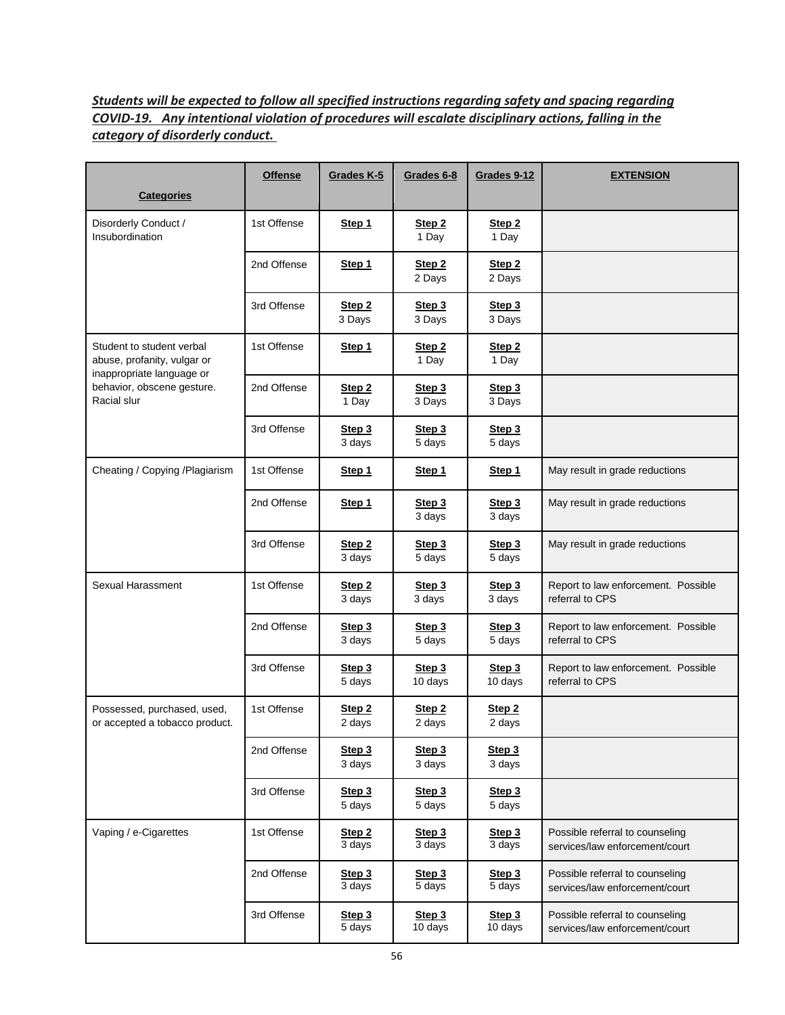# *Students will be expected to follow all specified instructions regarding safety and spacing regarding COVID-19. Any intentional violation of procedures will escalate disciplinary actions, falling in the category of disorderly conduct.*

| <b>Categories</b>                                                                     | <b>Offense</b> | Grades K-5                  | Grades 6-8                  | Grades 9-12                   | <b>EXTENSION</b>                                                  |
|---------------------------------------------------------------------------------------|----------------|-----------------------------|-----------------------------|-------------------------------|-------------------------------------------------------------------|
| Disorderly Conduct /<br>Insubordination                                               | 1st Offense    | Step 1                      | Step <sub>2</sub><br>1 Day  | Step 2<br>1 Day               |                                                                   |
|                                                                                       | 2nd Offense    | Step 1                      | Step <sub>2</sub><br>2 Days | Step <sub>2</sub><br>2 Days   |                                                                   |
|                                                                                       | 3rd Offense    | Step <sub>2</sub><br>3 Days | Step 3<br>3 Days            | Step 3<br>3 Days              |                                                                   |
| Student to student verbal<br>abuse, profanity, vulgar or<br>inappropriate language or | 1st Offense    | Step 1                      | Step 2<br>1 Day             | Step <sub>2</sub><br>1 Day    |                                                                   |
| behavior, obscene gesture.<br>Racial slur                                             | 2nd Offense    | Step 2<br>1 Day             | Step 3<br>3 Days            | Step 3<br>3 Days              |                                                                   |
|                                                                                       | 3rd Offense    | Step 3<br>3 days            | Step 3<br>5 days            | Step 3<br>5 days              |                                                                   |
| Cheating / Copying / Plagiarism                                                       | 1st Offense    | Step 1                      | Step 1                      | Step 1                        | May result in grade reductions                                    |
|                                                                                       | 2nd Offense    | Step 1                      | Step 3<br>3 days            | Step 3<br>3 days              | May result in grade reductions                                    |
|                                                                                       | 3rd Offense    | Step 2<br>3 days            | Step 3<br>5 days            | Step 3<br>5 days              | May result in grade reductions                                    |
| Sexual Harassment                                                                     | 1st Offense    | Step <sub>2</sub><br>3 days | Step 3<br>3 days            | Step 3<br>3 days              | Report to law enforcement. Possible<br>referral to CPS            |
|                                                                                       | 2nd Offense    | Step 3<br>3 days            | Step 3<br>5 days            | Step 3<br>5 days              | Report to law enforcement. Possible<br>referral to CPS            |
|                                                                                       | 3rd Offense    | Step 3<br>5 days            | Step 3<br>10 days           | Step 3<br>10 days             | Report to law enforcement. Possible<br>referral to CPS            |
| Possessed, purchased, used,<br>or accepted a tobacco product.                         | 1st Offense    | Step <sub>2</sub><br>2 days | Step 2<br>2 days            | Step <sub>2</sub><br>2 days   |                                                                   |
|                                                                                       | 2nd Offense    | Step 3<br>3 days            | Step 3<br>3 days            | Step 3<br>3 days              |                                                                   |
|                                                                                       | 3rd Offense    | Step 3<br>5 days            | Step 3<br>5 days            | Step 3<br>5 days              |                                                                   |
| Vaping / e-Cigarettes                                                                 | 1st Offense    | Step <sub>2</sub><br>3 days | Step 3<br>3 days            | Step 3<br>$3 \overline{days}$ | Possible referral to counseling<br>services/law enforcement/court |
|                                                                                       | 2nd Offense    | Step 3<br>3 days            | Step 3<br>5 days            | Step 3<br>$\overline{5}$ days | Possible referral to counseling<br>services/law enforcement/court |
|                                                                                       | 3rd Offense    | Step 3<br>5 days            | Step 3<br>$10 \text{ days}$ | Step 3<br>$10 \text{ days}$   | Possible referral to counseling<br>services/law enforcement/court |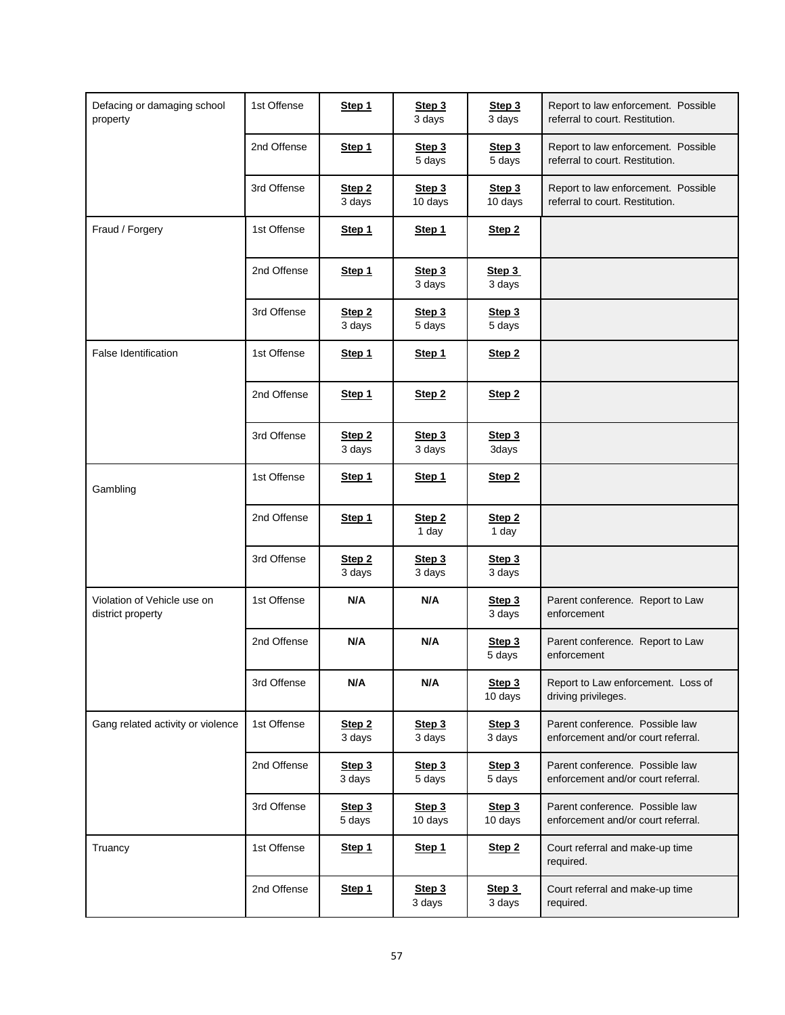| Defacing or damaging school<br>property          | 1st Offense | Step 1           | Step 3<br>3 days           | Step 3<br>3 days           | Report to law enforcement. Possible<br>referral to court. Restitution. |
|--------------------------------------------------|-------------|------------------|----------------------------|----------------------------|------------------------------------------------------------------------|
|                                                  | 2nd Offense | Step 1           | Step 3<br>5 days           | Step 3<br>5 days           | Report to law enforcement. Possible<br>referral to court. Restitution. |
|                                                  | 3rd Offense | Step 2<br>3 days | Step 3<br>10 days          | Step 3<br>10 days          | Report to law enforcement. Possible<br>referral to court. Restitution. |
| Fraud / Forgery                                  | 1st Offense | Step 1           | Step 1                     | Step <sub>2</sub>          |                                                                        |
|                                                  | 2nd Offense | Step 1           | Step 3<br>3 days           | Step 3<br>3 days           |                                                                        |
|                                                  | 3rd Offense | Step 2<br>3 days | Step 3<br>5 days           | Step 3<br>5 days           |                                                                        |
| <b>False Identification</b>                      | 1st Offense | Step 1           | Step 1                     | Step <sub>2</sub>          |                                                                        |
|                                                  | 2nd Offense | Step 1           | Step <sub>2</sub>          | Step <sub>2</sub>          |                                                                        |
|                                                  | 3rd Offense | Step 2<br>3 days | Step 3<br>3 days           | Step 3<br>3days            |                                                                        |
| Gambling                                         | 1st Offense | Step 1           | Step 1                     | Step <sub>2</sub>          |                                                                        |
|                                                  | 2nd Offense | Step 1           | Step <sub>2</sub><br>1 day | Step <sub>2</sub><br>1 day |                                                                        |
|                                                  | 3rd Offense | Step 2<br>3 days | Step 3<br>3 days           | Step 3<br>3 days           |                                                                        |
| Violation of Vehicle use on<br>district property | 1st Offense | N/A              | N/A                        | Step 3<br>3 days           | Parent conference. Report to Law<br>enforcement                        |
|                                                  | 2nd Offense | N/A              | N/A                        | Step 3<br>5 days           | Parent conference. Report to Law<br>enforcement                        |
|                                                  | 3rd Offense | N/A              | N/A                        | Step 3<br>10 days          | Report to Law enforcement. Loss of<br>driving privileges.              |
| Gang related activity or violence                | 1st Offense | Step 2<br>3 days | Step 3<br>3 days           | Step 3<br>3 days           | Parent conference. Possible law<br>enforcement and/or court referral.  |
|                                                  | 2nd Offense | Step 3<br>3 days | Step 3<br>5 days           | Step 3<br>5 days           | Parent conference. Possible law<br>enforcement and/or court referral.  |
|                                                  | 3rd Offense | Step 3<br>5 days | Step 3<br>10 days          | Step 3<br>10 days          | Parent conference. Possible law<br>enforcement and/or court referral.  |
| Truancy                                          | 1st Offense | Step 1           | Step 1                     | Step <sub>2</sub>          | Court referral and make-up time<br>required.                           |
|                                                  | 2nd Offense | Step 1           | Step 3<br>3 days           | Step 3<br>3 days           | Court referral and make-up time<br>required.                           |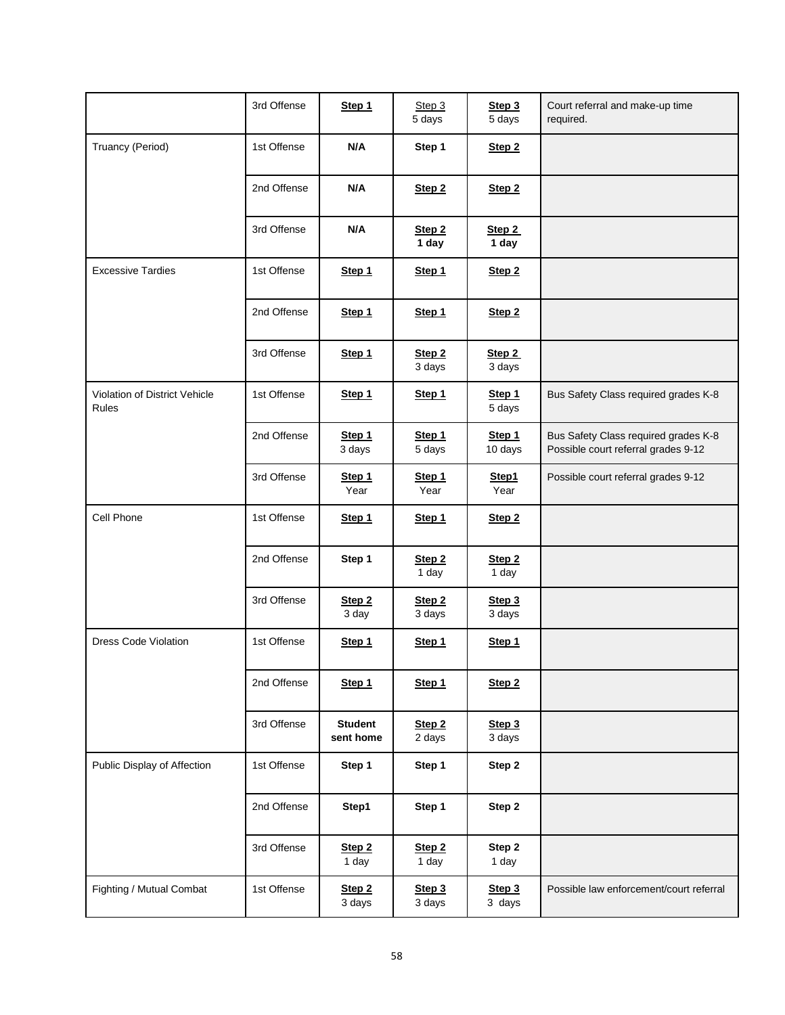|                                               | 3rd Offense | Step 1                      | Step 3<br>5 days            | Step 3<br>5 days           | Court referral and make-up time<br>required.                                |
|-----------------------------------------------|-------------|-----------------------------|-----------------------------|----------------------------|-----------------------------------------------------------------------------|
| Truancy (Period)                              | 1st Offense | N/A                         | Step 1                      | Step <sub>2</sub>          |                                                                             |
|                                               | 2nd Offense | N/A                         | Step 2                      | Step <sub>2</sub>          |                                                                             |
|                                               | 3rd Offense | N/A                         | Step <sub>2</sub><br>1 day  | Step 2<br>1 day            |                                                                             |
| <b>Excessive Tardies</b>                      | 1st Offense | Step 1                      | Step 1                      | Step <sub>2</sub>          |                                                                             |
|                                               | 2nd Offense | Step 1                      | Step 1                      | Step <sub>2</sub>          |                                                                             |
|                                               | 3rd Offense | Step 1                      | Step <sub>2</sub><br>3 days | Step 2<br>3 days           |                                                                             |
| Violation of District Vehicle<br><b>Rules</b> | 1st Offense | Step 1                      | Step 1                      | Step 1<br>5 days           | Bus Safety Class required grades K-8                                        |
|                                               | 2nd Offense | Step 1<br>3 days            | Step 1<br>5 days            | Step 1<br>10 days          | Bus Safety Class required grades K-8<br>Possible court referral grades 9-12 |
|                                               | 3rd Offense | Step 1<br>Year              | Step 1<br>Year              | Step1<br>Year              | Possible court referral grades 9-12                                         |
| Cell Phone                                    | 1st Offense | Step 1                      | Step 1                      | Step <sub>2</sub>          |                                                                             |
|                                               | 2nd Offense | Step 1                      | Step 2<br>1 day             | Step <sub>2</sub><br>1 day |                                                                             |
|                                               | 3rd Offense | Step <sub>2</sub><br>3 day  | Step <sub>2</sub><br>3 days | Step 3<br>3 days           |                                                                             |
| <b>Dress Code Violation</b>                   | 1st Offense | Step 1                      | Step 1                      | Step 1                     |                                                                             |
|                                               | 2nd Offense | Step 1                      | Step 1                      | Step <sub>2</sub>          |                                                                             |
|                                               | 3rd Offense | <b>Student</b><br>sent home | Step <sub>2</sub><br>2 days | Step 3<br>3 days           |                                                                             |
| Public Display of Affection                   | 1st Offense | Step 1                      | Step 1                      | Step 2                     |                                                                             |
|                                               | 2nd Offense | Step1                       | Step 1                      | Step 2                     |                                                                             |
|                                               | 3rd Offense | Step <sub>2</sub><br>1 day  | Step 2<br>1 day             | Step 2<br>1 day            |                                                                             |
| Fighting / Mutual Combat                      | 1st Offense | Step 2<br>3 days            | Step 3<br>3 days            | Step 3<br>3 days           | Possible law enforcement/court referral                                     |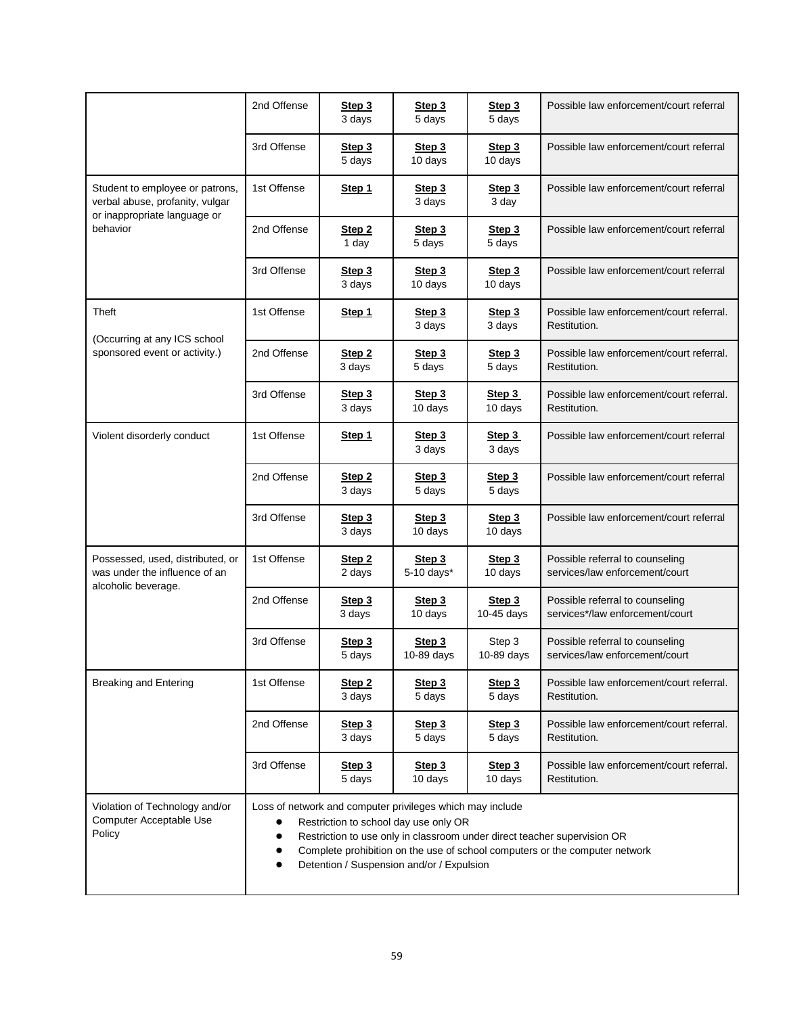|                                                                                                                | 2nd Offense                                                                                                                                                                                                                                                                                                | Step 3<br>3 days            | Step 3<br>5 days     | Step 3<br>5 days             | Possible law enforcement/court referral                            |  |
|----------------------------------------------------------------------------------------------------------------|------------------------------------------------------------------------------------------------------------------------------------------------------------------------------------------------------------------------------------------------------------------------------------------------------------|-----------------------------|----------------------|------------------------------|--------------------------------------------------------------------|--|
|                                                                                                                | 3rd Offense                                                                                                                                                                                                                                                                                                | Step 3<br>5 days            | Step 3<br>10 days    | Step 3<br>10 days            | Possible law enforcement/court referral                            |  |
| Student to employee or patrons,<br>verbal abuse, profanity, vulgar<br>or inappropriate language or<br>behavior | 1st Offense                                                                                                                                                                                                                                                                                                | Step 1                      | Step 3<br>3 days     | Step 3<br>3 day              | Possible law enforcement/court referral                            |  |
|                                                                                                                | 2nd Offense                                                                                                                                                                                                                                                                                                | Step 2<br>1 day             | Step 3<br>5 days     | Step 3<br>5 days             | Possible law enforcement/court referral                            |  |
|                                                                                                                | 3rd Offense                                                                                                                                                                                                                                                                                                | Step 3<br>3 days            | Step 3<br>10 days    | Step <sub>3</sub><br>10 days | Possible law enforcement/court referral                            |  |
| Theft                                                                                                          | 1st Offense                                                                                                                                                                                                                                                                                                | Step 1                      | Step 3<br>3 days     | Step 3<br>3 days             | Possible law enforcement/court referral.<br>Restitution.           |  |
| (Occurring at any ICS school<br>sponsored event or activity.)                                                  | 2nd Offense                                                                                                                                                                                                                                                                                                | Step 2<br>3 days            | Step 3<br>5 days     | Step 3<br>5 days             | Possible law enforcement/court referral.<br>Restitution.           |  |
|                                                                                                                | 3rd Offense                                                                                                                                                                                                                                                                                                | Step 3<br>3 days            | Step 3<br>10 days    | Step 3<br>10 days            | Possible law enforcement/court referral.<br>Restitution.           |  |
| Violent disorderly conduct                                                                                     | 1st Offense                                                                                                                                                                                                                                                                                                | Step 1                      | Step 3<br>3 days     | Step 3<br>3 days             | Possible law enforcement/court referral                            |  |
|                                                                                                                | 2nd Offense                                                                                                                                                                                                                                                                                                | Step <sub>2</sub><br>3 days | Step 3<br>5 days     | Step 3<br>5 days             | Possible law enforcement/court referral                            |  |
|                                                                                                                | 3rd Offense                                                                                                                                                                                                                                                                                                | Step 3<br>3 days            | Step 3<br>10 days    | Step 3<br>10 days            | Possible law enforcement/court referral                            |  |
| Possessed, used, distributed, or<br>was under the influence of an<br>alcoholic beverage.                       | 1st Offense                                                                                                                                                                                                                                                                                                | Step <sub>2</sub><br>2 days | Step 3<br>5-10 days* | Step 3<br>10 days            | Possible referral to counseling<br>services/law enforcement/court  |  |
|                                                                                                                | 2nd Offense                                                                                                                                                                                                                                                                                                | Step 3<br>3 days            | Step 3<br>10 days    | Step 3<br>10-45 days         | Possible referral to counseling<br>services*/law enforcement/court |  |
|                                                                                                                | 3rd Offense                                                                                                                                                                                                                                                                                                | Step 3<br>5 days            | Step 3<br>10-89 days | Step 3<br>10-89 days         | Possible referral to counseling<br>services/law enforcement/court  |  |
| <b>Breaking and Entering</b>                                                                                   | 1st Offense                                                                                                                                                                                                                                                                                                | Step 2<br>3 days            | Step 3<br>5 days     | Step 3<br>5 days             | Possible law enforcement/court referral.<br>Restitution.           |  |
|                                                                                                                | 2nd Offense                                                                                                                                                                                                                                                                                                | Step 3<br>3 days            | Step 3<br>5 days     | Step 3<br>5 days             | Possible law enforcement/court referral.<br>Restitution.           |  |
|                                                                                                                | 3rd Offense                                                                                                                                                                                                                                                                                                | Step 3<br>5 days            | Step 3<br>10 days    | Step 3<br>10 days            | Possible law enforcement/court referral.<br>Restitution.           |  |
| Violation of Technology and/or<br>Computer Acceptable Use<br>Policy                                            | Loss of network and computer privileges which may include<br>Restriction to school day use only OR<br>Restriction to use only in classroom under direct teacher supervision OR<br>Complete prohibition on the use of school computers or the computer network<br>Detention / Suspension and/or / Expulsion |                             |                      |                              |                                                                    |  |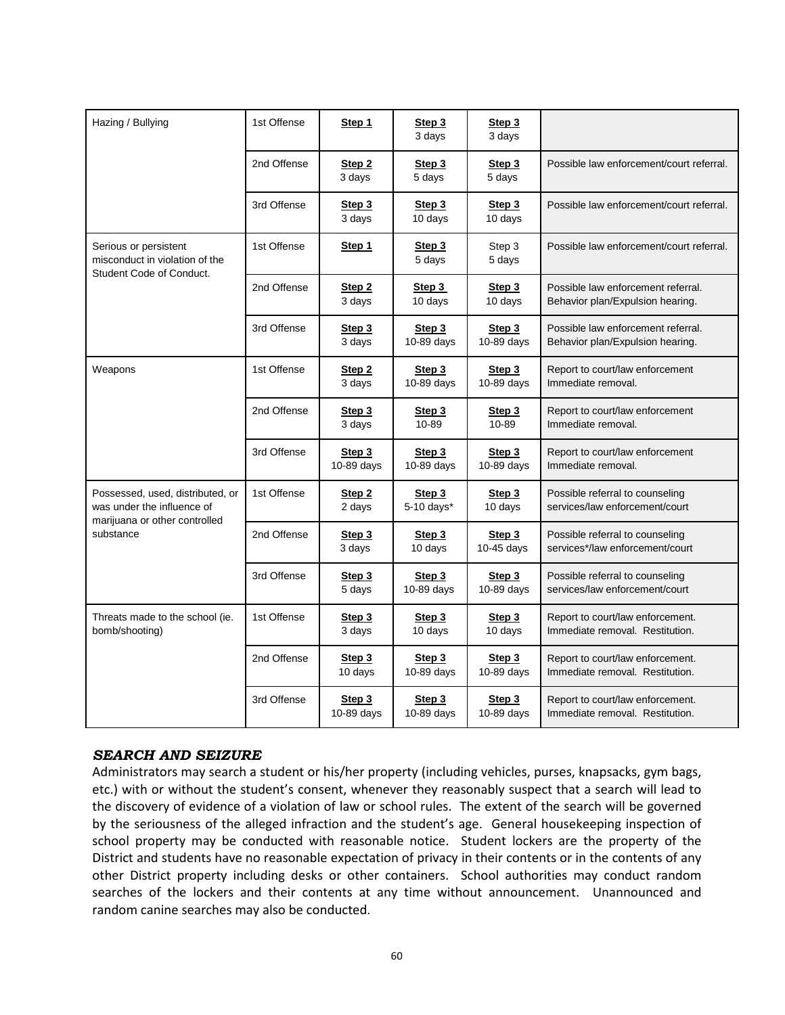| Hazing / Bullying                                                                                            | 1st Offense | Step 1                  | Step 3<br>3 days     | Step 3<br>3 days     |                                                                        |
|--------------------------------------------------------------------------------------------------------------|-------------|-------------------------|----------------------|----------------------|------------------------------------------------------------------------|
|                                                                                                              | 2nd Offense | Step 2<br>3 days        | Step 3<br>5 days     | Step 3<br>5 days     | Possible law enforcement/court referral.                               |
|                                                                                                              | 3rd Offense | Step 3<br>3 days        | Step 3<br>10 days    | Step 3<br>10 days    | Possible law enforcement/court referral.                               |
| Serious or persistent<br>misconduct in violation of the<br>Student Code of Conduct.                          | 1st Offense | Step 1                  | Step 3<br>5 days     | Step 3<br>5 days     | Possible law enforcement/court referral.                               |
|                                                                                                              | 2nd Offense | Step 2<br>3 days        | Step 3<br>10 days    | Step 3<br>10 days    | Possible law enforcement referral.<br>Behavior plan/Expulsion hearing. |
|                                                                                                              | 3rd Offense | Step 3<br>3 days        | Step 3<br>10-89 days | Step 3<br>10-89 days | Possible law enforcement referral.<br>Behavior plan/Expulsion hearing. |
| Weapons                                                                                                      | 1st Offense | Step 2<br>3 days        | Step 3<br>10-89 days | Step 3<br>10-89 days | Report to court/law enforcement<br>Immediate removal.                  |
|                                                                                                              | 2nd Offense | Step 3<br>3 days        | Step 3<br>10-89      | Step 3<br>10-89      | Report to court/law enforcement<br>Immediate removal.                  |
|                                                                                                              | 3rd Offense | Step 3<br>10-89 days    | Step 3<br>10-89 days | Step 3<br>10-89 days | Report to court/law enforcement<br>Immediate removal.                  |
| Possessed, used, distributed, or<br>was under the influence of<br>marijuana or other controlled<br>substance | 1st Offense | Step 2<br>2 days        | Step 3<br>5-10 days* | Step 3<br>10 days    | Possible referral to counseling<br>services/law enforcement/court      |
|                                                                                                              | 2nd Offense | Step 3<br>3 days        | Step 3<br>10 days    | Step 3<br>10-45 days | Possible referral to counseling<br>services*/law enforcement/court     |
|                                                                                                              | 3rd Offense | Step 3<br>5 days        | Step 3<br>10-89 days | Step 3<br>10-89 days | Possible referral to counseling<br>services/law enforcement/court      |
| Threats made to the school (ie.<br>bomb/shooting)                                                            | 1st Offense | <u>Step 3</u><br>3 days | Step 3<br>10 days    | Step 3<br>10 days    | Report to court/law enforcement.<br>Immediate removal. Restitution.    |
|                                                                                                              | 2nd Offense | Step 3<br>10 days       | Step 3<br>10-89 days | Step 3<br>10-89 days | Report to court/law enforcement.<br>Immediate removal. Restitution.    |
|                                                                                                              | 3rd Offense | Step 3<br>10-89 days    | Step 3<br>10-89 days | Step 3<br>10-89 days | Report to court/law enforcement.<br>Immediate removal. Restitution.    |

# <span id="page-66-0"></span>*SEARCH AND SEIZURE*

Administrators may search a student or his/her property (including vehicles, purses, knapsacks, gym bags, etc.) with or without the student's consent, whenever they reasonably suspect that a search will lead to the discovery of evidence of a violation of law or school rules. The extent of the search will be governed by the seriousness of the alleged infraction and the student's age. General housekeeping inspection of school property may be conducted with reasonable notice. Student lockers are the property of the District and students have no reasonable expectation of privacy in their contents or in the contents of any other District property including desks or other containers. School authorities may conduct random searches of the lockers and their contents at any time without announcement. Unannounced and random canine searches may also be conducted.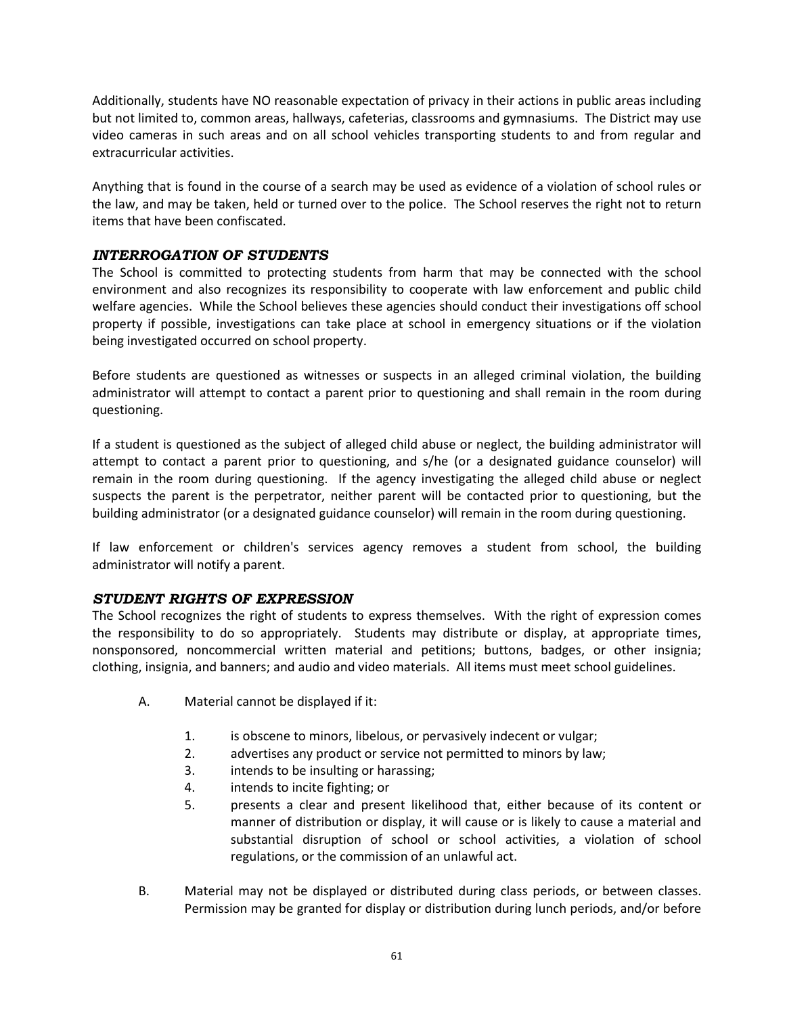Additionally, students have NO reasonable expectation of privacy in their actions in public areas including but not limited to, common areas, hallways, cafeterias, classrooms and gymnasiums. The District may use video cameras in such areas and on all school vehicles transporting students to and from regular and extracurricular activities.

Anything that is found in the course of a search may be used as evidence of a violation of school rules or the law, and may be taken, held or turned over to the police. The School reserves the right not to return items that have been confiscated.

# <span id="page-67-0"></span>*INTERROGATION OF STUDENTS*

The School is committed to protecting students from harm that may be connected with the school environment and also recognizes its responsibility to cooperate with law enforcement and public child welfare agencies. While the School believes these agencies should conduct their investigations off school property if possible, investigations can take place at school in emergency situations or if the violation being investigated occurred on school property.

Before students are questioned as witnesses or suspects in an alleged criminal violation, the building administrator will attempt to contact a parent prior to questioning and shall remain in the room during questioning.

If a student is questioned as the subject of alleged child abuse or neglect, the building administrator will attempt to contact a parent prior to questioning, and s/he (or a designated guidance counselor) will remain in the room during questioning. If the agency investigating the alleged child abuse or neglect suspects the parent is the perpetrator, neither parent will be contacted prior to questioning, but the building administrator (or a designated guidance counselor) will remain in the room during questioning.

If law enforcement or children's services agency removes a student from school, the building administrator will notify a parent.

# <span id="page-67-1"></span>*STUDENT RIGHTS OF EXPRESSION*

The School recognizes the right of students to express themselves. With the right of expression comes the responsibility to do so appropriately. Students may distribute or display, at appropriate times, nonsponsored, noncommercial written material and petitions; buttons, badges, or other insignia; clothing, insignia, and banners; and audio and video materials. All items must meet school guidelines.

- A. Material cannot be displayed if it:
	- 1. is obscene to minors, libelous, or pervasively indecent or vulgar;
	- 2. advertises any product or service not permitted to minors by law;
	- 3. intends to be insulting or harassing;
	- 4. intends to incite fighting; or
	- 5. presents a clear and present likelihood that, either because of its content or manner of distribution or display, it will cause or is likely to cause a material and substantial disruption of school or school activities, a violation of school regulations, or the commission of an unlawful act.
- B. Material may not be displayed or distributed during class periods, or between classes. Permission may be granted for display or distribution during lunch periods, and/or before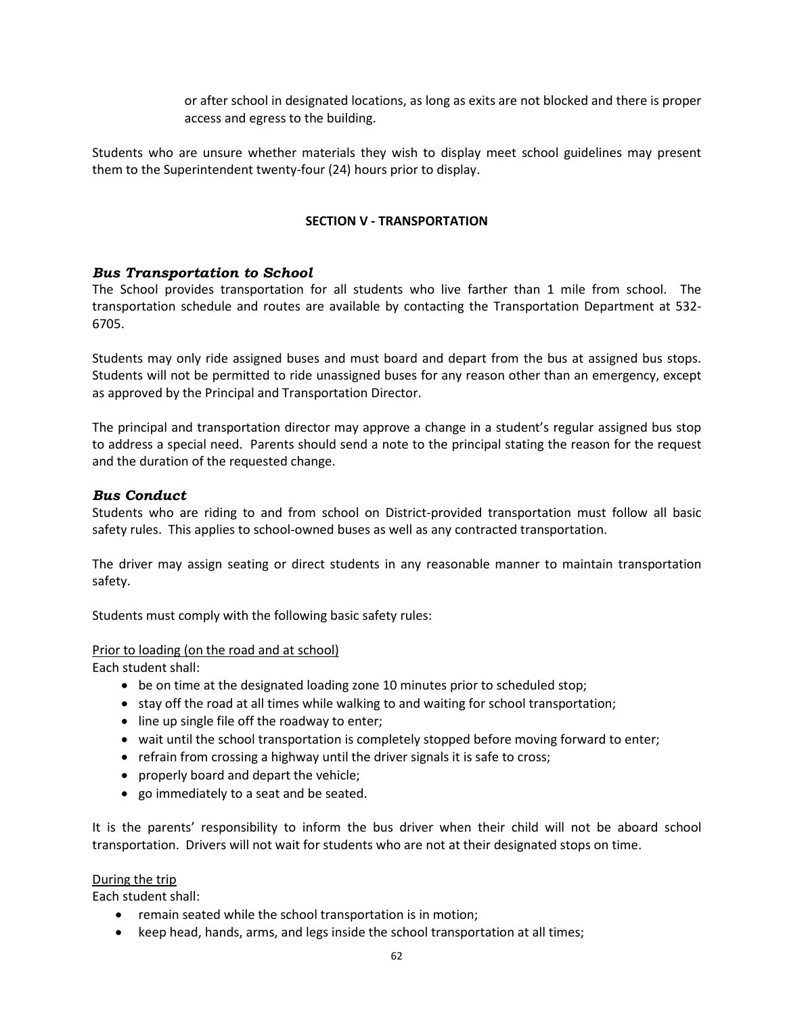or after school in designated locations, as long as exits are not blocked and there is proper access and egress to the building.

Students who are unsure whether materials they wish to display meet school guidelines may present them to the Superintendent twenty-four (24) hours prior to display.

#### **SECTION V - TRANSPORTATION**

### <span id="page-68-0"></span>*Bus Transportation to School*

The School provides transportation for all students who live farther than 1 mile from school. The transportation schedule and routes are available by contacting the Transportation Department at 532- 6705.

Students may only ride assigned buses and must board and depart from the bus at assigned bus stops. Students will not be permitted to ride unassigned buses for any reason other than an emergency, except as approved by the Principal and Transportation Director.

The principal and transportation director may approve a change in a student's regular assigned bus stop to address a special need. Parents should send a note to the principal stating the reason for the request and the duration of the requested change.

# <span id="page-68-1"></span>*Bus Conduct*

Students who are riding to and from school on District-provided transportation must follow all basic safety rules. This applies to school-owned buses as well as any contracted transportation.

The driver may assign seating or direct students in any reasonable manner to maintain transportation safety.

Students must comply with the following basic safety rules:

#### Prior to loading (on the road and at school)

Each student shall:

- be on time at the designated loading zone 10 minutes prior to scheduled stop;
- stay off the road at all times while walking to and waiting for school transportation;
- line up single file off the roadway to enter;
- wait until the school transportation is completely stopped before moving forward to enter;
- refrain from crossing a highway until the driver signals it is safe to cross;
- properly board and depart the vehicle;
- go immediately to a seat and be seated.

It is the parents' responsibility to inform the bus driver when their child will not be aboard school transportation. Drivers will not wait for students who are not at their designated stops on time.

### During the trip

Each student shall:

- remain seated while the school transportation is in motion;
- keep head, hands, arms, and legs inside the school transportation at all times;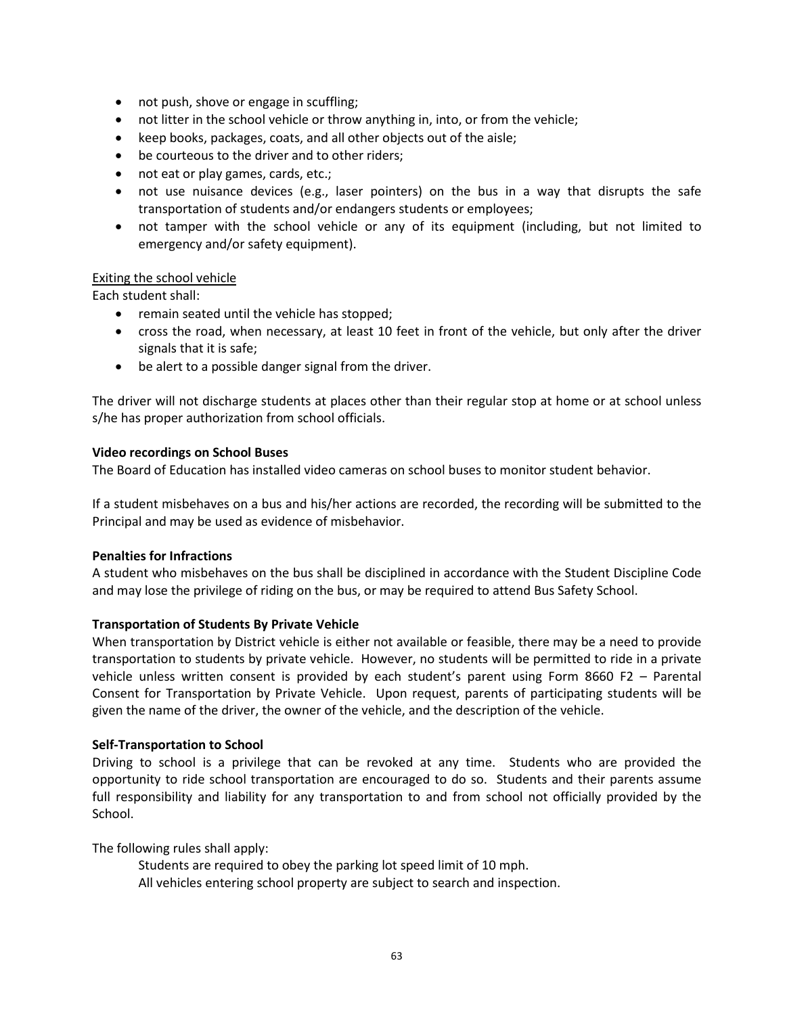- not push, shove or engage in scuffling;
- not litter in the school vehicle or throw anything in, into, or from the vehicle;
- keep books, packages, coats, and all other objects out of the aisle;
- be courteous to the driver and to other riders;
- not eat or play games, cards, etc.;
- not use nuisance devices (e.g., laser pointers) on the bus in a way that disrupts the safe transportation of students and/or endangers students or employees;
- not tamper with the school vehicle or any of its equipment (including, but not limited to emergency and/or safety equipment).

### Exiting the school vehicle

Each student shall:

- remain seated until the vehicle has stopped;
- cross the road, when necessary, at least 10 feet in front of the vehicle, but only after the driver signals that it is safe;
- be alert to a possible danger signal from the driver.

The driver will not discharge students at places other than their regular stop at home or at school unless s/he has proper authorization from school officials.

#### **Video recordings on School Buses**

The Board of Education has installed video cameras on school buses to monitor student behavior.

If a student misbehaves on a bus and his/her actions are recorded, the recording will be submitted to the Principal and may be used as evidence of misbehavior.

#### **Penalties for Infractions**

A student who misbehaves on the bus shall be disciplined in accordance with the Student Discipline Code and may lose the privilege of riding on the bus, or may be required to attend Bus Safety School.

### **Transportation of Students By Private Vehicle**

When transportation by District vehicle is either not available or feasible, there may be a need to provide transportation to students by private vehicle. However, no students will be permitted to ride in a private vehicle unless written consent is provided by each student's parent using Form 8660 F2 – Parental Consent for Transportation by Private Vehicle. Upon request, parents of participating students will be given the name of the driver, the owner of the vehicle, and the description of the vehicle.

### **Self-Transportation to School**

Driving to school is a privilege that can be revoked at any time. Students who are provided the opportunity to ride school transportation are encouraged to do so. Students and their parents assume full responsibility and liability for any transportation to and from school not officially provided by the School.

The following rules shall apply:

Students are required to obey the parking lot speed limit of 10 mph. All vehicles entering school property are subject to search and inspection.